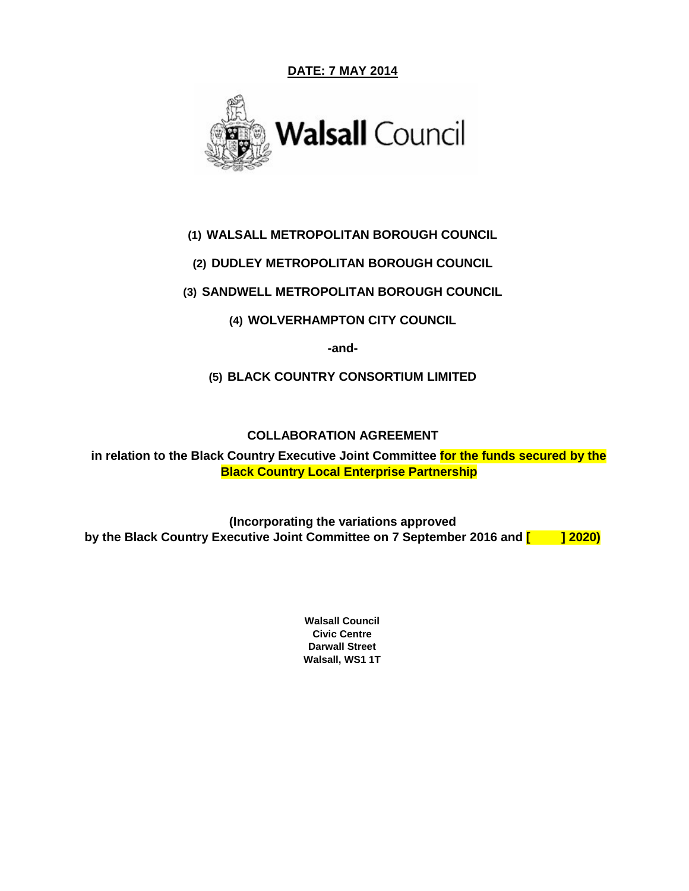## **DATE: 7 MAY 2014**



**(1) WALSALL METROPOLITAN BOROUGH COUNCIL** 

## **(2) DUDLEY METROPOLITAN BOROUGH COUNCIL**

## **(3) SANDWELL METROPOLITAN BOROUGH COUNCIL**

**(4) WOLVERHAMPTON CITY COUNCIL** 

**-and-**

## **(5) BLACK COUNTRY CONSORTIUM LIMITED**

## **COLLABORATION AGREEMENT**

**in relation to the Black Country Executive Joint Committee for the funds secured by the Black Country Local Enterprise Partnership**

**(Incorporating the variations approved by the Black Country Executive Joint Committee on 7 September 2016 and**  $\begin{bmatrix} 1 & 2020 \end{bmatrix}$ 

> **Walsall Council Civic Centre Darwall Street Walsall, WS1 1T**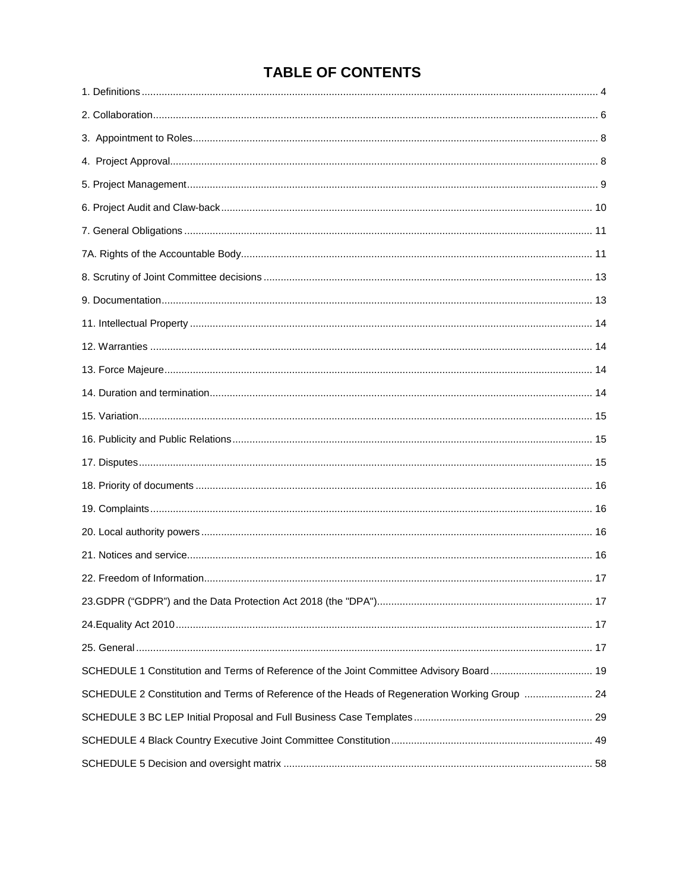## TABLE OF CONTENTS

| SCHEDULE 1 Constitution and Terms of Reference of the Joint Committee Advisory Board 19       |  |
|-----------------------------------------------------------------------------------------------|--|
| SCHEDULE 2 Constitution and Terms of Reference of the Heads of Regeneration Working Group  24 |  |
|                                                                                               |  |
|                                                                                               |  |
|                                                                                               |  |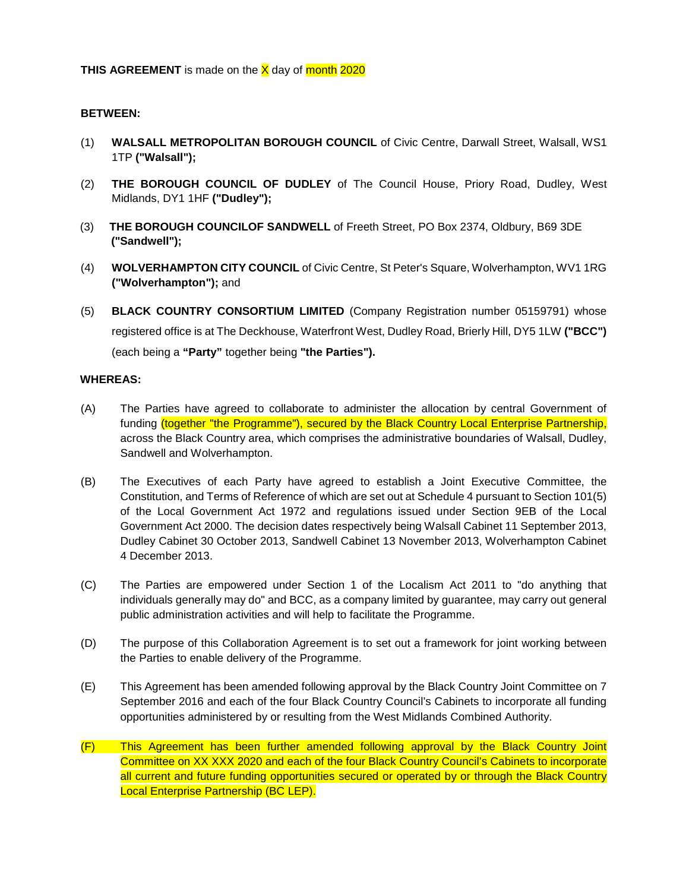### **BETWEEN:**

- (1) **WALSALL METROPOLITAN BOROUGH COUNCIL** of Civic Centre, Darwall Street, Walsall, WS1 1TP **("Walsall");**
- (2) **THE BOROUGH COUNCIL OF DUDLEY** of The Council House, Priory Road, Dudley, West Midlands, DY1 1HF **("Dudley");**
- (3) **THE BOROUGH COUNCILOF SANDWELL** of Freeth Street, PO Box 2374, Oldbury, B69 3DE **("Sandwell");**
- (4) **WOLVERHAMPTON CITY COUNCIL** of Civic Centre, St Peter's Square, Wolverhampton, WV1 1RG **("Wolverhampton");** and
- (5) **BLACK COUNTRY CONSORTIUM LIMITED** (Company Registration number 05159791) whose registered office is at The Deckhouse, Waterfront West, Dudley Road, Brierly Hill, DY5 1LW **("BCC")** (each being a **"Party"** together being **"the Parties").**

### **WHEREAS:**

- (A) The Parties have agreed to collaborate to administer the allocation by central Government of funding (together "the Programme"), secured by the Black Country Local Enterprise Partnership, across the Black Country area, which comprises the administrative boundaries of Walsall, Dudley, Sandwell and Wolverhampton.
- (B) The Executives of each Party have agreed to establish a Joint Executive Committee, the Constitution, and Terms of Reference of which are set out at Schedule 4 pursuant to Section 101(5) of the Local Government Act 1972 and regulations issued under Section 9EB of the Local Government Act 2000. The decision dates respectively being Walsall Cabinet 11 September 2013, Dudley Cabinet 30 October 2013, Sandwell Cabinet 13 November 2013, Wolverhampton Cabinet 4 December 2013.
- (C) The Parties are empowered under Section 1 of the Localism Act 2011 to "do anything that individuals generally may do" and BCC, as a company limited by guarantee, may carry out general public administration activities and will help to facilitate the Programme.
- (D) The purpose of this Collaboration Agreement is to set out a framework for joint working between the Parties to enable delivery of the Programme.
- (E) This Agreement has been amended following approval by the Black Country Joint Committee on 7 September 2016 and each of the four Black Country Council's Cabinets to incorporate all funding opportunities administered by or resulting from the West Midlands Combined Authority.
- (F) This Agreement has been further amended following approval by the Black Country Joint Committee on XX XXX 2020 and each of the four Black Country Council's Cabinets to incorporate all current and future funding opportunities secured or operated by or through the Black Country Local Enterprise Partnership (BC LEP).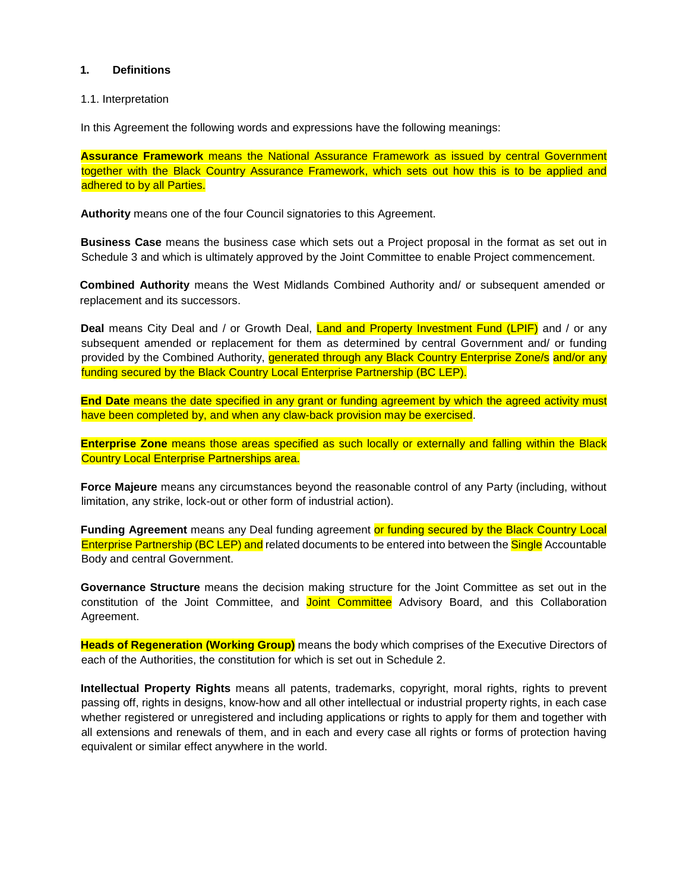### <span id="page-3-0"></span>**1. Definitions**

### 1.1. Interpretation

In this Agreement the following words and expressions have the following meanings:

**Assurance Framework** means the National Assurance Framework as issued by central Government together with the Black Country Assurance Framework, which sets out how this is to be applied and adhered to by all Parties.

**Authority** means one of the four Council signatories to this Agreement.

**Business Case** means the business case which sets out a Project proposal in the format as set out in Schedule 3 and which is ultimately approved by the Joint Committee to enable Project commencement.

**Combined Authority** means the West Midlands Combined Authority and/ or subsequent amended or replacement and its successors.

Deal means City Deal and / or Growth Deal, Land and Property Investment Fund (LPIF) and / or any subsequent amended or replacement for them as determined by central Government and/ or funding provided by the Combined Authority, generated through any Black Country Enterprise Zone/s and/or any funding secured by the Black Country Local Enterprise Partnership (BC LEP).

**End Date** means the date specified in any grant or funding agreement by which the agreed activity must have been completed by, and when any claw-back provision may be exercised.

**Enterprise Zone** means those areas specified as such locally or externally and falling within the Black Country Local Enterprise Partnerships area.

**Force Majeure** means any circumstances beyond the reasonable control of any Party (including, without limitation, any strike, lock-out or other form of industrial action).

**Funding Agreement** means any Deal funding agreement or funding secured by the Black Country Local Enterprise Partnership (BC LEP) and related documents to be entered into between the Single Accountable Body and central Government.

**Governance Structure** means the decision making structure for the Joint Committee as set out in the constitution of the Joint Committee, and Joint Committee Advisory Board, and this Collaboration Agreement.

**Heads of Regeneration (Working Group)** means the body which comprises of the Executive Directors of each of the Authorities, the constitution for which is set out in Schedule 2.

**Intellectual Property Rights** means all patents, trademarks, copyright, moral rights, rights to prevent passing off, rights in designs, know-how and all other intellectual or industrial property rights, in each case whether registered or unregistered and including applications or rights to apply for them and together with all extensions and renewals of them, and in each and every case all rights or forms of protection having equivalent or similar effect anywhere in the world.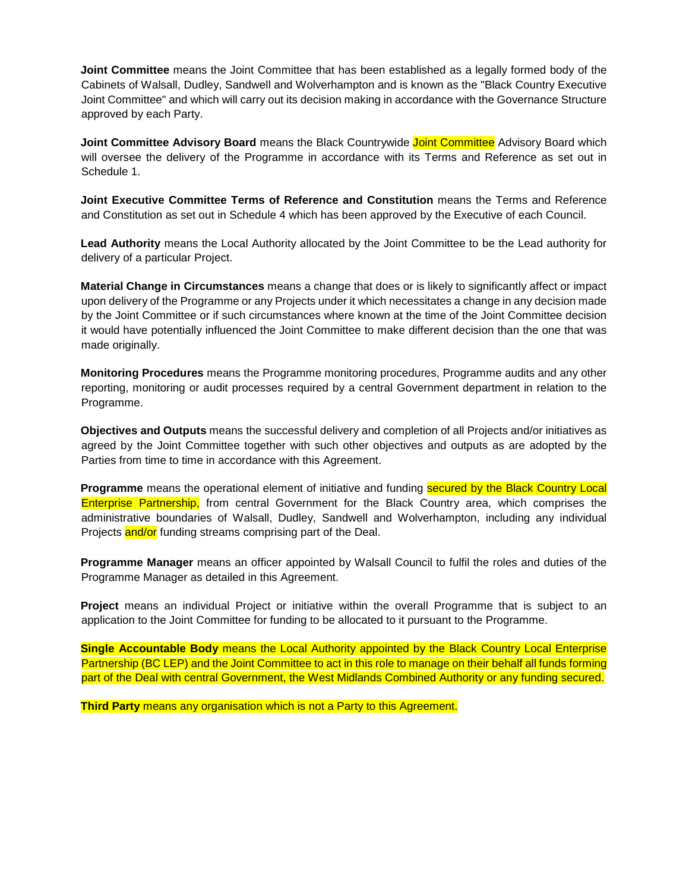**Joint Committee** means the Joint Committee that has been established as a legally formed body of the Cabinets of Walsall, Dudley, Sandwell and Wolverhampton and is known as the "Black Country Executive Joint Committee" and which will carry out its decision making in accordance with the Governance Structure approved by each Party.

**Joint Committee Advisory Board** means the Black Countrywide Joint Committee Advisory Board which will oversee the delivery of the Programme in accordance with its Terms and Reference as set out in Schedule 1.

**Joint Executive Committee Terms of Reference and Constitution** means the Terms and Reference and Constitution as set out in Schedule 4 which has been approved by the Executive of each Council.

**Lead Authority** means the Local Authority allocated by the Joint Committee to be the Lead authority for delivery of a particular Project.

**Material Change in Circumstances** means a change that does or is likely to significantly affect or impact upon delivery of the Programme or any Projects under it which necessitates a change in any decision made by the Joint Committee or if such circumstances where known at the time of the Joint Committee decision it would have potentially influenced the Joint Committee to make different decision than the one that was made originally.

**Monitoring Procedures** means the Programme monitoring procedures, Programme audits and any other reporting, monitoring or audit processes required by a central Government department in relation to the Programme.

**Objectives and Outputs** means the successful delivery and completion of all Projects and/or initiatives as agreed by the Joint Committee together with such other objectives and outputs as are adopted by the Parties from time to time in accordance with this Agreement.

**Programme** means the operational element of initiative and funding secured by the Black Country Local Enterprise Partnership, from central Government for the Black Country area, which comprises the administrative boundaries of Walsall, Dudley, Sandwell and Wolverhampton, including any individual Projects and/or funding streams comprising part of the Deal.

**Programme Manager** means an officer appointed by Walsall Council to fulfil the roles and duties of the Programme Manager as detailed in this Agreement.

**Project** means an individual Project or initiative within the overall Programme that is subject to an application to the Joint Committee for funding to be allocated to it pursuant to the Programme.

**Single Accountable Body** means the Local Authority appointed by the Black Country Local Enterprise Partnership (BC LEP) and the Joint Committee to act in this role to manage on their behalf all funds forming part of the Deal with central Government, the West Midlands Combined Authority or any funding secured.

**Third Party** means any organisation which is not a Party to this Agreement.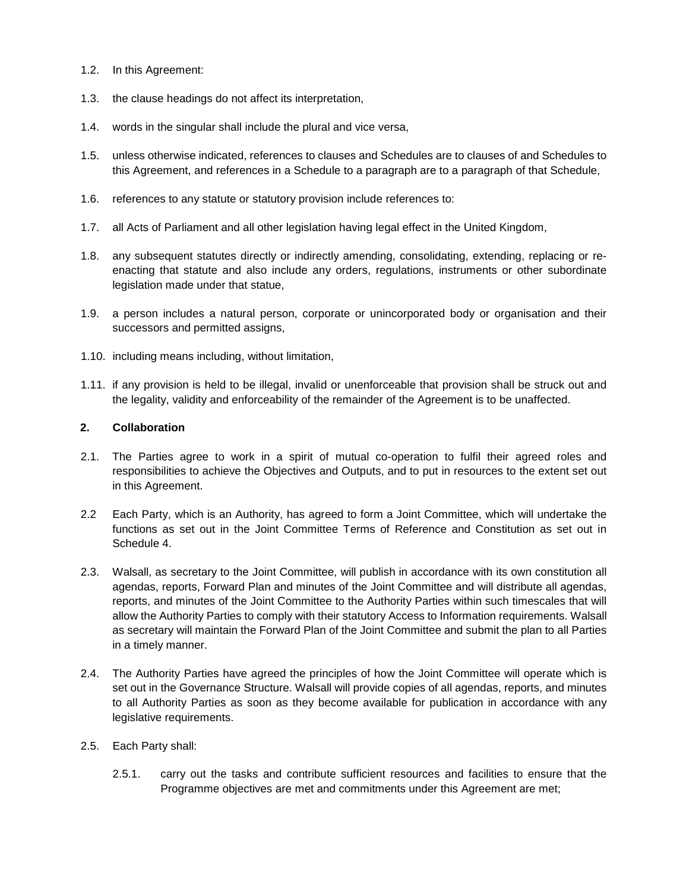- 1.2. In this Agreement:
- 1.3. the clause headings do not affect its interpretation,
- 1.4. words in the singular shall include the plural and vice versa,
- 1.5. unless otherwise indicated, references to clauses and Schedules are to clauses of and Schedules to this Agreement, and references in a Schedule to a paragraph are to a paragraph of that Schedule,
- 1.6. references to any statute or statutory provision include references to:
- 1.7. all Acts of Parliament and all other legislation having legal effect in the United Kingdom,
- 1.8. any subsequent statutes directly or indirectly amending, consolidating, extending, replacing or reenacting that statute and also include any orders, regulations, instruments or other subordinate legislation made under that statue,
- 1.9. a person includes a natural person, corporate or unincorporated body or organisation and their successors and permitted assigns,
- 1.10. including means including, without limitation,
- 1.11. if any provision is held to be illegal, invalid or unenforceable that provision shall be struck out and the legality, validity and enforceability of the remainder of the Agreement is to be unaffected.

### <span id="page-5-0"></span>**2. Collaboration**

- 2.1. The Parties agree to work in a spirit of mutual co-operation to fulfil their agreed roles and responsibilities to achieve the Objectives and Outputs, and to put in resources to the extent set out in this Agreement.
- 2.2 Each Party, which is an Authority, has agreed to form a Joint Committee, which will undertake the functions as set out in the Joint Committee Terms of Reference and Constitution as set out in Schedule 4.
- 2.3. Walsall, as secretary to the Joint Committee, will publish in accordance with its own constitution all agendas, reports, Forward Plan and minutes of the Joint Committee and will distribute all agendas, reports, and minutes of the Joint Committee to the Authority Parties within such timescales that will allow the Authority Parties to comply with their statutory Access to Information requirements. Walsall as secretary will maintain the Forward Plan of the Joint Committee and submit the plan to all Parties in a timely manner.
- 2.4. The Authority Parties have agreed the principles of how the Joint Committee will operate which is set out in the Governance Structure. Walsall will provide copies of all agendas, reports, and minutes to all Authority Parties as soon as they become available for publication in accordance with any legislative requirements.
- 2.5. Each Party shall:
	- 2.5.1. carry out the tasks and contribute sufficient resources and facilities to ensure that the Programme objectives are met and commitments under this Agreement are met;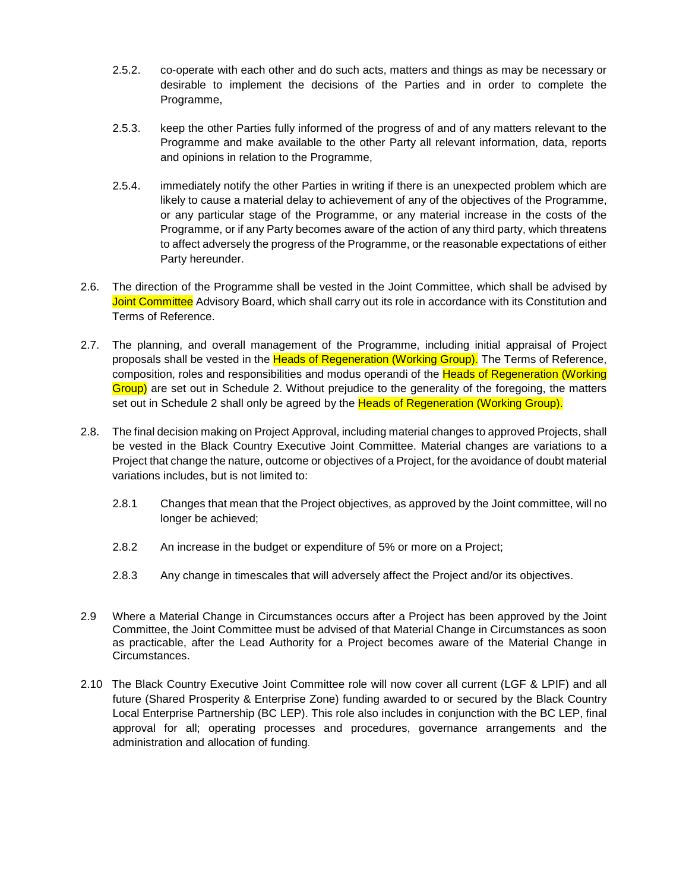- 2.5.2. co-operate with each other and do such acts, matters and things as may be necessary or desirable to implement the decisions of the Parties and in order to complete the Programme,
- 2.5.3. keep the other Parties fully informed of the progress of and of any matters relevant to the Programme and make available to the other Party all relevant information, data, reports and opinions in relation to the Programme,
- 2.5.4. immediately notify the other Parties in writing if there is an unexpected problem which are likely to cause a material delay to achievement of any of the objectives of the Programme, or any particular stage of the Programme, or any material increase in the costs of the Programme, or if any Party becomes aware of the action of any third party, which threatens to affect adversely the progress of the Programme, or the reasonable expectations of either Party hereunder.
- 2.6. The direction of the Programme shall be vested in the Joint Committee, which shall be advised by Joint Committee Advisory Board, which shall carry out its role in accordance with its Constitution and Terms of Reference.
- 2.7. The planning, and overall management of the Programme, including initial appraisal of Project proposals shall be vested in the Heads of Regeneration (Working Group). The Terms of Reference, composition, roles and responsibilities and modus operandi of the Heads of Regeneration (Working Group) are set out in Schedule 2. Without prejudice to the generality of the foregoing, the matters set out in Schedule 2 shall only be agreed by the Heads of Regeneration (Working Group).
- 2.8. The final decision making on Project Approval, including material changes to approved Projects, shall be vested in the Black Country Executive Joint Committee. Material changes are variations to a Project that change the nature, outcome or objectives of a Project, for the avoidance of doubt material variations includes, but is not limited to:
	- 2.8.1 Changes that mean that the Project objectives, as approved by the Joint committee, will no longer be achieved;
	- 2.8.2 An increase in the budget or expenditure of 5% or more on a Project;
	- 2.8.3 Any change in timescales that will adversely affect the Project and/or its objectives.
- 2.9 Where a Material Change in Circumstances occurs after a Project has been approved by the Joint Committee, the Joint Committee must be advised of that Material Change in Circumstances as soon as practicable, after the Lead Authority for a Project becomes aware of the Material Change in Circumstances.
- 2.10 The Black Country Executive Joint Committee role will now cover all current (LGF & LPIF) and all future (Shared Prosperity & Enterprise Zone) funding awarded to or secured by the Black Country Local Enterprise Partnership (BC LEP). This role also includes in conjunction with the BC LEP, final approval for all; operating processes and procedures, governance arrangements and the administration and allocation of funding*.*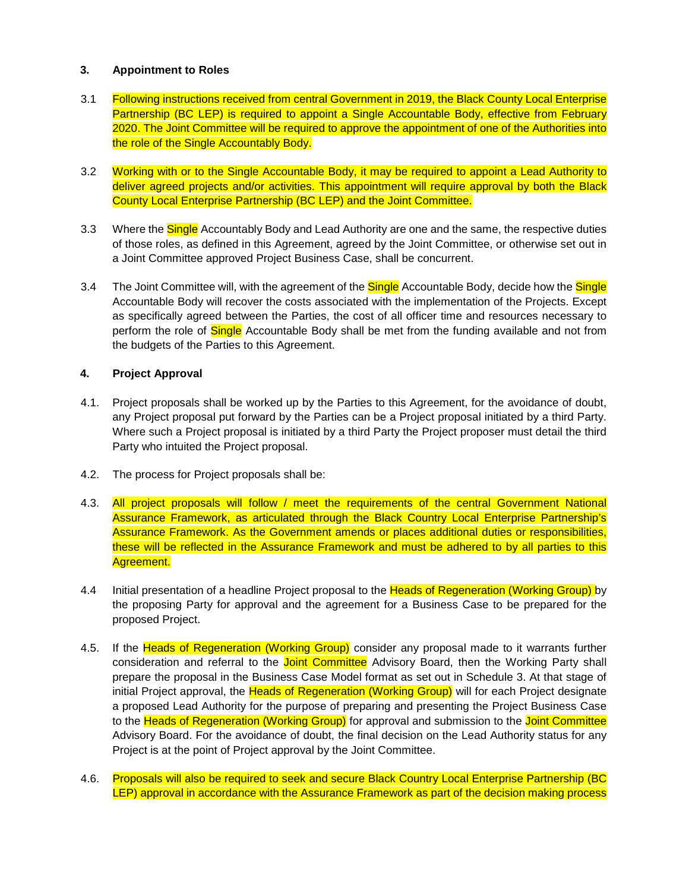## <span id="page-7-0"></span>**3. Appointment to Roles**

- 3.1 Following instructions received from central Government in 2019, the Black County Local Enterprise Partnership (BC LEP) is required to appoint a Single Accountable Body, effective from February 2020. The Joint Committee will be required to approve the appointment of one of the Authorities into the role of the Single Accountably Body.
- 3.2 Working with or to the Single Accountable Body, it may be required to appoint a Lead Authority to deliver agreed projects and/or activities. This appointment will require approval by both the Black County Local Enterprise Partnership (BC LEP) and the Joint Committee.
- 3.3 Where the **Single** Accountably Body and Lead Authority are one and the same, the respective duties of those roles, as defined in this Agreement, agreed by the Joint Committee, or otherwise set out in a Joint Committee approved Project Business Case, shall be concurrent.
- 3.4 The Joint Committee will, with the agreement of the **Single** Accountable Body, decide how the **Single** Accountable Body will recover the costs associated with the implementation of the Projects. Except as specifically agreed between the Parties, the cost of all officer time and resources necessary to perform the role of **Single** Accountable Body shall be met from the funding available and not from the budgets of the Parties to this Agreement.

### <span id="page-7-1"></span>**4. Project Approval**

- 4.1. Project proposals shall be worked up by the Parties to this Agreement, for the avoidance of doubt, any Project proposal put forward by the Parties can be a Project proposal initiated by a third Party. Where such a Project proposal is initiated by a third Party the Project proposer must detail the third Party who intuited the Project proposal.
- 4.2. The process for Project proposals shall be:
- 4.3. All project proposals will follow / meet the requirements of the central Government National Assurance Framework, as articulated through the Black Country Local Enterprise Partnership's Assurance Framework. As the Government amends or places additional duties or responsibilities, these will be reflected in the Assurance Framework and must be adhered to by all parties to this Agreement.
- 4.4 Initial presentation of a headline Project proposal to the Heads of Regeneration (Working Group) by the proposing Party for approval and the agreement for a Business Case to be prepared for the proposed Project.
- 4.5. If the Heads of Regeneration (Working Group) consider any proposal made to it warrants further consideration and referral to the Joint Committee Advisory Board, then the Working Party shall prepare the proposal in the Business Case Model format as set out in Schedule 3. At that stage of initial Project approval, the Heads of Regeneration (Working Group) will for each Project designate a proposed Lead Authority for the purpose of preparing and presenting the Project Business Case to the Heads of Regeneration (Working Group) for approval and submission to the Joint Committee Advisory Board. For the avoidance of doubt, the final decision on the Lead Authority status for any Project is at the point of Project approval by the Joint Committee.
- 4.6. Proposals will also be required to seek and secure Black Country Local Enterprise Partnership (BC LEP) approval in accordance with the Assurance Framework as part of the decision making process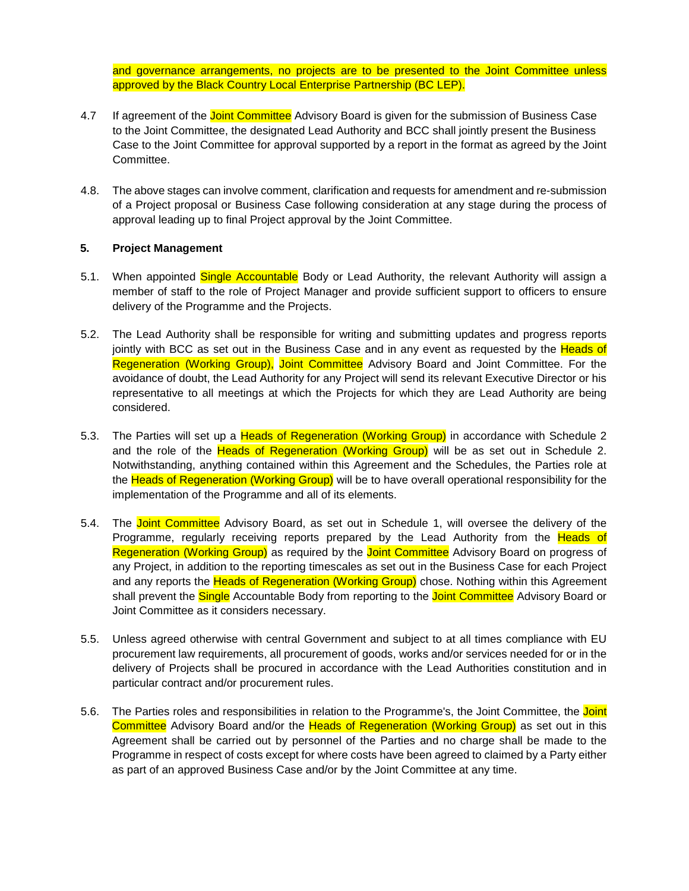and governance arrangements, no projects are to be presented to the Joint Committee unless approved by the Black Country Local Enterprise Partnership (BC LEP).

- 4.7 If agreement of the Joint Committee Advisory Board is given for the submission of Business Case to the Joint Committee, the designated Lead Authority and BCC shall jointly present the Business Case to the Joint Committee for approval supported by a report in the format as agreed by the Joint Committee.
- 4.8. The above stages can involve comment, clarification and requests for amendment and re-submission of a Project proposal or Business Case following consideration at any stage during the process of approval leading up to final Project approval by the Joint Committee.

### <span id="page-8-0"></span>**5. Project Management**

- 5.1. When appointed **Single Accountable** Body or Lead Authority, the relevant Authority will assign a member of staff to the role of Project Manager and provide sufficient support to officers to ensure delivery of the Programme and the Projects.
- 5.2. The Lead Authority shall be responsible for writing and submitting updates and progress reports jointly with BCC as set out in the Business Case and in any event as requested by the Heads of Regeneration (Working Group), Joint Committee Advisory Board and Joint Committee. For the avoidance of doubt, the Lead Authority for any Project will send its relevant Executive Director or his representative to all meetings at which the Projects for which they are Lead Authority are being considered.
- 5.3. The Parties will set up a Heads of Regeneration (Working Group) in accordance with Schedule 2 and the role of the **Heads of Regeneration (Working Group)** will be as set out in Schedule 2. Notwithstanding, anything contained within this Agreement and the Schedules, the Parties role at the Heads of Regeneration (Working Group) will be to have overall operational responsibility for the implementation of the Programme and all of its elements.
- 5.4. The Joint Committee Advisory Board, as set out in Schedule 1, will oversee the delivery of the Programme, regularly receiving reports prepared by the Lead Authority from the Heads of Regeneration (Working Group) as required by the Joint Committee Advisory Board on progress of any Project, in addition to the reporting timescales as set out in the Business Case for each Project and any reports the Heads of Regeneration (Working Group) chose. Nothing within this Agreement shall prevent the **Single** Accountable Body from reporting to the Joint Committee Advisory Board or Joint Committee as it considers necessary.
- 5.5. Unless agreed otherwise with central Government and subject to at all times compliance with EU procurement law requirements, all procurement of goods, works and/or services needed for or in the delivery of Projects shall be procured in accordance with the Lead Authorities constitution and in particular contract and/or procurement rules.
- 5.6. The Parties roles and responsibilities in relation to the Programme's, the Joint Committee, the Joint Committee Advisory Board and/or the Heads of Regeneration (Working Group) as set out in this Agreement shall be carried out by personnel of the Parties and no charge shall be made to the Programme in respect of costs except for where costs have been agreed to claimed by a Party either as part of an approved Business Case and/or by the Joint Committee at any time.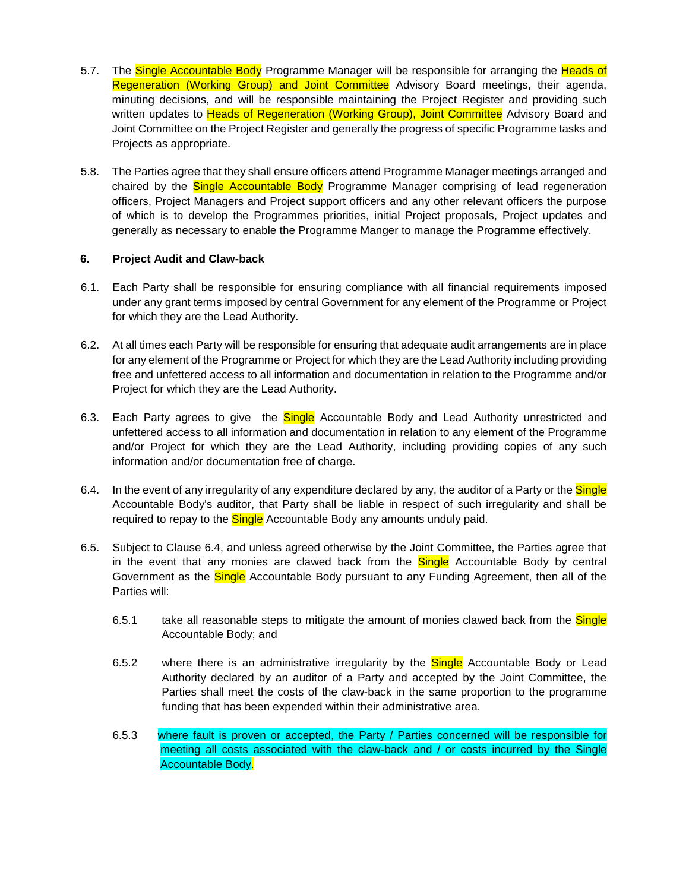- 5.7. The **Single Accountable Body** Programme Manager will be responsible for arranging the Heads of Regeneration (Working Group) and Joint Committee Advisory Board meetings, their agenda, minuting decisions, and will be responsible maintaining the Project Register and providing such written updates to Heads of Regeneration (Working Group), Joint Committee Advisory Board and Joint Committee on the Project Register and generally the progress of specific Programme tasks and Projects as appropriate.
- 5.8. The Parties agree that they shall ensure officers attend Programme Manager meetings arranged and chaired by the **Single Accountable Body** Programme Manager comprising of lead regeneration officers, Project Managers and Project support officers and any other relevant officers the purpose of which is to develop the Programmes priorities, initial Project proposals, Project updates and generally as necessary to enable the Programme Manger to manage the Programme effectively.

### <span id="page-9-0"></span>**6. Project Audit and Claw-back**

- 6.1. Each Party shall be responsible for ensuring compliance with all financial requirements imposed under any grant terms imposed by central Government for any element of the Programme or Project for which they are the Lead Authority.
- 6.2. At all times each Party will be responsible for ensuring that adequate audit arrangements are in place for any element of the Programme or Project for which they are the Lead Authority including providing free and unfettered access to all information and documentation in relation to the Programme and/or Project for which they are the Lead Authority.
- 6.3. Each Party agrees to give the **Single** Accountable Body and Lead Authority unrestricted and unfettered access to all information and documentation in relation to any element of the Programme and/or Project for which they are the Lead Authority, including providing copies of any such information and/or documentation free of charge.
- 6.4. In the event of any irregularity of any expenditure declared by any, the auditor of a Party or the **Single** Accountable Body's auditor, that Party shall be liable in respect of such irregularity and shall be required to repay to the **Single** Accountable Body any amounts unduly paid.
- 6.5. Subject to Clause 6.4, and unless agreed otherwise by the Joint Committee, the Parties agree that in the event that any monies are clawed back from the **Single** Accountable Body by central Government as the **Single** Accountable Body pursuant to any Funding Agreement, then all of the Parties will:
	- 6.5.1 take all reasonable steps to mitigate the amount of monies clawed back from the **Single** Accountable Body; and
	- 6.5.2 where there is an administrative irregularity by the **Single** Accountable Body or Lead Authority declared by an auditor of a Party and accepted by the Joint Committee, the Parties shall meet the costs of the claw-back in the same proportion to the programme funding that has been expended within their administrative area.
	- 6.5.3 where fault is proven or accepted, the Party / Parties concerned will be responsible for meeting all costs associated with the claw-back and / or costs incurred by the Single Accountable Body.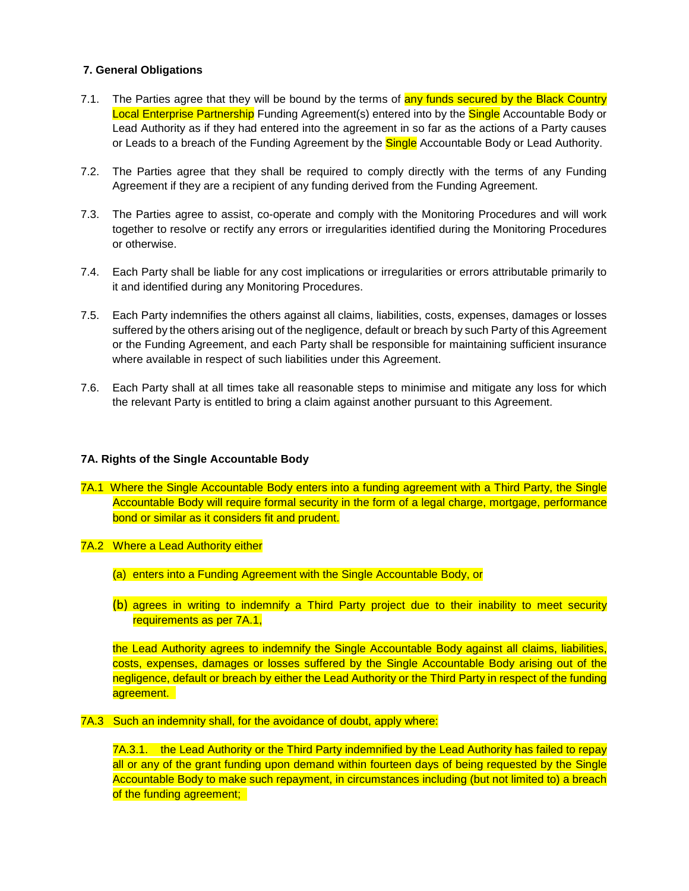### <span id="page-10-0"></span>**7. General Obligations**

- 7.1. The Parties agree that they will be bound by the terms of any funds secured by the Black Country Local Enterprise Partnership Funding Agreement(s) entered into by the **Single** Accountable Body or Lead Authority as if they had entered into the agreement in so far as the actions of a Party causes or Leads to a breach of the Funding Agreement by the **Single** Accountable Body or Lead Authority.
- 7.2. The Parties agree that they shall be required to comply directly with the terms of any Funding Agreement if they are a recipient of any funding derived from the Funding Agreement.
- 7.3. The Parties agree to assist, co-operate and comply with the Monitoring Procedures and will work together to resolve or rectify any errors or irregularities identified during the Monitoring Procedures or otherwise.
- 7.4. Each Party shall be liable for any cost implications or irregularities or errors attributable primarily to it and identified during any Monitoring Procedures.
- 7.5. Each Party indemnifies the others against all claims, liabilities, costs, expenses, damages or losses suffered by the others arising out of the negligence, default or breach by such Party of this Agreement or the Funding Agreement, and each Party shall be responsible for maintaining sufficient insurance where available in respect of such liabilities under this Agreement.
- 7.6. Each Party shall at all times take all reasonable steps to minimise and mitigate any loss for which the relevant Party is entitled to bring a claim against another pursuant to this Agreement.

## <span id="page-10-1"></span>**7A. Rights of the Single Accountable Body**

- 7A.1 Where the Single Accountable Body enters into a funding agreement with a Third Party, the Single Accountable Body will require formal security in the form of a legal charge, mortgage, performance bond or similar as it considers fit and prudent.
- 7A.2 Where a Lead Authority either
	- (a) enters into a Funding Agreement with the Single Accountable Body, or
	- (b) agrees in writing to indemnify a Third Party project due to their inability to meet security requirements as per 7A.1,

the Lead Authority agrees to indemnify the Single Accountable Body against all claims, liabilities, costs, expenses, damages or losses suffered by the Single Accountable Body arising out of the negligence, default or breach by either the Lead Authority or the Third Party in respect of the funding agreement.

### 7A.3 Such an indemnity shall, for the avoidance of doubt, apply where:

7A.3.1. the Lead Authority or the Third Party indemnified by the Lead Authority has failed to repay all or any of the grant funding upon demand within fourteen days of being requested by the Single Accountable Body to make such repayment, in circumstances including (but not limited to) a breach of the funding agreement;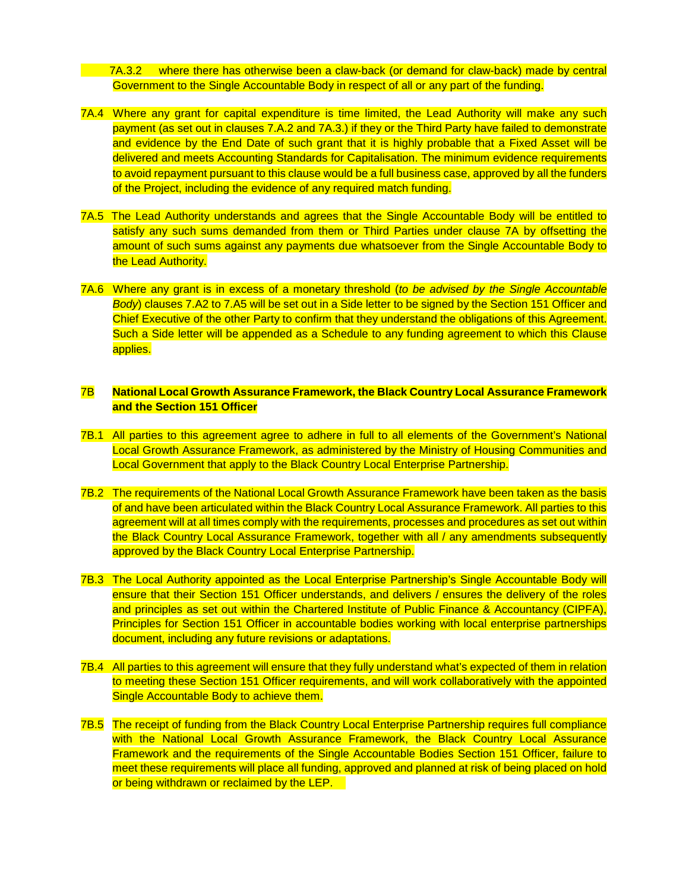7A.3.2 where there has otherwise been a claw-back (or demand for claw-back) made by central Government to the Single Accountable Body in respect of all or any part of the funding.

- 7A.4 Where any grant for capital expenditure is time limited, the Lead Authority will make any such payment (as set out in clauses 7.A.2 and 7A.3.) if they or the Third Party have failed to demonstrate and evidence by the End Date of such grant that it is highly probable that a Fixed Asset will be delivered and meets Accounting Standards for Capitalisation. The minimum evidence requirements to avoid repayment pursuant to this clause would be a full business case, approved by all the funders of the Project, including the evidence of any required match funding.
- 7A.5 The Lead Authority understands and agrees that the Single Accountable Body will be entitled to satisfy any such sums demanded from them or Third Parties under clause 7A by offsetting the amount of such sums against any payments due whatsoever from the Single Accountable Body to the Lead Authority.
- 7A.6 Where any grant is in excess of a monetary threshold (*to be advised by the Single Accountable Body*) clauses 7.A2 to 7.A5 will be set out in a Side letter to be signed by the Section 151 Officer and Chief Executive of the other Party to confirm that they understand the obligations of this Agreement. Such a Side letter will be appended as a Schedule to any funding agreement to which this Clause applies.

### 7B **National Local Growth Assurance Framework, the Black Country Local Assurance Framework and the Section 151 Officer**

- 7B.1 All parties to this agreement agree to adhere in full to all elements of the Government's National Local Growth Assurance Framework, as administered by the Ministry of Housing Communities and Local Government that apply to the Black Country Local Enterprise Partnership.
- 7B.2 The requirements of the National Local Growth Assurance Framework have been taken as the basis of and have been articulated within the Black Country Local Assurance Framework. All parties to this agreement will at all times comply with the requirements, processes and procedures as set out within the Black Country Local Assurance Framework, together with all / any amendments subsequently approved by the Black Country Local Enterprise Partnership.
- 7B.3 The Local Authority appointed as the Local Enterprise Partnership's Single Accountable Body will ensure that their Section 151 Officer understands, and delivers / ensures the delivery of the roles and principles as set out within the Chartered Institute of Public Finance & Accountancy (CIPFA), Principles for Section 151 Officer in accountable bodies working with local enterprise partnerships document, including any future revisions or adaptations.
- 7B.4 All parties to this agreement will ensure that they fully understand what's expected of them in relation to meeting these Section 151 Officer requirements, and will work collaboratively with the appointed Single Accountable Body to achieve them.
- 7B.5 The receipt of funding from the Black Country Local Enterprise Partnership requires full compliance with the National Local Growth Assurance Framework, the Black Country Local Assurance Framework and the requirements of the Single Accountable Bodies Section 151 Officer, failure to meet these requirements will place all funding, approved and planned at risk of being placed on hold or being withdrawn or reclaimed by the LEP.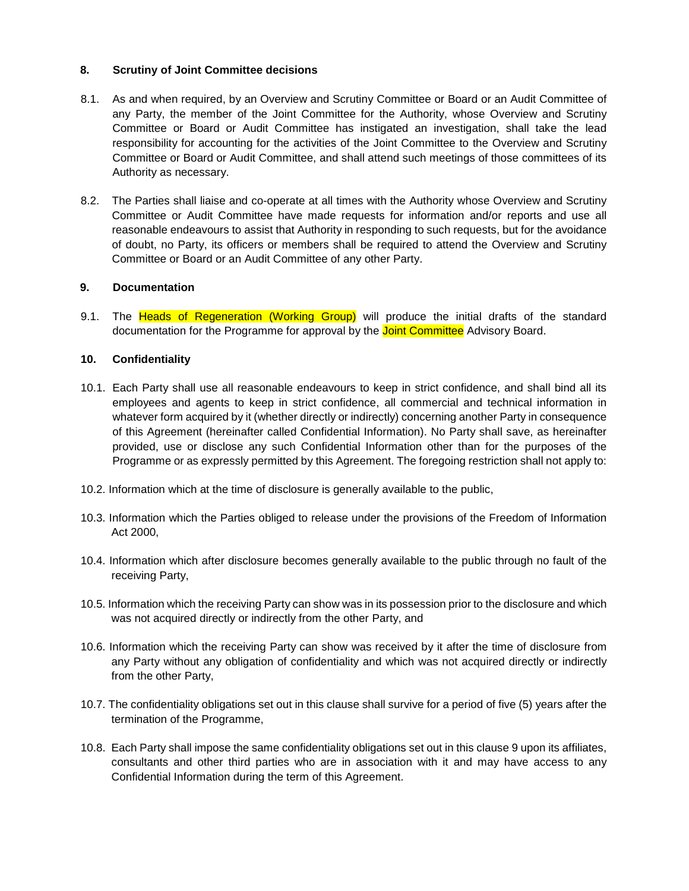### <span id="page-12-0"></span>**8. Scrutiny of Joint Committee decisions**

- 8.1. As and when required, by an Overview and Scrutiny Committee or Board or an Audit Committee of any Party, the member of the Joint Committee for the Authority, whose Overview and Scrutiny Committee or Board or Audit Committee has instigated an investigation, shall take the lead responsibility for accounting for the activities of the Joint Committee to the Overview and Scrutiny Committee or Board or Audit Committee, and shall attend such meetings of those committees of its Authority as necessary.
- 8.2. The Parties shall liaise and co-operate at all times with the Authority whose Overview and Scrutiny Committee or Audit Committee have made requests for information and/or reports and use all reasonable endeavours to assist that Authority in responding to such requests, but for the avoidance of doubt, no Party, its officers or members shall be required to attend the Overview and Scrutiny Committee or Board or an Audit Committee of any other Party.

### <span id="page-12-1"></span>**9. Documentation**

9.1. The Heads of Regeneration (Working Group) will produce the initial drafts of the standard documentation for the Programme for approval by the Joint Committee Advisory Board.

### **10. Confidentiality**

- 10.1. Each Party shall use all reasonable endeavours to keep in strict confidence, and shall bind all its employees and agents to keep in strict confidence, all commercial and technical information in whatever form acquired by it (whether directly or indirectly) concerning another Party in consequence of this Agreement (hereinafter called Confidential Information). No Party shall save, as hereinafter provided, use or disclose any such Confidential Information other than for the purposes of the Programme or as expressly permitted by this Agreement. The foregoing restriction shall not apply to:
- 10.2. Information which at the time of disclosure is generally available to the public,
- 10.3. Information which the Parties obliged to release under the provisions of the Freedom of Information Act 2000,
- 10.4. Information which after disclosure becomes generally available to the public through no fault of the receiving Party,
- 10.5. Information which the receiving Party can show was in its possession prior to the disclosure and which was not acquired directly or indirectly from the other Party, and
- 10.6. Information which the receiving Party can show was received by it after the time of disclosure from any Party without any obligation of confidentiality and which was not acquired directly or indirectly from the other Party,
- 10.7. The confidentiality obligations set out in this clause shall survive for a period of five (5) years after the termination of the Programme,
- 10.8. Each Party shall impose the same confidentiality obligations set out in this clause 9 upon its affiliates, consultants and other third parties who are in association with it and may have access to any Confidential Information during the term of this Agreement.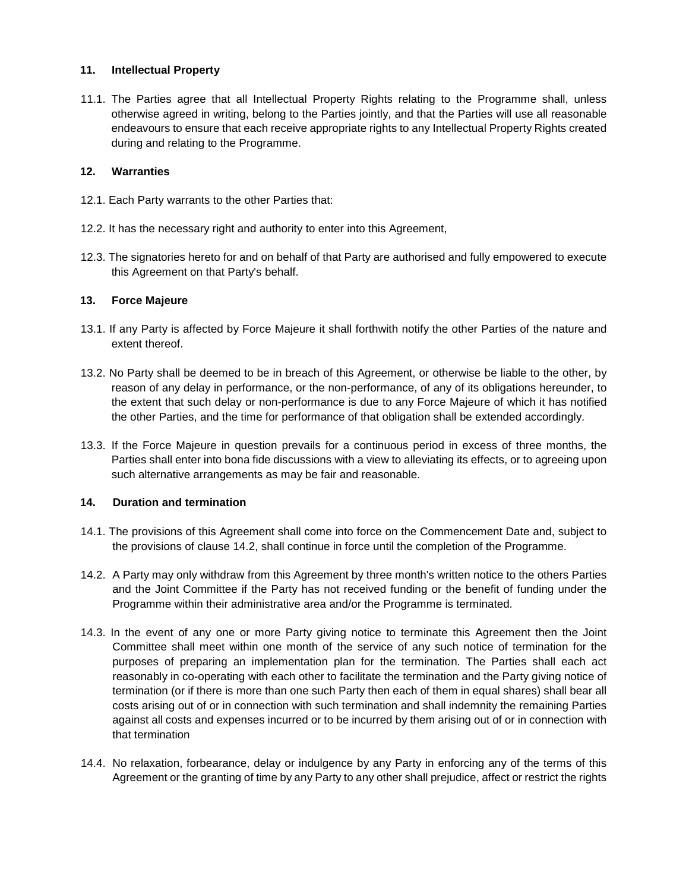### <span id="page-13-0"></span>**11. Intellectual Property**

11.1. The Parties agree that all Intellectual Property Rights relating to the Programme shall, unless otherwise agreed in writing, belong to the Parties jointly, and that the Parties will use all reasonable endeavours to ensure that each receive appropriate rights to any Intellectual Property Rights created during and relating to the Programme.

### <span id="page-13-1"></span>**12. Warranties**

- 12.1. Each Party warrants to the other Parties that:
- 12.2. It has the necessary right and authority to enter into this Agreement,
- 12.3. The signatories hereto for and on behalf of that Party are authorised and fully empowered to execute this Agreement on that Party's behalf.

### <span id="page-13-2"></span>**13. Force Majeure**

- 13.1. If any Party is affected by Force Majeure it shall forthwith notify the other Parties of the nature and extent thereof.
- 13.2. No Party shall be deemed to be in breach of this Agreement, or otherwise be liable to the other, by reason of any delay in performance, or the non-performance, of any of its obligations hereunder, to the extent that such delay or non-performance is due to any Force Majeure of which it has notified the other Parties, and the time for performance of that obligation shall be extended accordingly.
- 13.3. If the Force Majeure in question prevails for a continuous period in excess of three months, the Parties shall enter into bona fide discussions with a view to alleviating its effects, or to agreeing upon such alternative arrangements as may be fair and reasonable.

### <span id="page-13-3"></span>**14. Duration and termination**

- 14.1. The provisions of this Agreement shall come into force on the Commencement Date and, subject to the provisions of clause 14.2, shall continue in force until the completion of the Programme.
- 14.2. A Party may only withdraw from this Agreement by three month's written notice to the others Parties and the Joint Committee if the Party has not received funding or the benefit of funding under the Programme within their administrative area and/or the Programme is terminated.
- 14.3. In the event of any one or more Party giving notice to terminate this Agreement then the Joint Committee shall meet within one month of the service of any such notice of termination for the purposes of preparing an implementation plan for the termination. The Parties shall each act reasonably in co-operating with each other to facilitate the termination and the Party giving notice of termination (or if there is more than one such Party then each of them in equal shares) shall bear all costs arising out of or in connection with such termination and shall indemnity the remaining Parties against all costs and expenses incurred or to be incurred by them arising out of or in connection with that termination
- 14.4. No relaxation, forbearance, delay or indulgence by any Party in enforcing any of the terms of this Agreement or the granting of time by any Party to any other shall prejudice, affect or restrict the rights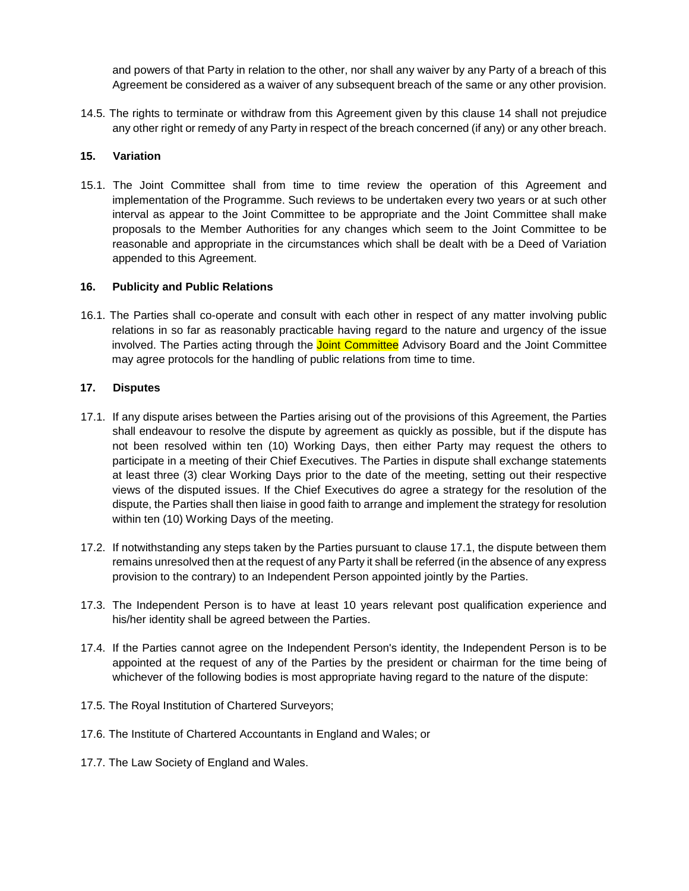and powers of that Party in relation to the other, nor shall any waiver by any Party of a breach of this Agreement be considered as a waiver of any subsequent breach of the same or any other provision.

14.5. The rights to terminate or withdraw from this Agreement given by this clause 14 shall not prejudice any other right or remedy of any Party in respect of the breach concerned (if any) or any other breach.

### <span id="page-14-0"></span>**15. Variation**

15.1. The Joint Committee shall from time to time review the operation of this Agreement and implementation of the Programme. Such reviews to be undertaken every two years or at such other interval as appear to the Joint Committee to be appropriate and the Joint Committee shall make proposals to the Member Authorities for any changes which seem to the Joint Committee to be reasonable and appropriate in the circumstances which shall be dealt with be a Deed of Variation appended to this Agreement.

### <span id="page-14-1"></span>**16. Publicity and Public Relations**

16.1. The Parties shall co-operate and consult with each other in respect of any matter involving public relations in so far as reasonably practicable having regard to the nature and urgency of the issue involved. The Parties acting through the Joint Committee Advisory Board and the Joint Committee may agree protocols for the handling of public relations from time to time.

### <span id="page-14-2"></span>**17. Disputes**

- 17.1. If any dispute arises between the Parties arising out of the provisions of this Agreement, the Parties shall endeavour to resolve the dispute by agreement as quickly as possible, but if the dispute has not been resolved within ten (10) Working Days, then either Party may request the others to participate in a meeting of their Chief Executives. The Parties in dispute shall exchange statements at least three (3) clear Working Days prior to the date of the meeting, setting out their respective views of the disputed issues. If the Chief Executives do agree a strategy for the resolution of the dispute, the Parties shall then liaise in good faith to arrange and implement the strategy for resolution within ten (10) Working Days of the meeting.
- 17.2. If notwithstanding any steps taken by the Parties pursuant to clause 17.1, the dispute between them remains unresolved then at the request of any Party it shall be referred (in the absence of any express provision to the contrary) to an Independent Person appointed jointly by the Parties.
- 17.3. The Independent Person is to have at least 10 years relevant post qualification experience and his/her identity shall be agreed between the Parties.
- 17.4. If the Parties cannot agree on the Independent Person's identity, the Independent Person is to be appointed at the request of any of the Parties by the president or chairman for the time being of whichever of the following bodies is most appropriate having regard to the nature of the dispute:
- 17.5. The Royal Institution of Chartered Surveyors;
- 17.6. The Institute of Chartered Accountants in England and Wales; or
- 17.7. The Law Society of England and Wales.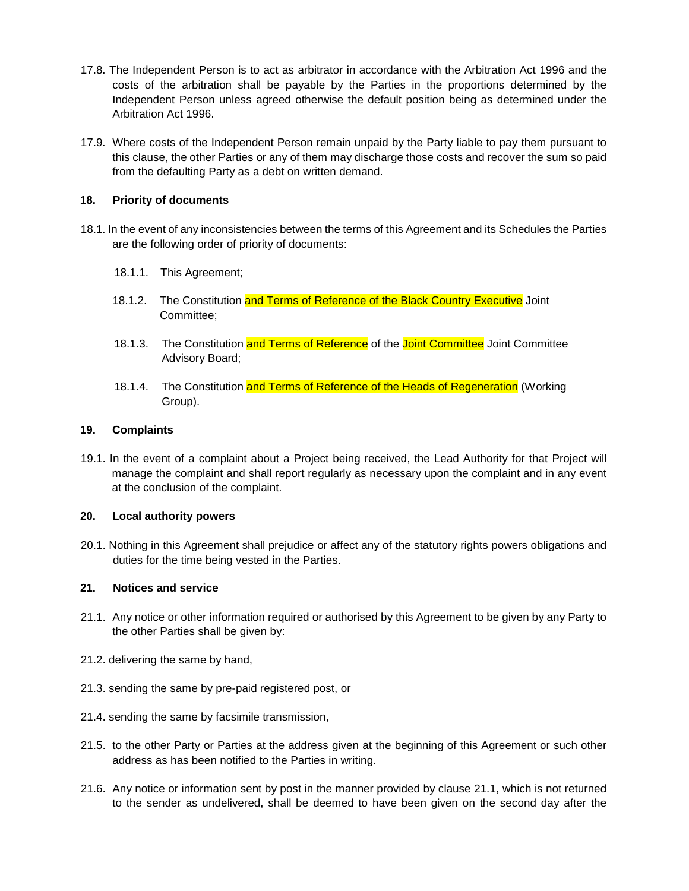- 17.8. The Independent Person is to act as arbitrator in accordance with the Arbitration Act 1996 and the costs of the arbitration shall be payable by the Parties in the proportions determined by the Independent Person unless agreed otherwise the default position being as determined under the Arbitration Act 1996.
- 17.9. Where costs of the Independent Person remain unpaid by the Party liable to pay them pursuant to this clause, the other Parties or any of them may discharge those costs and recover the sum so paid from the defaulting Party as a debt on written demand.

## <span id="page-15-0"></span>**18. Priority of documents**

- 18.1. In the event of any inconsistencies between the terms of this Agreement and its Schedules the Parties are the following order of priority of documents:
	- 18.1.1. This Agreement;
	- 18.1.2. The Constitution and Terms of Reference of the Black Country Executive Joint Committee;
	- 18.1.3. The Constitution and Terms of Reference of the Joint Committee Joint Committee Advisory Board;
	- 18.1.4. The Constitution and Terms of Reference of the Heads of Regeneration (Working Group).

### <span id="page-15-1"></span>**19. Complaints**

19.1. In the event of a complaint about a Project being received, the Lead Authority for that Project will manage the complaint and shall report regularly as necessary upon the complaint and in any event at the conclusion of the complaint.

### <span id="page-15-2"></span>**20. Local authority powers**

20.1. Nothing in this Agreement shall prejudice or affect any of the statutory rights powers obligations and duties for the time being vested in the Parties.

### <span id="page-15-3"></span>**21. Notices and service**

- 21.1. Any notice or other information required or authorised by this Agreement to be given by any Party to the other Parties shall be given by:
- 21.2. delivering the same by hand,
- 21.3. sending the same by pre-paid registered post, or
- 21.4. sending the same by facsimile transmission,
- 21.5. to the other Party or Parties at the address given at the beginning of this Agreement or such other address as has been notified to the Parties in writing.
- 21.6. Any notice or information sent by post in the manner provided by clause 21.1, which is not returned to the sender as undelivered, shall be deemed to have been given on the second day after the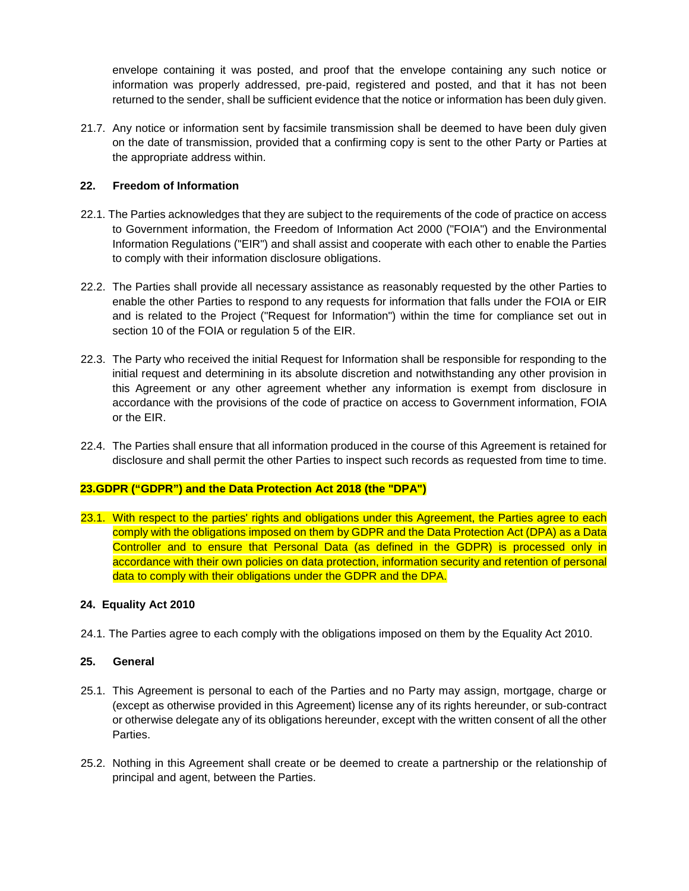envelope containing it was posted, and proof that the envelope containing any such notice or information was properly addressed, pre-paid, registered and posted, and that it has not been returned to the sender, shall be sufficient evidence that the notice or information has been duly given.

21.7. Any notice or information sent by facsimile transmission shall be deemed to have been duly given on the date of transmission, provided that a confirming copy is sent to the other Party or Parties at the appropriate address within.

## <span id="page-16-0"></span>**22. Freedom of Information**

- 22.1. The Parties acknowledges that they are subject to the requirements of the code of practice on access to Government information, the Freedom of Information Act 2000 ("FOIA") and the Environmental Information Regulations ("EIR") and shall assist and cooperate with each other to enable the Parties to comply with their information disclosure obligations.
- 22.2. The Parties shall provide all necessary assistance as reasonably requested by the other Parties to enable the other Parties to respond to any requests for information that falls under the FOIA or EIR and is related to the Project ("Request for Information") within the time for compliance set out in section 10 of the FOIA or regulation 5 of the EIR.
- 22.3. The Party who received the initial Request for Information shall be responsible for responding to the initial request and determining in its absolute discretion and notwithstanding any other provision in this Agreement or any other agreement whether any information is exempt from disclosure in accordance with the provisions of the code of practice on access to Government information, FOIA or the EIR.
- 22.4. The Parties shall ensure that all information produced in the course of this Agreement is retained for disclosure and shall permit the other Parties to inspect such records as requested from time to time.

## <span id="page-16-1"></span>**23.GDPR ("GDPR") and the Data Protection Act 2018 (the "DPA")**

23.1. With respect to the parties' rights and obligations under this Agreement, the Parties agree to each comply with the obligations imposed on them by GDPR and the Data Protection Act (DPA) as a Data Controller and to ensure that Personal Data (as defined in the GDPR) is processed only in accordance with their own policies on data protection, information security and retention of personal data to comply with their obligations under the GDPR and the DPA.

## <span id="page-16-2"></span>**24. Equality Act 2010**

24.1. The Parties agree to each comply with the obligations imposed on them by the Equality Act 2010.

## <span id="page-16-3"></span>**25. General**

- 25.1. This Agreement is personal to each of the Parties and no Party may assign, mortgage, charge or (except as otherwise provided in this Agreement) license any of its rights hereunder, or sub-contract or otherwise delegate any of its obligations hereunder, except with the written consent of all the other Parties.
- 25.2. Nothing in this Agreement shall create or be deemed to create a partnership or the relationship of principal and agent, between the Parties.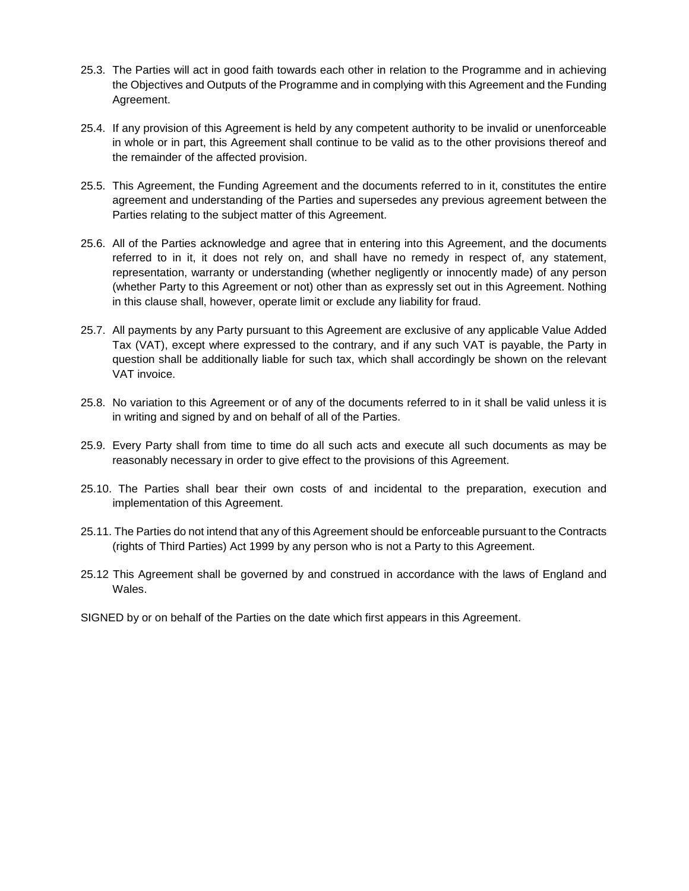- 25.3. The Parties will act in good faith towards each other in relation to the Programme and in achieving the Objectives and Outputs of the Programme and in complying with this Agreement and the Funding Agreement.
- 25.4. If any provision of this Agreement is held by any competent authority to be invalid or unenforceable in whole or in part, this Agreement shall continue to be valid as to the other provisions thereof and the remainder of the affected provision.
- 25.5. This Agreement, the Funding Agreement and the documents referred to in it, constitutes the entire agreement and understanding of the Parties and supersedes any previous agreement between the Parties relating to the subject matter of this Agreement.
- 25.6. All of the Parties acknowledge and agree that in entering into this Agreement, and the documents referred to in it, it does not rely on, and shall have no remedy in respect of, any statement, representation, warranty or understanding (whether negligently or innocently made) of any person (whether Party to this Agreement or not) other than as expressly set out in this Agreement. Nothing in this clause shall, however, operate limit or exclude any liability for fraud.
- 25.7. All payments by any Party pursuant to this Agreement are exclusive of any applicable Value Added Tax (VAT), except where expressed to the contrary, and if any such VAT is payable, the Party in question shall be additionally liable for such tax, which shall accordingly be shown on the relevant VAT invoice.
- 25.8. No variation to this Agreement or of any of the documents referred to in it shall be valid unless it is in writing and signed by and on behalf of all of the Parties.
- 25.9. Every Party shall from time to time do all such acts and execute all such documents as may be reasonably necessary in order to give effect to the provisions of this Agreement.
- 25.10. The Parties shall bear their own costs of and incidental to the preparation, execution and implementation of this Agreement.
- 25.11. The Parties do not intend that any of this Agreement should be enforceable pursuant to the Contracts (rights of Third Parties) Act 1999 by any person who is not a Party to this Agreement.
- 25.12 This Agreement shall be governed by and construed in accordance with the laws of England and Wales.
- SIGNED by or on behalf of the Parties on the date which first appears in this Agreement.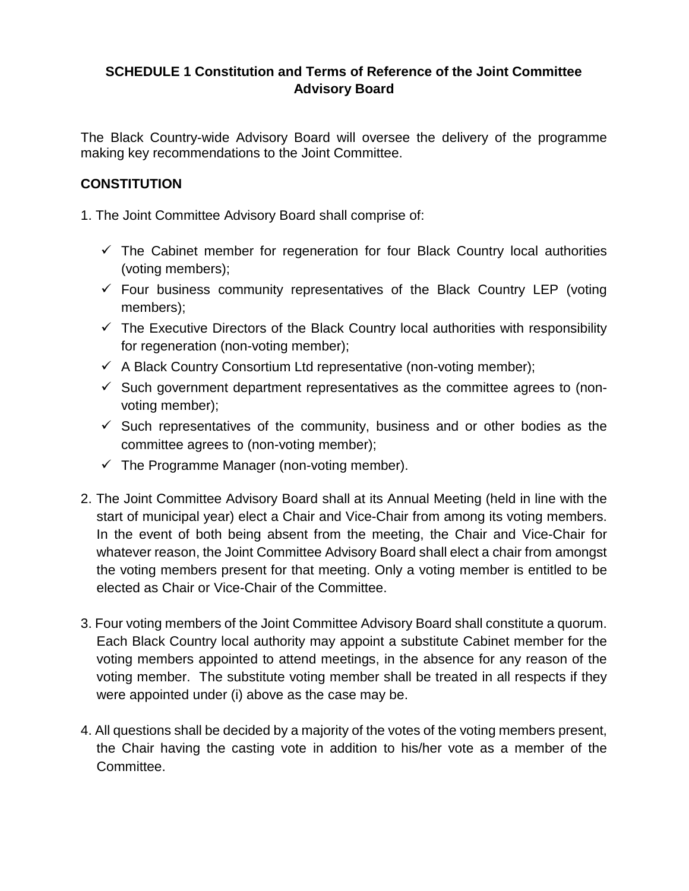## <span id="page-18-0"></span>**SCHEDULE 1 Constitution and Terms of Reference of the Joint Committee Advisory Board**

The Black Country-wide Advisory Board will oversee the delivery of the programme making key recommendations to the Joint Committee.

## **CONSTITUTION**

1. The Joint Committee Advisory Board shall comprise of:

- $\checkmark$  The Cabinet member for regeneration for four Black Country local authorities (voting members);
- $\checkmark$  Four business community representatives of the Black Country LEP (voting members);
- $\checkmark$  The Executive Directors of the Black Country local authorities with responsibility for regeneration (non-voting member);
- $\checkmark$  A Black Country Consortium Ltd representative (non-voting member);
- $\checkmark$  Such government department representatives as the committee agrees to (nonvoting member);
- $\checkmark$  Such representatives of the community, business and or other bodies as the committee agrees to (non-voting member);
- $\checkmark$  The Programme Manager (non-voting member).
- 2. The Joint Committee Advisory Board shall at its Annual Meeting (held in line with the start of municipal year) elect a Chair and Vice-Chair from among its voting members. In the event of both being absent from the meeting, the Chair and Vice-Chair for whatever reason, the Joint Committee Advisory Board shall elect a chair from amongst the voting members present for that meeting. Only a voting member is entitled to be elected as Chair or Vice-Chair of the Committee.
- 3. Four voting members of the Joint Committee Advisory Board shall constitute a quorum. Each Black Country local authority may appoint a substitute Cabinet member for the voting members appointed to attend meetings, in the absence for any reason of the voting member. The substitute voting member shall be treated in all respects if they were appointed under (i) above as the case may be.
- 4. All questions shall be decided by a majority of the votes of the voting members present, the Chair having the casting vote in addition to his/her vote as a member of the Committee.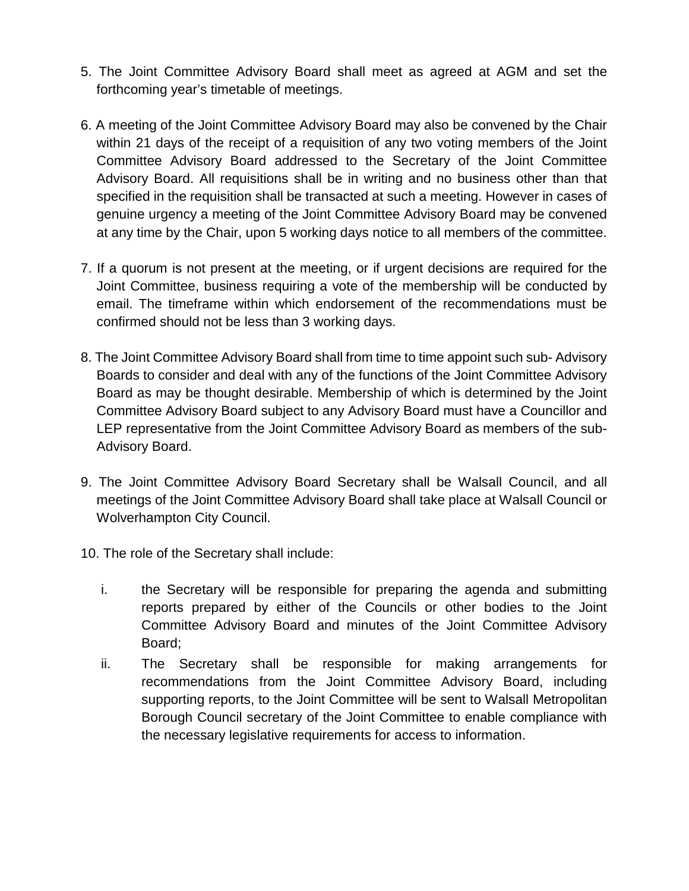- 5. The Joint Committee Advisory Board shall meet as agreed at AGM and set the forthcoming year's timetable of meetings.
- 6. A meeting of the Joint Committee Advisory Board may also be convened by the Chair within 21 days of the receipt of a requisition of any two voting members of the Joint Committee Advisory Board addressed to the Secretary of the Joint Committee Advisory Board. All requisitions shall be in writing and no business other than that specified in the requisition shall be transacted at such a meeting. However in cases of genuine urgency a meeting of the Joint Committee Advisory Board may be convened at any time by the Chair, upon 5 working days notice to all members of the committee.
- 7. If a quorum is not present at the meeting, or if urgent decisions are required for the Joint Committee, business requiring a vote of the membership will be conducted by email. The timeframe within which endorsement of the recommendations must be confirmed should not be less than 3 working days.
- 8. The Joint Committee Advisory Board shall from time to time appoint such sub- Advisory Boards to consider and deal with any of the functions of the Joint Committee Advisory Board as may be thought desirable. Membership of which is determined by the Joint Committee Advisory Board subject to any Advisory Board must have a Councillor and LEP representative from the Joint Committee Advisory Board as members of the sub-Advisory Board.
- 9. The Joint Committee Advisory Board Secretary shall be Walsall Council, and all meetings of the Joint Committee Advisory Board shall take place at Walsall Council or Wolverhampton City Council.
- 10. The role of the Secretary shall include:
	- i. the Secretary will be responsible for preparing the agenda and submitting reports prepared by either of the Councils or other bodies to the Joint Committee Advisory Board and minutes of the Joint Committee Advisory Board;
	- ii. The Secretary shall be responsible for making arrangements for recommendations from the Joint Committee Advisory Board, including supporting reports, to the Joint Committee will be sent to Walsall Metropolitan Borough Council secretary of the Joint Committee to enable compliance with the necessary legislative requirements for access to information.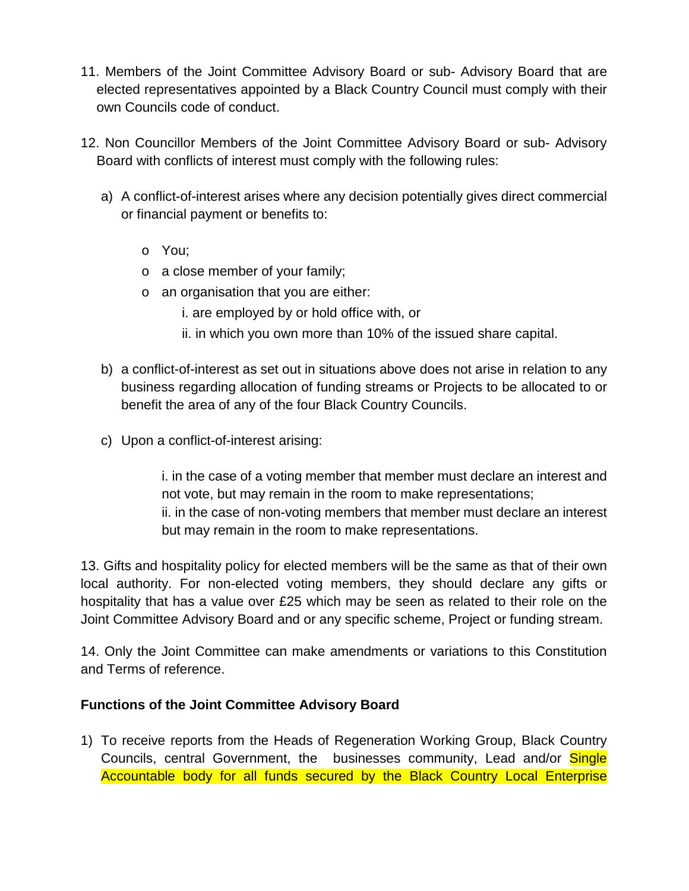- 11. Members of the Joint Committee Advisory Board or sub- Advisory Board that are elected representatives appointed by a Black Country Council must comply with their own Councils code of conduct.
- 12. Non Councillor Members of the Joint Committee Advisory Board or sub- Advisory Board with conflicts of interest must comply with the following rules:
	- a) A conflict-of-interest arises where any decision potentially gives direct commercial or financial payment or benefits to:
		- o You;
		- o a close member of your family;
		- o an organisation that you are either:
			- i. are employed by or hold office with, or
			- ii. in which you own more than 10% of the issued share capital.
	- b) a conflict-of-interest as set out in situations above does not arise in relation to any business regarding allocation of funding streams or Projects to be allocated to or benefit the area of any of the four Black Country Councils.
	- c) Upon a conflict-of-interest arising:

i. in the case of a voting member that member must declare an interest and not vote, but may remain in the room to make representations; ii. in the case of non-voting members that member must declare an interest but may remain in the room to make representations.

13. Gifts and hospitality policy for elected members will be the same as that of their own local authority. For non-elected voting members, they should declare any gifts or hospitality that has a value over £25 which may be seen as related to their role on the Joint Committee Advisory Board and or any specific scheme, Project or funding stream.

14. Only the Joint Committee can make amendments or variations to this Constitution and Terms of reference.

## **Functions of the Joint Committee Advisory Board**

1) To receive reports from the Heads of Regeneration Working Group, Black Country Councils, central Government, the businesses community, Lead and/or **Single** Accountable body for all funds secured by the Black Country Local Enterprise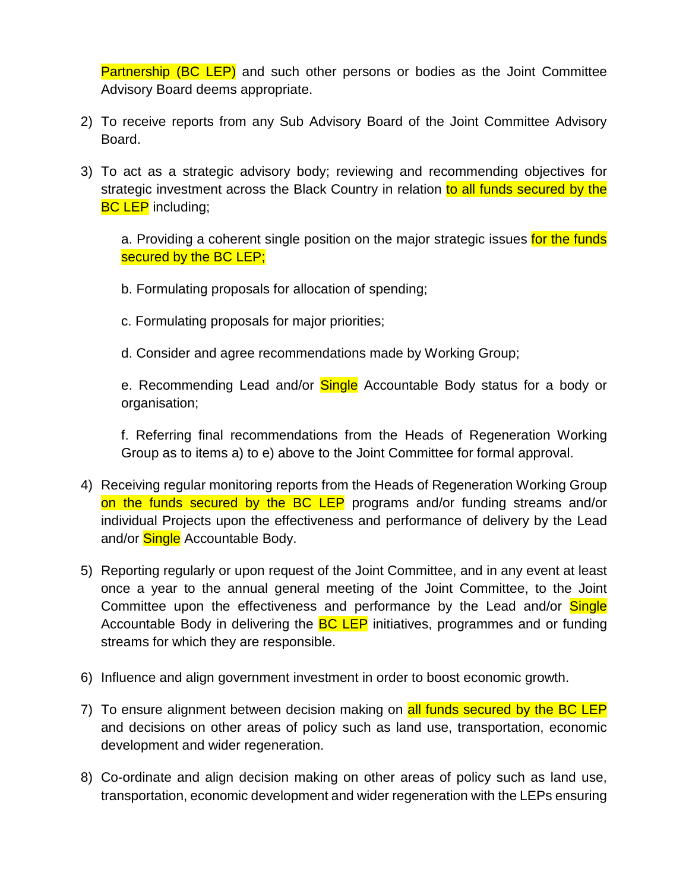**Partnership (BC LEP)** and such other persons or bodies as the Joint Committee Advisory Board deems appropriate.

- 2) To receive reports from any Sub Advisory Board of the Joint Committee Advisory Board.
- 3) To act as a strategic advisory body; reviewing and recommending objectives for strategic investment across the Black Country in relation to all funds secured by the **BC LEP** including;

a. Providing a coherent single position on the major strategic issues for the funds secured by the BC LEP;

- b. Formulating proposals for allocation of spending;
- c. Formulating proposals for major priorities;
- d. Consider and agree recommendations made by Working Group;

e. Recommending Lead and/or **Single** Accountable Body status for a body or organisation;

f. Referring final recommendations from the Heads of Regeneration Working Group as to items a) to e) above to the Joint Committee for formal approval.

- 4) Receiving regular monitoring reports from the Heads of Regeneration Working Group on the funds secured by the BC LEP programs and/or funding streams and/or individual Projects upon the effectiveness and performance of delivery by the Lead and/or **Single** Accountable Body.
- 5) Reporting regularly or upon request of the Joint Committee, and in any event at least once a year to the annual general meeting of the Joint Committee, to the Joint Committee upon the effectiveness and performance by the Lead and/or **Single** Accountable Body in delivering the **BC LEP** initiatives, programmes and or funding streams for which they are responsible.
- 6) Influence and align government investment in order to boost economic growth.
- 7) To ensure alignment between decision making on all funds secured by the BC LEP and decisions on other areas of policy such as land use, transportation, economic development and wider regeneration.
- 8) Co-ordinate and align decision making on other areas of policy such as land use, transportation, economic development and wider regeneration with the LEPs ensuring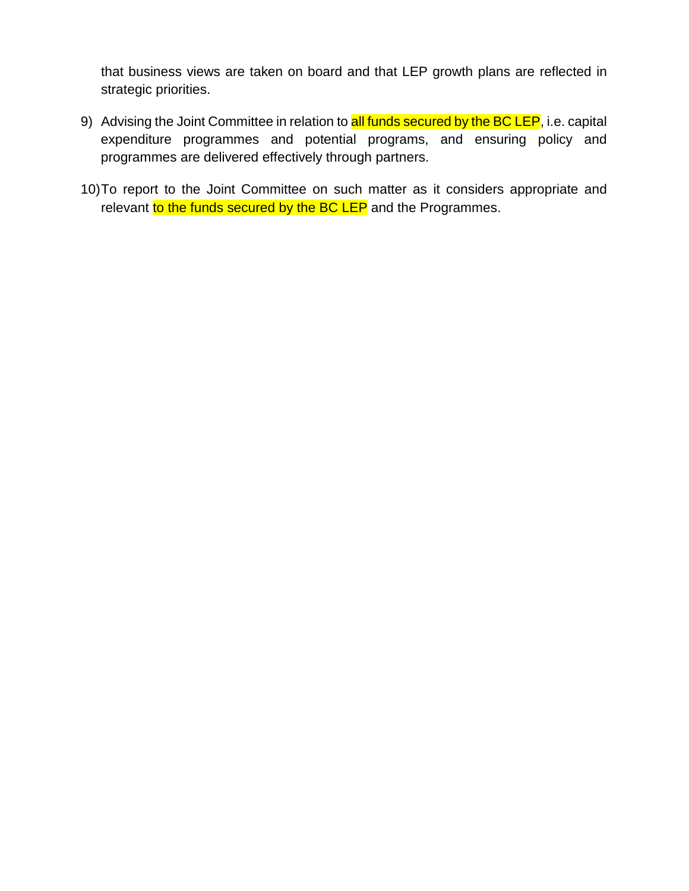that business views are taken on board and that LEP growth plans are reflected in strategic priorities.

- 9) Advising the Joint Committee in relation to all funds secured by the BC LEP, i.e. capital expenditure programmes and potential programs, and ensuring policy and programmes are delivered effectively through partners.
- 10)To report to the Joint Committee on such matter as it considers appropriate and relevant to the funds secured by the BC LEP and the Programmes.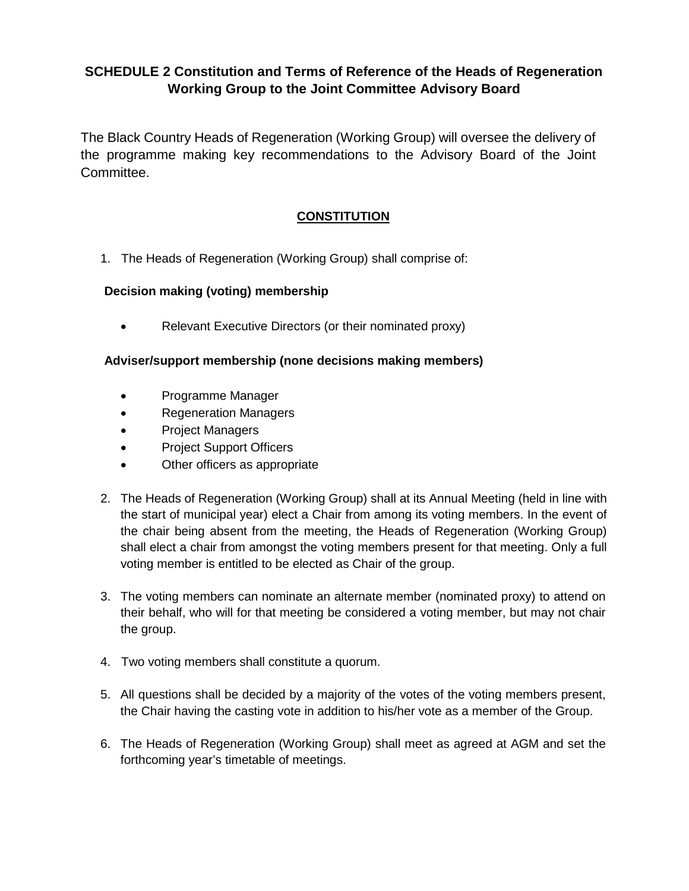## <span id="page-23-0"></span>**SCHEDULE 2 Constitution and Terms of Reference of the Heads of Regeneration Working Group to the Joint Committee Advisory Board**

The Black Country Heads of Regeneration (Working Group) will oversee the delivery of the programme making key recommendations to the Advisory Board of the Joint Committee.

## **CONSTITUTION**

1. The Heads of Regeneration (Working Group) shall comprise of:

## **Decision making (voting) membership**

• Relevant Executive Directors (or their nominated proxy)

## **Adviser/support membership (none decisions making members)**

- Programme Manager
- Regeneration Managers
- Project Managers
- Project Support Officers
- Other officers as appropriate
- 2. The Heads of Regeneration (Working Group) shall at its Annual Meeting (held in line with the start of municipal year) elect a Chair from among its voting members. In the event of the chair being absent from the meeting, the Heads of Regeneration (Working Group) shall elect a chair from amongst the voting members present for that meeting. Only a full voting member is entitled to be elected as Chair of the group.
- 3. The voting members can nominate an alternate member (nominated proxy) to attend on their behalf, who will for that meeting be considered a voting member, but may not chair the group.
- 4. Two voting members shall constitute a quorum.
- 5. All questions shall be decided by a majority of the votes of the voting members present, the Chair having the casting vote in addition to his/her vote as a member of the Group.
- 6. The Heads of Regeneration (Working Group) shall meet as agreed at AGM and set the forthcoming year's timetable of meetings.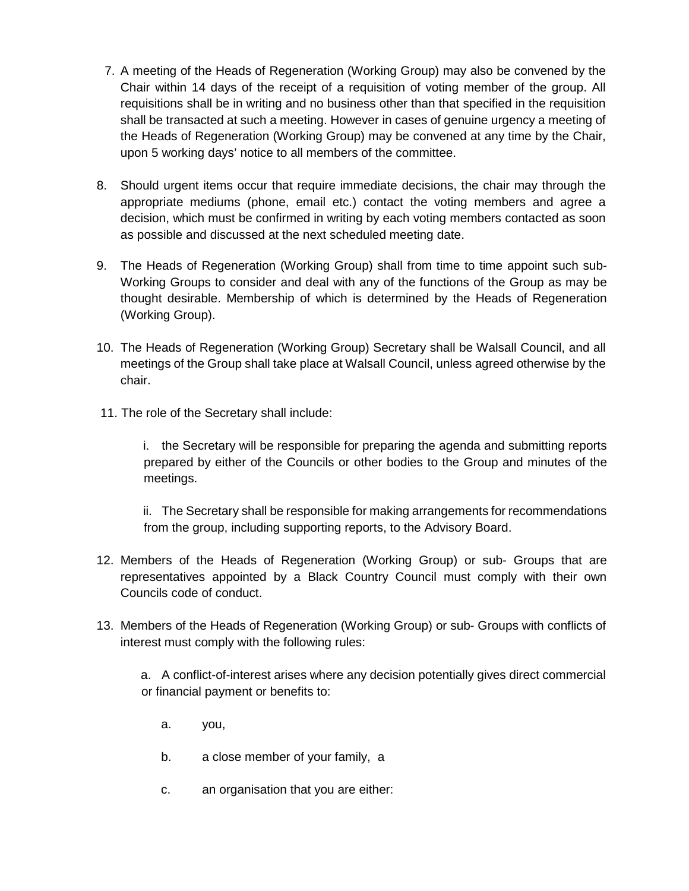- 7. A meeting of the Heads of Regeneration (Working Group) may also be convened by the Chair within 14 days of the receipt of a requisition of voting member of the group. All requisitions shall be in writing and no business other than that specified in the requisition shall be transacted at such a meeting. However in cases of genuine urgency a meeting of the Heads of Regeneration (Working Group) may be convened at any time by the Chair, upon 5 working days' notice to all members of the committee.
- 8. Should urgent items occur that require immediate decisions, the chair may through the appropriate mediums (phone, email etc.) contact the voting members and agree a decision, which must be confirmed in writing by each voting members contacted as soon as possible and discussed at the next scheduled meeting date.
- 9. The Heads of Regeneration (Working Group) shall from time to time appoint such sub-Working Groups to consider and deal with any of the functions of the Group as may be thought desirable. Membership of which is determined by the Heads of Regeneration (Working Group).
- 10. The Heads of Regeneration (Working Group) Secretary shall be Walsall Council, and all meetings of the Group shall take place at Walsall Council, unless agreed otherwise by the chair.
- 11. The role of the Secretary shall include:

i. the Secretary will be responsible for preparing the agenda and submitting reports prepared by either of the Councils or other bodies to the Group and minutes of the meetings.

ii. The Secretary shall be responsible for making arrangements for recommendations from the group, including supporting reports, to the Advisory Board.

- 12. Members of the Heads of Regeneration (Working Group) or sub- Groups that are representatives appointed by a Black Country Council must comply with their own Councils code of conduct.
- 13. Members of the Heads of Regeneration (Working Group) or sub- Groups with conflicts of interest must comply with the following rules:

a. A conflict-of-interest arises where any decision potentially gives direct commercial or financial payment or benefits to:

- a. you,
- b. a close member of your family, a
- c. an organisation that you are either: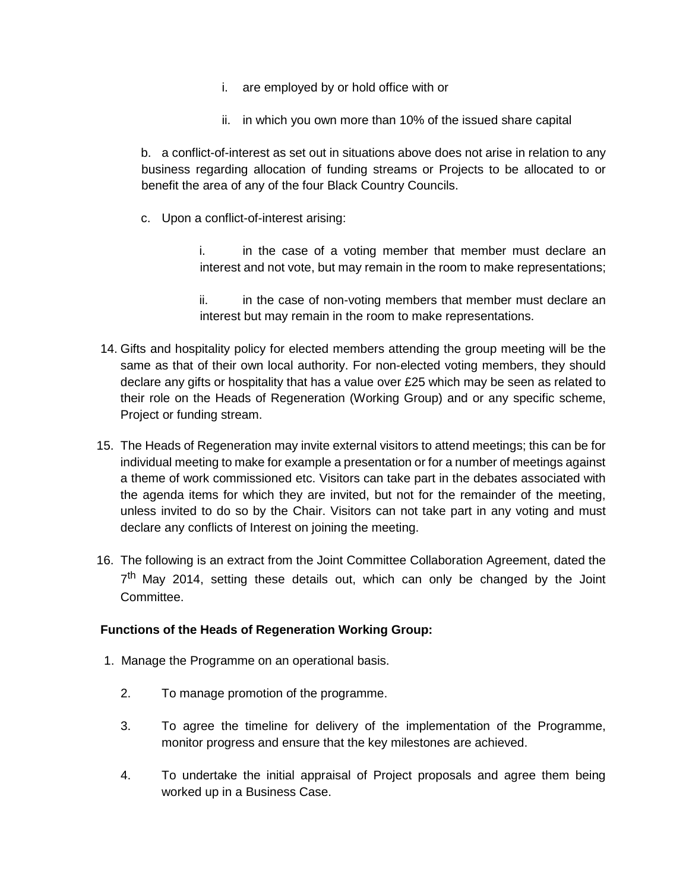- i. are employed by or hold office with or
- ii. in which you own more than 10% of the issued share capital

b. a conflict-of-interest as set out in situations above does not arise in relation to any business regarding allocation of funding streams or Projects to be allocated to or benefit the area of any of the four Black Country Councils.

c. Upon a conflict-of-interest arising:

i. in the case of a voting member that member must declare an interest and not vote, but may remain in the room to make representations;

ii. in the case of non-voting members that member must declare an interest but may remain in the room to make representations.

- 14. Gifts and hospitality policy for elected members attending the group meeting will be the same as that of their own local authority. For non-elected voting members, they should declare any gifts or hospitality that has a value over £25 which may be seen as related to their role on the Heads of Regeneration (Working Group) and or any specific scheme, Project or funding stream.
- 15. The Heads of Regeneration may invite external visitors to attend meetings; this can be for individual meeting to make for example a presentation or for a number of meetings against a theme of work commissioned etc. Visitors can take part in the debates associated with the agenda items for which they are invited, but not for the remainder of the meeting, unless invited to do so by the Chair. Visitors can not take part in any voting and must declare any conflicts of Interest on joining the meeting.
- 16. The following is an extract from the Joint Committee Collaboration Agreement, dated the  $7<sup>th</sup>$  May 2014, setting these details out, which can only be changed by the Joint Committee.

## **Functions of the Heads of Regeneration Working Group:**

- 1. Manage the Programme on an operational basis.
	- 2. To manage promotion of the programme.
	- 3. To agree the timeline for delivery of the implementation of the Programme, monitor progress and ensure that the key milestones are achieved.
	- 4. To undertake the initial appraisal of Project proposals and agree them being worked up in a Business Case.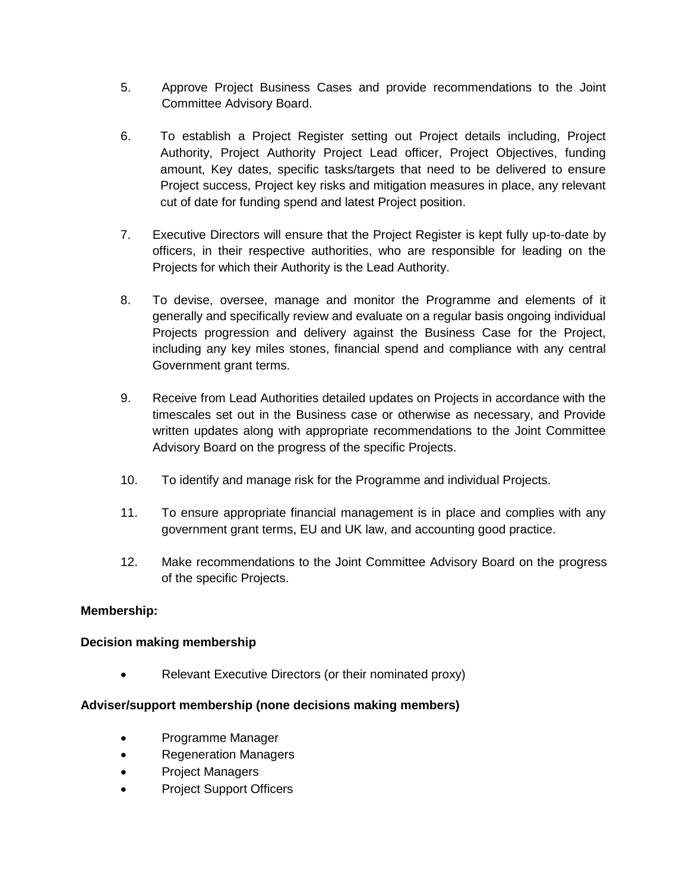- 5. Approve Project Business Cases and provide recommendations to the Joint Committee Advisory Board.
- 6. To establish a Project Register setting out Project details including, Project Authority, Project Authority Project Lead officer, Project Objectives, funding amount, Key dates, specific tasks/targets that need to be delivered to ensure Project success, Project key risks and mitigation measures in place, any relevant cut of date for funding spend and latest Project position.
- 7. Executive Directors will ensure that the Project Register is kept fully up-to-date by officers, in their respective authorities, who are responsible for leading on the Projects for which their Authority is the Lead Authority.
- 8. To devise, oversee, manage and monitor the Programme and elements of it generally and specifically review and evaluate on a regular basis ongoing individual Projects progression and delivery against the Business Case for the Project, including any key miles stones, financial spend and compliance with any central Government grant terms.
- 9. Receive from Lead Authorities detailed updates on Projects in accordance with the timescales set out in the Business case or otherwise as necessary, and Provide written updates along with appropriate recommendations to the Joint Committee Advisory Board on the progress of the specific Projects.
- 10. To identify and manage risk for the Programme and individual Projects.
- 11. To ensure appropriate financial management is in place and complies with any government grant terms, EU and UK law, and accounting good practice.
- 12. Make recommendations to the Joint Committee Advisory Board on the progress of the specific Projects.

## **Membership:**

## **Decision making membership**

• Relevant Executive Directors (or their nominated proxy)

## **Adviser/support membership (none decisions making members)**

- Programme Manager
- Regeneration Managers
- Project Managers
- Project Support Officers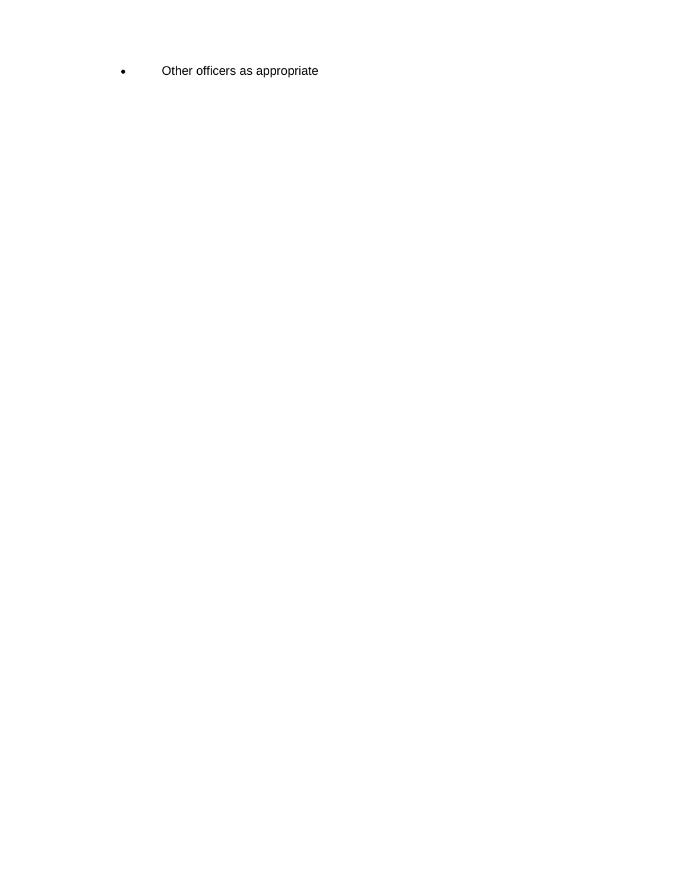• Other officers as appropriate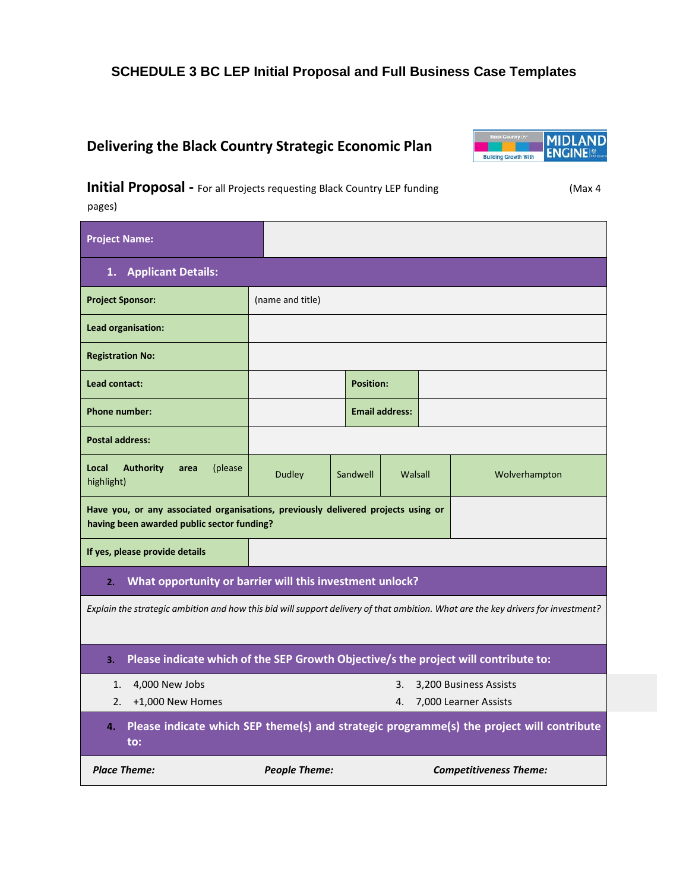## <span id="page-28-0"></span>**SCHEDULE 3 BC LEP Initial Proposal and Full Business Case Templates**

## **Delivering the Black Country Strategic Economic Plan**



## **Initial Proposal -** For all Projects requesting Black Country LEP funding (Max 4 pages)

| <b>Project Name:</b>                                                                                                             |                      |                  |                       |                                                                                           |
|----------------------------------------------------------------------------------------------------------------------------------|----------------------|------------------|-----------------------|-------------------------------------------------------------------------------------------|
| 1. Applicant Details:                                                                                                            |                      |                  |                       |                                                                                           |
| <b>Project Sponsor:</b>                                                                                                          | (name and title)     |                  |                       |                                                                                           |
| Lead organisation:                                                                                                               |                      |                  |                       |                                                                                           |
| <b>Registration No:</b>                                                                                                          |                      |                  |                       |                                                                                           |
| Lead contact:                                                                                                                    |                      | <b>Position:</b> |                       |                                                                                           |
| <b>Phone number:</b>                                                                                                             |                      |                  | <b>Email address:</b> |                                                                                           |
| <b>Postal address:</b>                                                                                                           |                      |                  |                       |                                                                                           |
| <b>Authority</b><br>Local<br>area<br>(please)<br>highlight)                                                                      | <b>Dudley</b>        | Sandwell         | Walsall               | Wolverhampton                                                                             |
| Have you, or any associated organisations, previously delivered projects using or<br>having been awarded public sector funding?  |                      |                  |                       |                                                                                           |
| If yes, please provide details                                                                                                   |                      |                  |                       |                                                                                           |
| What opportunity or barrier will this investment unlock?<br>2.                                                                   |                      |                  |                       |                                                                                           |
| Explain the strategic ambition and how this bid will support delivery of that ambition. What are the key drivers for investment? |                      |                  |                       |                                                                                           |
| Please indicate which of the SEP Growth Objective/s the project will contribute to:<br>3.                                        |                      |                  |                       |                                                                                           |
| 4,000 New Jobs<br>1.                                                                                                             |                      |                  | 3.                    | 3,200 Business Assists                                                                    |
| 2.<br>+1,000 New Homes                                                                                                           |                      |                  | 4.                    | 7,000 Learner Assists                                                                     |
| 4.<br>to:                                                                                                                        |                      |                  |                       | Please indicate which SEP theme(s) and strategic programme(s) the project will contribute |
| <b>Place Theme:</b>                                                                                                              | <b>People Theme:</b> |                  |                       | <b>Competitiveness Theme:</b>                                                             |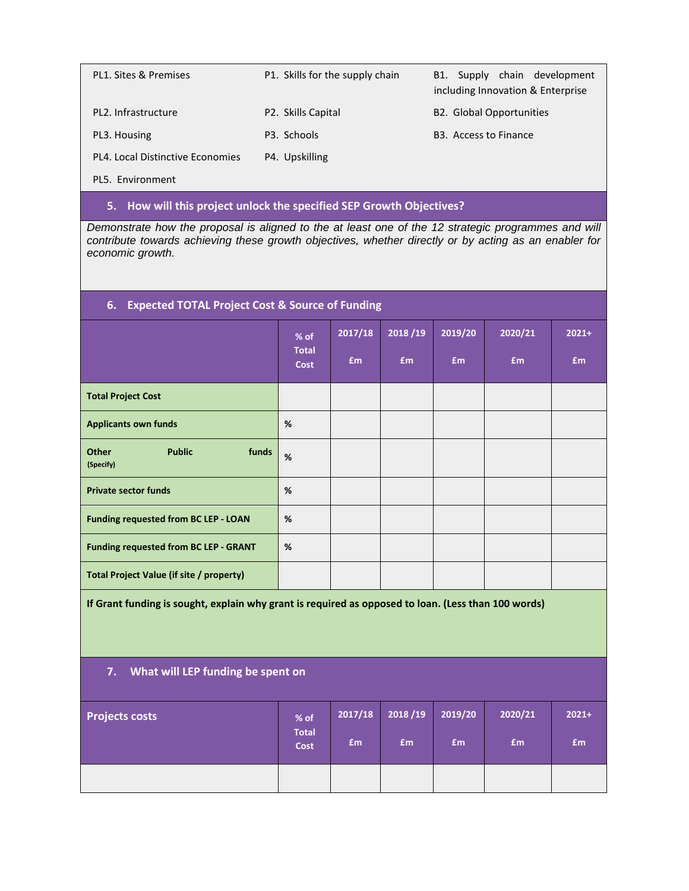| PL1. Sites & Premises                   | P1. Skills for the supply chain | B1. Supply chain development<br>including Innovation & Enterprise |
|-----------------------------------------|---------------------------------|-------------------------------------------------------------------|
| PL2. Infrastructure                     | P2. Skills Capital              | <b>B2. Global Opportunities</b>                                   |
| PL3. Housing                            | P3. Schools                     | <b>B3. Access to Finance</b>                                      |
| <b>PL4. Local Distinctive Economies</b> | P4. Upskilling                  |                                                                   |

PL5. Environment

## **5. How will this project unlock the specified SEP Growth Objectives?**

*Demonstrate how the proposal is aligned to the at least one of the 12 strategic programmes and will contribute towards achieving these growth objectives, whether directly or by acting as an enabler for economic growth.* 

| <b>Expected TOTAL Project Cost &amp; Source of Funding</b><br>6. |                                       |               |               |               |               |               |
|------------------------------------------------------------------|---------------------------------------|---------------|---------------|---------------|---------------|---------------|
|                                                                  | $%$ of<br><b>Total</b><br><b>Cost</b> | 2017/18<br>£m | 2018/19<br>Em | 2019/20<br>£m | 2020/21<br>£m | $2021+$<br>£m |
| <b>Total Project Cost</b>                                        |                                       |               |               |               |               |               |
| <b>Applicants own funds</b>                                      | %                                     |               |               |               |               |               |
| <b>Public</b><br><b>Other</b><br>funds<br>(Specify)              | %                                     |               |               |               |               |               |
| <b>Private sector funds</b>                                      | %                                     |               |               |               |               |               |
| <b>Funding requested from BC LEP - LOAN</b>                      | %                                     |               |               |               |               |               |
| <b>Funding requested from BC LEP - GRANT</b>                     | %                                     |               |               |               |               |               |
| Total Project Value (if site / property)                         |                                       |               |               |               |               |               |

**If Grant funding is sought, explain why grant is required as opposed to loan. (Less than 100 words)**

## **7. What will LEP funding be spent on**

| <b>Projects costs</b> | % of<br>Total<br>Cost | 2017/18<br>Em. | 2018/19<br>£m | 2019/20<br>£m | 2020/21<br>£m | $2021+$<br>Em. |
|-----------------------|-----------------------|----------------|---------------|---------------|---------------|----------------|
|                       |                       |                |               |               |               |                |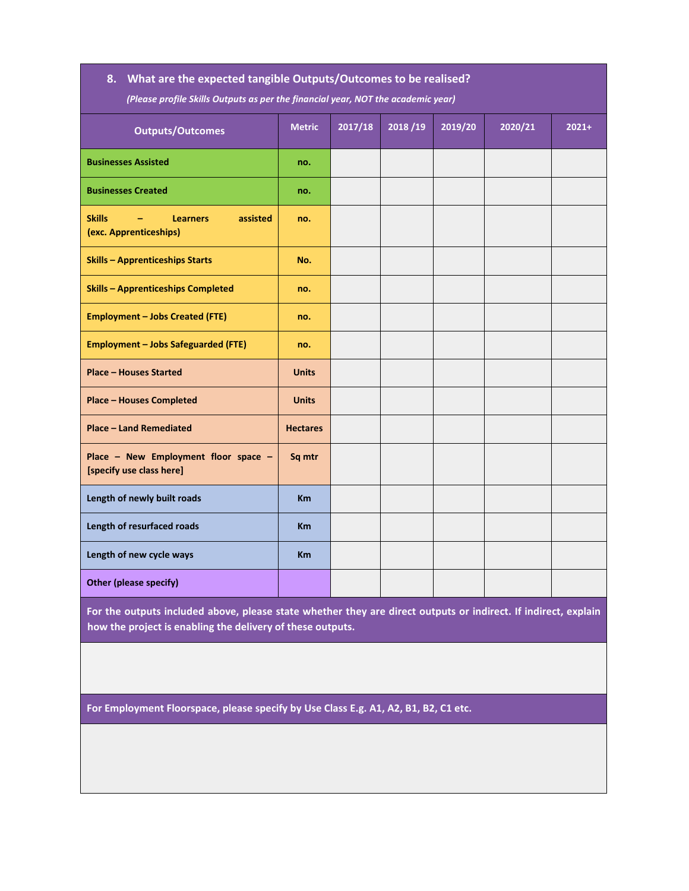## **8. What are the expected tangible Outputs/Outcomes to be realised?**

| <b>Outputs/Outcomes</b>                                                | <b>Metric</b>   | 2017/18 | 2018/19 | 2019/20 | 2020/21 | $2021+$ |
|------------------------------------------------------------------------|-----------------|---------|---------|---------|---------|---------|
| <b>Businesses Assisted</b>                                             | no.             |         |         |         |         |         |
| <b>Businesses Created</b>                                              | no.             |         |         |         |         |         |
| <b>Skills</b><br><b>Learners</b><br>assisted<br>(exc. Apprenticeships) | no.             |         |         |         |         |         |
| <b>Skills - Apprenticeships Starts</b>                                 | No.             |         |         |         |         |         |
| <b>Skills - Apprenticeships Completed</b>                              | no.             |         |         |         |         |         |
| <b>Employment - Jobs Created (FTE)</b>                                 | no.             |         |         |         |         |         |
| <b>Employment - Jobs Safeguarded (FTE)</b>                             | no.             |         |         |         |         |         |
| <b>Place - Houses Started</b>                                          | <b>Units</b>    |         |         |         |         |         |
| <b>Place - Houses Completed</b>                                        | <b>Units</b>    |         |         |         |         |         |
| <b>Place - Land Remediated</b>                                         | <b>Hectares</b> |         |         |         |         |         |
| Place - New Employment floor space -<br>[specify use class here]       | Sq mtr          |         |         |         |         |         |
| Length of newly built roads                                            | <b>Km</b>       |         |         |         |         |         |
| Length of resurfaced roads                                             | <b>Km</b>       |         |         |         |         |         |
| Length of new cycle ways                                               | <b>Km</b>       |         |         |         |         |         |
| <b>Other (please specify)</b>                                          |                 |         |         |         |         |         |

*(Please profile Skills Outputs as per the financial year, NOT the academic year)*

**For the outputs included above, please state whether they are direct outputs or indirect. If indirect, explain how the project is enabling the delivery of these outputs.** 

**For Employment Floorspace, please specify by Use Class E.g. A1, A2, B1, B2, C1 etc.**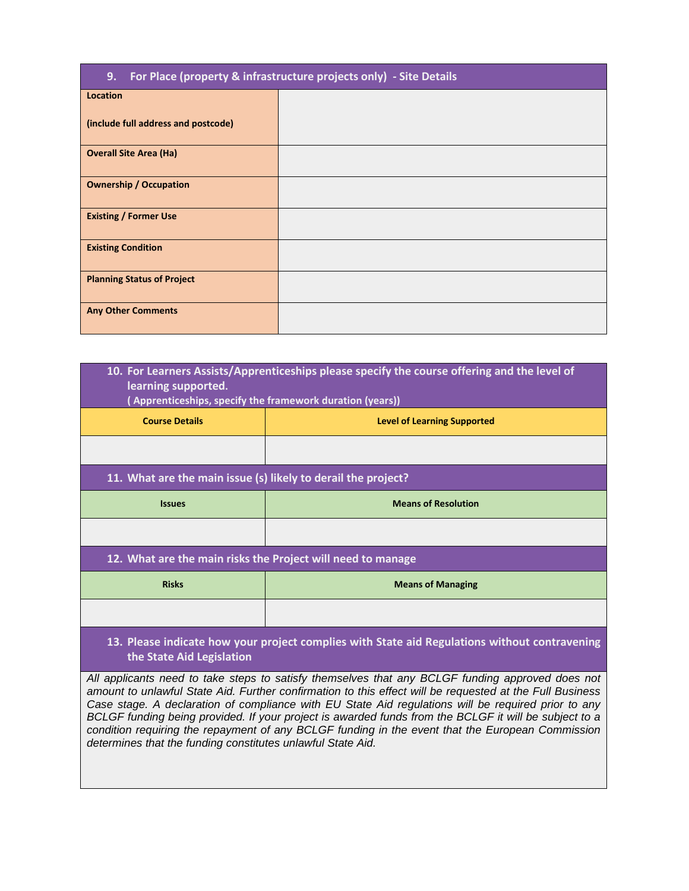| 9. For Place (property & infrastructure projects only) - Site Details |  |  |
|-----------------------------------------------------------------------|--|--|
| <b>Location</b>                                                       |  |  |
| (include full address and postcode)                                   |  |  |
| <b>Overall Site Area (Ha)</b>                                         |  |  |
| <b>Ownership / Occupation</b>                                         |  |  |
| <b>Existing / Former Use</b>                                          |  |  |
| <b>Existing Condition</b>                                             |  |  |
| <b>Planning Status of Project</b>                                     |  |  |
| <b>Any Other Comments</b>                                             |  |  |

| learning supported.                                                                           | 10. For Learners Assists/Apprenticeships please specify the course offering and the level of<br>(Apprenticeships, specify the framework duration (years)) |  |  |  |
|-----------------------------------------------------------------------------------------------|-----------------------------------------------------------------------------------------------------------------------------------------------------------|--|--|--|
| <b>Course Details</b>                                                                         | <b>Level of Learning Supported</b>                                                                                                                        |  |  |  |
|                                                                                               |                                                                                                                                                           |  |  |  |
| 11. What are the main issue (s) likely to derail the project?                                 |                                                                                                                                                           |  |  |  |
| <b>Issues</b>                                                                                 | <b>Means of Resolution</b>                                                                                                                                |  |  |  |
|                                                                                               |                                                                                                                                                           |  |  |  |
|                                                                                               | 12. What are the main risks the Project will need to manage                                                                                               |  |  |  |
| <b>Risks</b>                                                                                  | <b>Means of Managing</b>                                                                                                                                  |  |  |  |
|                                                                                               |                                                                                                                                                           |  |  |  |
| 13. Please indicate how your project complies with State aid Regulations without contravening |                                                                                                                                                           |  |  |  |

**the State Aid Legislation**

*All applicants need to take steps to satisfy themselves that any BCLGF funding approved does not amount to unlawful State Aid. Further confirmation to this effect will be requested at the Full Business Case stage. A declaration of compliance with EU State Aid regulations will be required prior to any BCLGF funding being provided. If your project is awarded funds from the BCLGF it will be subject to a condition requiring the repayment of any BCLGF funding in the event that the European Commission determines that the funding constitutes unlawful State Aid.*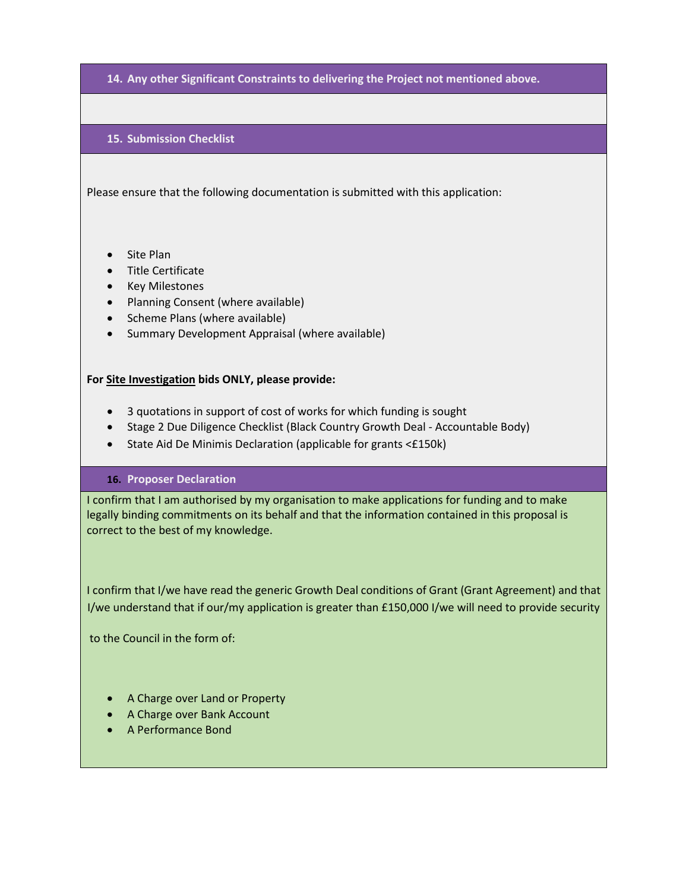**14. Any other Significant Constraints to delivering the Project not mentioned above.**

### **15. Submission Checklist**

Please ensure that the following documentation is submitted with this application:

- Site Plan
- Title Certificate
- Key Milestones
- Planning Consent (where available)
- Scheme Plans (where available)
- Summary Development Appraisal (where available)

### **For Site Investigation bids ONLY, please provide:**

- 3 quotations in support of cost of works for which funding is sought
- Stage 2 Due Diligence Checklist (Black Country Growth Deal Accountable Body)
- State Aid De Minimis Declaration (applicable for grants <£150k)

## **16. Proposer Declaration**

I confirm that I am authorised by my organisation to make applications for funding and to make legally binding commitments on its behalf and that the information contained in this proposal is correct to the best of my knowledge.

I confirm that I/we have read the generic Growth Deal conditions of Grant (Grant Agreement) and that I/we understand that if our/my application is greater than £150,000 I/we will need to provide security

to the Council in the form of:

- A Charge over Land or Property
- A Charge over Bank Account
- A Performance Bond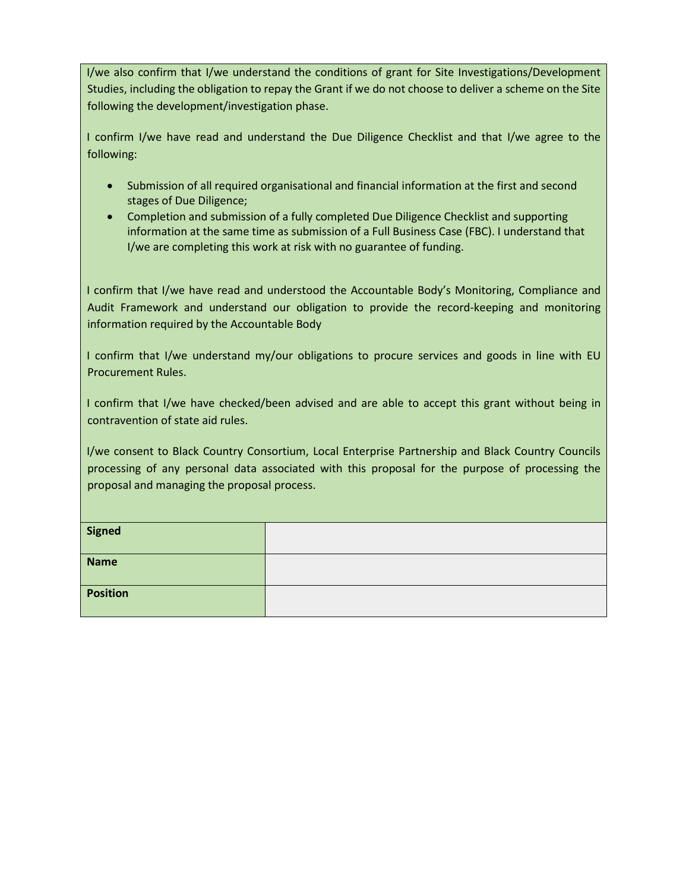I/we also confirm that I/we understand the conditions of grant for Site Investigations/Development Studies, including the obligation to repay the Grant if we do not choose to deliver a scheme on the Site following the development/investigation phase.

I confirm I/we have read and understand the Due Diligence Checklist and that I/we agree to the following:

- Submission of all required organisational and financial information at the first and second stages of Due Diligence;
- Completion and submission of a fully completed Due Diligence Checklist and supporting information at the same time as submission of a Full Business Case (FBC). I understand that I/we are completing this work at risk with no guarantee of funding.

I confirm that I/we have read and understood the Accountable Body's Monitoring, Compliance and Audit Framework and understand our obligation to provide the record-keeping and monitoring information required by the Accountable Body

I confirm that I/we understand my/our obligations to procure services and goods in line with EU Procurement Rules.

I confirm that I/we have checked/been advised and are able to accept this grant without being in contravention of state aid rules.

I/we consent to Black Country Consortium, Local Enterprise Partnership and Black Country Councils processing of any personal data associated with this proposal for the purpose of processing the proposal and managing the proposal process.

| Signed          |  |
|-----------------|--|
| <b>Name</b>     |  |
| <b>Position</b> |  |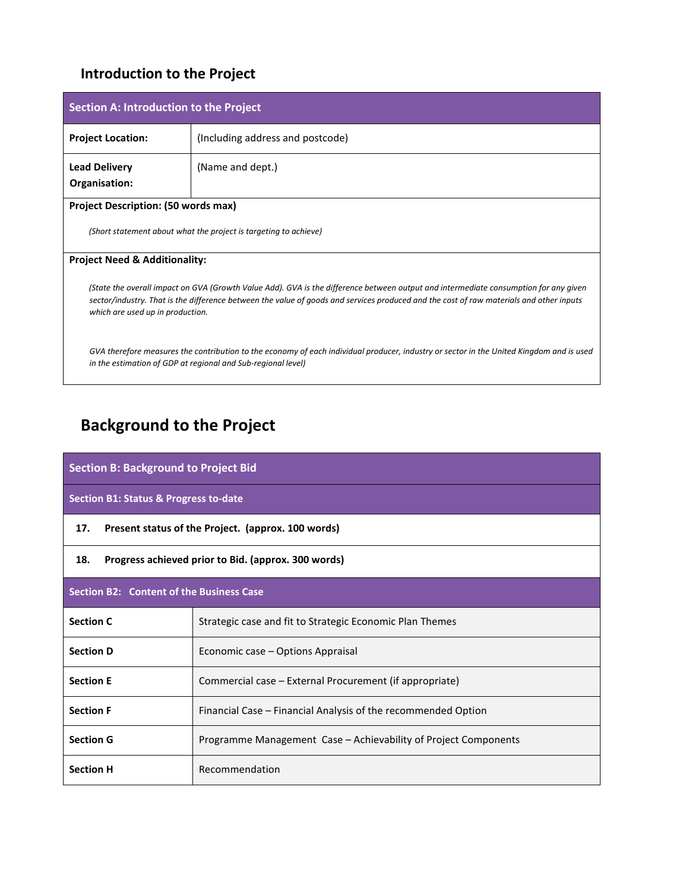## **Introduction to the Project**

| <b>Section A: Introduction to the Project</b>                                                                                                                                                                                                                                                                       |                                  |  |
|---------------------------------------------------------------------------------------------------------------------------------------------------------------------------------------------------------------------------------------------------------------------------------------------------------------------|----------------------------------|--|
| <b>Project Location:</b>                                                                                                                                                                                                                                                                                            | (Including address and postcode) |  |
| <b>Lead Delivery</b><br>Organisation:                                                                                                                                                                                                                                                                               | (Name and dept.)                 |  |
| <b>Project Description: (50 words max)</b><br>(Short statement about what the project is targeting to achieve)                                                                                                                                                                                                      |                                  |  |
| <b>Project Need &amp; Additionality:</b>                                                                                                                                                                                                                                                                            |                                  |  |
| (State the overall impact on GVA (Growth Value Add). GVA is the difference between output and intermediate consumption for any given<br>sector/industry. That is the difference between the value of goods and services produced and the cost of raw materials and other inputs<br>which are used up in production. |                                  |  |
| GVA therefore measures the contribution to the economy of each individual producer, industry or sector in the United Kingdom and is used<br>in the estimation of GDP at regional and Sub-regional level)                                                                                                            |                                  |  |

# **Background to the Project**

|                                                                                   | <b>Section B: Background to Project Bid</b>                     |  |  |
|-----------------------------------------------------------------------------------|-----------------------------------------------------------------|--|--|
| <b>Section B1: Status &amp; Progress to-date</b>                                  |                                                                 |  |  |
| 17.                                                                               | Present status of the Project. (approx. 100 words)              |  |  |
| 18.<br>Progress achieved prior to Bid. (approx. 300 words)                        |                                                                 |  |  |
| Section B2: Content of the Business Case                                          |                                                                 |  |  |
| <b>Section C</b>                                                                  | Strategic case and fit to Strategic Economic Plan Themes        |  |  |
| <b>Section D</b>                                                                  | Economic case – Options Appraisal                               |  |  |
| <b>Section E</b><br>Commercial case – External Procurement (if appropriate)       |                                                                 |  |  |
| <b>Section F</b><br>Financial Case - Financial Analysis of the recommended Option |                                                                 |  |  |
| <b>Section G</b>                                                                  | Programme Management Case – Achievability of Project Components |  |  |
| <b>Section H</b>                                                                  | Recommendation                                                  |  |  |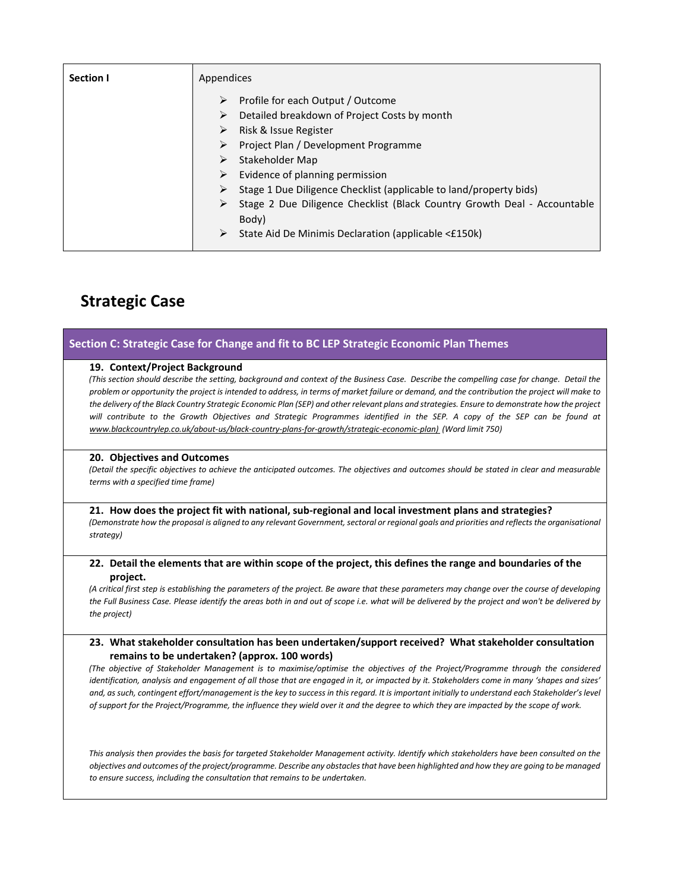| <b>Section I</b> | Appendices                                                                             |
|------------------|----------------------------------------------------------------------------------------|
|                  | Profile for each Output / Outcome<br>➤                                                 |
|                  | Detailed breakdown of Project Costs by month<br>➤                                      |
|                  | Risk & Issue Register<br>➤                                                             |
|                  | Project Plan / Development Programme<br>➤                                              |
|                  | Stakeholder Map<br>➤                                                                   |
|                  | Evidence of planning permission<br>⋗                                                   |
|                  | Stage 1 Due Diligence Checklist (applicable to land/property bids)<br>➤                |
|                  | Stage 2 Due Diligence Checklist (Black Country Growth Deal - Accountable<br>➤<br>Body) |
|                  | State Aid De Minimis Declaration (applicable <£150k)<br>➤                              |

## **Strategic Case**

### **Section C: Strategic Case for Change and fit to BC LEP Strategic Economic Plan Themes**

#### **19. Context/Project Background**

*(This section should describe the setting, background and context of the Business Case. Describe the compelling case for change. Detail the problem or opportunity the project is intended to address, in terms of market failure or demand, and the contribution the project will make to the delivery of the Black Country Strategic Economic Plan (SEP) and other relevant plans and strategies. Ensure to demonstrate how the project*  will contribute to the Growth Objectives and Strategic Programmes identified in the SEP. A copy of the SEP can be found at *[www.blackcountrylep.co.uk/about-us/black-country-plans-for-growth/strategic-economic-plan\)](http://www.blackcountrylep.co.uk/about-us/black-country-plans-for-growth/strategic-economic-plan) (Word limit 750)*

#### **20. Objectives and Outcomes**

*(Detail the specific objectives to achieve the anticipated outcomes. The objectives and outcomes should be stated in clear and measurable terms with a specified time frame)*

**21. How does the project fit with national, sub-regional and local investment plans and strategies?** 

*(Demonstrate how the proposal is aligned to any relevant Government, sectoral or regional goals and priorities and reflects the organisational strategy)*

#### **22. Detail the elements that are within scope of the project, this defines the range and boundaries of the project.**

*(A critical first step is establishing the parameters of the project. Be aware that these parameters may change over the course of developing the Full Business Case. Please identify the areas both in and out of scope i.e. what will be delivered by the project and won't be delivered by the project)*

#### **23. What stakeholder consultation has been undertaken/support received? What stakeholder consultation remains to be undertaken? (approx. 100 words)**

*(The objective of Stakeholder Management is to maximise/optimise the objectives of the Project/Programme through the considered identification, analysis and engagement of all those that are engaged in it, or impacted by it. Stakeholders come in many 'shapes and sizes' and, as such, contingent effort/management is the key to success in this regard. It is important initially to understand each Stakeholder's level of support for the Project/Programme, the influence they wield over it and the degree to which they are impacted by the scope of work.*

*This analysis then provides the basis for targeted Stakeholder Management activity. Identify which stakeholders have been consulted on the objectives and outcomes of the project/programme. Describe any obstacles that have been highlighted and how they are going to be managed to ensure success, including the consultation that remains to be undertaken.*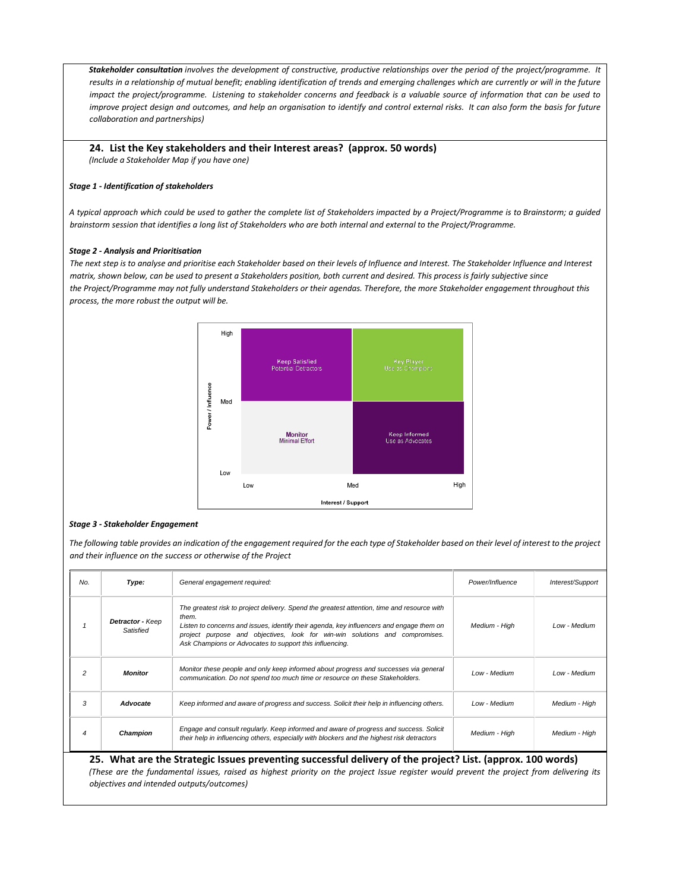*Stakeholder consultation involves the development of constructive, productive relationships over the period of the project/programme. It*  results in a relationship of mutual benefit; enabling identification of trends and emerging challenges which are currently or will in the future *impact the project/programme. Listening to stakeholder concerns and feedback is a valuable source of information that can be used to improve project design and outcomes, and help an organisation to identify and control external risks. It can also form the basis for future collaboration and partnerships)*

**24. List the Key stakeholders and their Interest areas? (approx. 50 words)**

*(Include a Stakeholder Map if you have one)*

#### *Stage 1 - Identification of stakeholders*

*A typical approach which could be used to gather the complete list of Stakeholders impacted by a Project/Programme is to Brainstorm; a guided brainstorm session that identifies a long list of Stakeholders who are both internal and external to the Project/Programme.*

#### *Stage 2 - Analysis and Prioritisation*

*The next step is to analyse and prioritise each Stakeholder based on their levels of Influence and Interest. The Stakeholder Influence and Interest matrix, shown below, can be used to present a Stakeholders position, both current and desired. This process is fairly subjective since the Project/Programme may not fully understand Stakeholders or their agendas. Therefore, the more Stakeholder engagement throughout this process, the more robust the output will be.*



#### *Stage 3 - Stakeholder Engagement*

*The following table provides an indication of the engagement required for the each type of Stakeholder based on their level of interest to the project and their influence on the success or otherwise of the Project*

| No.            | Type:                         | General engagement required:                                                                                                                                                                                                                                                                                                               | Power/Influence | Interest/Support |
|----------------|-------------------------------|--------------------------------------------------------------------------------------------------------------------------------------------------------------------------------------------------------------------------------------------------------------------------------------------------------------------------------------------|-----------------|------------------|
|                | Detractor - Keep<br>Satisfied | The greatest risk to project delivery. Spend the greatest attention, time and resource with<br>them.<br>Listen to concerns and issues, identify their agenda, key influencers and engage them on<br>project purpose and objectives, look for win-win solutions and compromises.<br>Ask Champions or Advocates to support this influencing. | Medium - High   | Low - Medium     |
| $\mathfrak{p}$ | <b>Monitor</b>                | Monitor these people and only keep informed about progress and successes via general<br>communication. Do not spend too much time or resource on these Stakeholders.                                                                                                                                                                       | Low - Medium    | Low - Medium     |
| 3              | Advocate                      | Keep informed and aware of progress and success. Solicit their help in influencing others.                                                                                                                                                                                                                                                 | Low - Medium    | Medium - High    |
| 4              | Champion                      | Engage and consult regularly. Keep informed and aware of progress and success. Solicit<br>their help in influencing others, especially with blockers and the highest risk detractors                                                                                                                                                       | Medium - High   | Medium - High    |

#### **25. What are the Strategic Issues preventing successful delivery of the project? List. (approx. 100 words)** *(These are the fundamental issues, raised as highest priority on the project Issue register would prevent the project from delivering its objectives and intended outputs/outcomes)*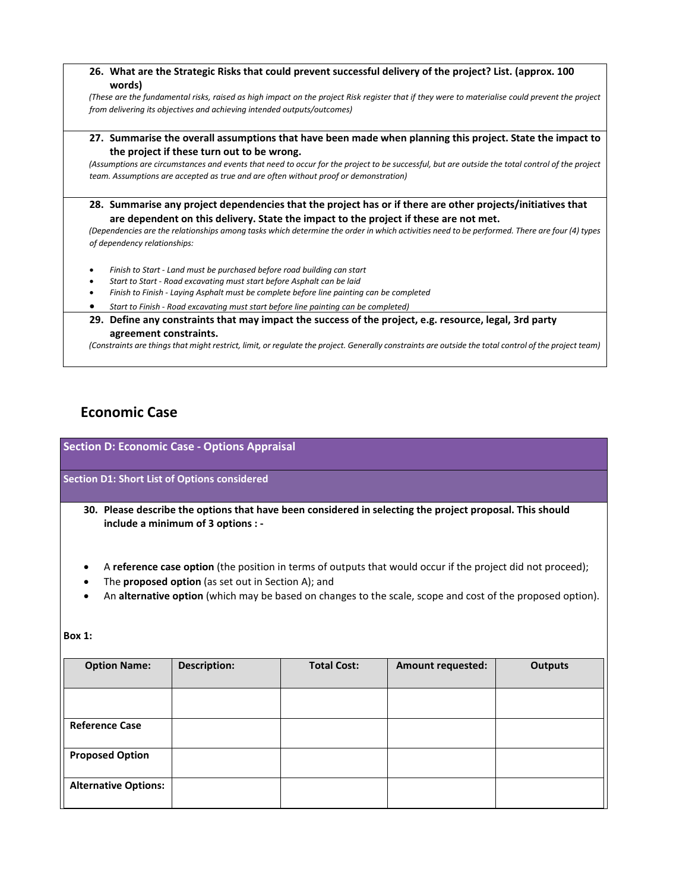|   | (These are the fundamental risks, raised as high impact on the project Risk register that if they were to materialise could prevent the project                        |
|---|------------------------------------------------------------------------------------------------------------------------------------------------------------------------|
|   | from delivering its objectives and achieving intended outputs/outcomes)                                                                                                |
|   | 27. Summarise the overall assumptions that have been made when planning this project. State the impact to                                                              |
|   | the project if these turn out to be wrong.                                                                                                                             |
|   | (Assumptions are circumstances and events that need to occur for the project to be successful, but are outside the total control of the project                        |
|   | team. Assumptions are accepted as true and are often without proof or demonstration)                                                                                   |
|   |                                                                                                                                                                        |
|   |                                                                                                                                                                        |
|   | 28. Summarise any project dependencies that the project has or if there are other projects/initiatives that                                                            |
|   | are dependent on this delivery. State the impact to the project if these are not met.                                                                                  |
|   |                                                                                                                                                                        |
|   | of dependency relationships:                                                                                                                                           |
|   |                                                                                                                                                                        |
| ٠ | Finish to Start - Land must be purchased before road building can start                                                                                                |
| ٠ | Start to Start - Road excavating must start before Asphalt can be laid                                                                                                 |
| ٠ | Finish to Finish - Laying Asphalt must be complete before line painting can be completed                                                                               |
| ٠ | Start to Finish - Road excavating must start before line painting can be completed)                                                                                    |
|   | 29. Define any constraints that may impact the success of the project, e.g. resource, legal, 3rd party                                                                 |
|   | (Dependencies are the relationships among tasks which determine the order in which activities need to be performed. There are four (4) types<br>agreement constraints. |

## **Economic Case**

**Section D: Economic Case - Options Appraisal**

**Section D1: Short List of Options considered**

- **30. Please describe the options that have been considered in selecting the project proposal. This should include a minimum of 3 options : -**
- A **reference case option** (the position in terms of outputs that would occur if the project did not proceed);
- The **proposed option** (as set out in Section A); and
- An **alternative option** (which may be based on changes to the scale, scope and cost of the proposed option).

| w<br>v |  |
|--------|--|
|        |  |

| <b>Option Name:</b>         | <b>Description:</b> | <b>Total Cost:</b> | <b>Amount requested:</b> | <b>Outputs</b> |
|-----------------------------|---------------------|--------------------|--------------------------|----------------|
|                             |                     |                    |                          |                |
| <b>Reference Case</b>       |                     |                    |                          |                |
| <b>Proposed Option</b>      |                     |                    |                          |                |
| <b>Alternative Options:</b> |                     |                    |                          |                |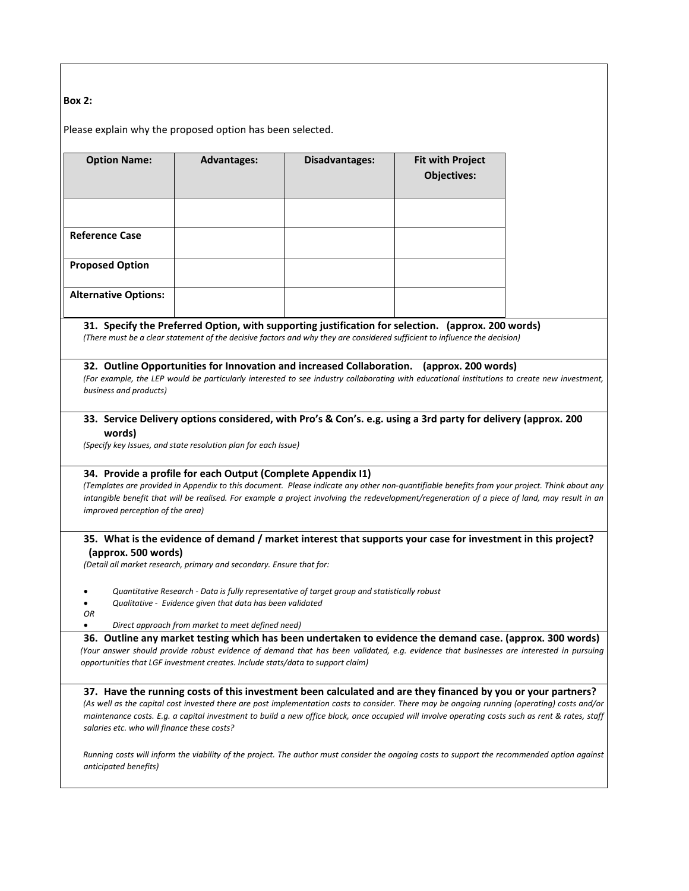## **Box 2:**

Please explain why the proposed option has been selected.

| <b>Option Name:</b>                         | <b>Advantages:</b>                                                                                                                   | Disadvantages:                                                                                                                                                                                                                                                                                                                                                                                                                                                                | <b>Fit with Project</b><br><b>Objectives:</b> |  |
|---------------------------------------------|--------------------------------------------------------------------------------------------------------------------------------------|-------------------------------------------------------------------------------------------------------------------------------------------------------------------------------------------------------------------------------------------------------------------------------------------------------------------------------------------------------------------------------------------------------------------------------------------------------------------------------|-----------------------------------------------|--|
| <b>Reference Case</b>                       |                                                                                                                                      |                                                                                                                                                                                                                                                                                                                                                                                                                                                                               |                                               |  |
| <b>Proposed Option</b>                      |                                                                                                                                      |                                                                                                                                                                                                                                                                                                                                                                                                                                                                               |                                               |  |
| <b>Alternative Options:</b>                 |                                                                                                                                      |                                                                                                                                                                                                                                                                                                                                                                                                                                                                               |                                               |  |
| business and products)                      |                                                                                                                                      | 31. Specify the Preferred Option, with supporting justification for selection. (approx. 200 words)<br>(There must be a clear statement of the decisive factors and why they are considered sufficient to influence the decision)<br>32. Outline Opportunities for Innovation and increased Collaboration. (approx. 200 words)<br>(For example, the LEP would be particularly interested to see industry collaborating with educational institutions to create new investment, |                                               |  |
| words)                                      | (Specify key Issues, and state resolution plan for each Issue)                                                                       | 33. Service Delivery options considered, with Pro's & Con's. e.g. using a 3rd party for delivery (approx. 200                                                                                                                                                                                                                                                                                                                                                                 |                                               |  |
| improved perception of the area)            | 34. Provide a profile for each Output (Complete Appendix I1)                                                                         | (Templates are provided in Appendix to this document. Please indicate any other non-quantifiable benefits from your project. Think about any<br>intangible benefit that will be realised. For example a project involving the redevelopment/regeneration of a piece of land, may result in an                                                                                                                                                                                 |                                               |  |
| (approx. 500 words)                         | (Detail all market research, primary and secondary. Ensure that for:                                                                 | 35. What is the evidence of demand / market interest that supports your case for investment in this project?                                                                                                                                                                                                                                                                                                                                                                  |                                               |  |
| ΟR                                          | Qualitative - Evidence given that data has been validated                                                                            | Quantitative Research - Data is fully representative of target group and statistically robust                                                                                                                                                                                                                                                                                                                                                                                 |                                               |  |
|                                             | Direct approach from market to meet defined need)<br>opportunities that LGF investment creates. Include stats/data to support claim) | 36. Outline any market testing which has been undertaken to evidence the demand case. (approx. 300 words)<br>(Your answer should provide robust evidence of demand that has been validated, e.g. evidence that businesses are interested in pursuing                                                                                                                                                                                                                          |                                               |  |
| salaries etc. who will finance these costs? |                                                                                                                                      | 37. Have the running costs of this investment been calculated and are they financed by you or your partners?<br>(As well as the capital cost invested there are post implementation costs to consider. There may be ongoing running (operating) costs and/or<br>maintenance costs. E.g. a capital investment to build a new office block, once occupied will involve operating costs such as rent & rates, staff                                                              |                                               |  |
|                                             |                                                                                                                                      | Running costs will inform the viability of the project. The author must consider the ongoing costs to support the recommended option against                                                                                                                                                                                                                                                                                                                                  |                                               |  |

*anticipated benefits)*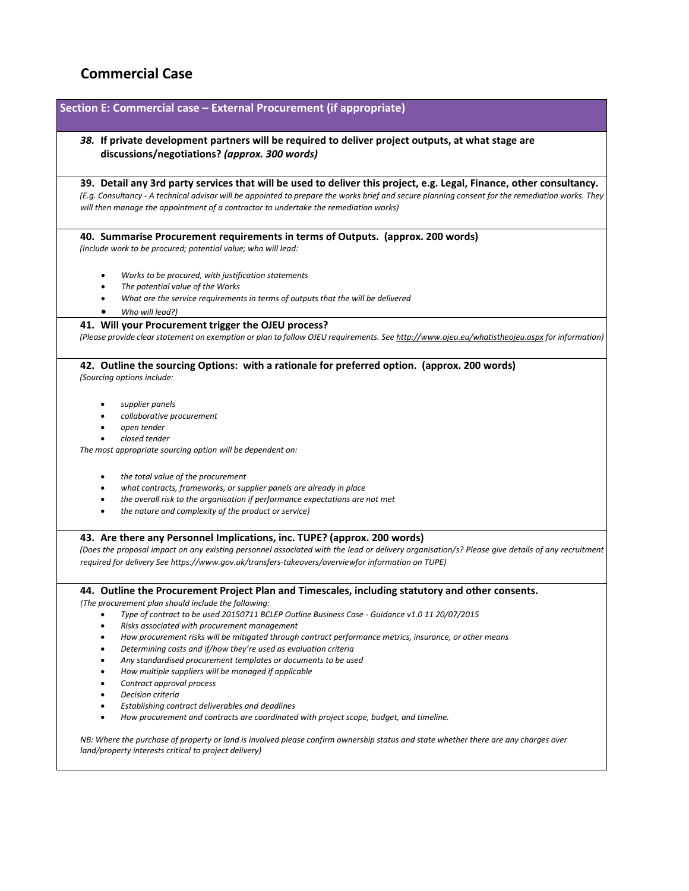## **Commercial Case**

## **Section E: Commercial case – External Procurement (if appropriate)**

#### *38.* **If private development partners will be required to deliver project outputs, at what stage are discussions/negotiations?** *(approx. 300 words)*

**39. Detail any 3rd party services that will be used to deliver this project, e.g. Legal, Finance, other consultancy.** *(E.g. Consultancy - A technical advisor will be appointed to prepare the works brief and secure planning consent for the remediation works. They will then manage the appointment of a contractor to undertake the remediation works)*

#### **40. Summarise Procurement requirements in terms of Outputs. (approx. 200 words)** *(Include work to be procured; potential value; who will lead:*

- *Works to be procured, with justification statements*
- *The potential value of the Works*
- *What are the service requirements in terms of outputs that the will be delivered*
- *Who will lead?)*

#### **41. Will your Procurement trigger the OJEU process?**

*(Please provide clear statement on exemption or plan to follow OJEU requirements. See <http://www.ojeu.eu/whatistheojeu.aspx> for information)*

#### **42. Outline the sourcing Options: with a rationale for preferred option. (approx. 200 words)** *(Sourcing options include:*

- *supplier panels*
- *collaborative procurement*
- *open tender*
- *closed tender*

*The most appropriate sourcing option will be dependent on:*

- *the total value of the procurement*
- *what contracts, frameworks, or supplier panels are already in place*
- *the overall risk to the organisation if performance expectations are not met*
- *the nature and complexity of the product or service)*

#### **43. Are there any Personnel Implications, inc. TUPE? (approx. 200 words)**

*(Does the proposal impact on any existing personnel associated with the lead or delivery organisation/s? Please give details of any recruitment required for delivery See [https://www.gov.uk/transfers-takeovers/overviewf](https://www.gov.uk/transfers-takeovers/overview)or information on TUPE)*

#### **44. Outline the Procurement Project Plan and Timescales, including statutory and other consents.**

*(The procurement plan should include the following:*

- *Type of contract to be used 20150711 BCLEP Outline Business Case - Guidance v1.0 11 20/07/2015*
- *Risks associated with procurement management*
- *How procurement risks will be mitigated through contract performance metrics, insurance, or other means*
- *Determining costs and if/how they're used as evaluation criteria*
- *Any standardised procurement templates or documents to be used*
- *How multiple suppliers will be managed if applicable*
- *Contract approval process*
- *Decision criteria*
- *Establishing contract deliverables and deadlines*
- *How procurement and contracts are coordinated with project scope, budget, and timeline.*

*NB: Where the purchase of property or land is involved please confirm ownership status and state whether there are any charges over land/property interests critical to project delivery)*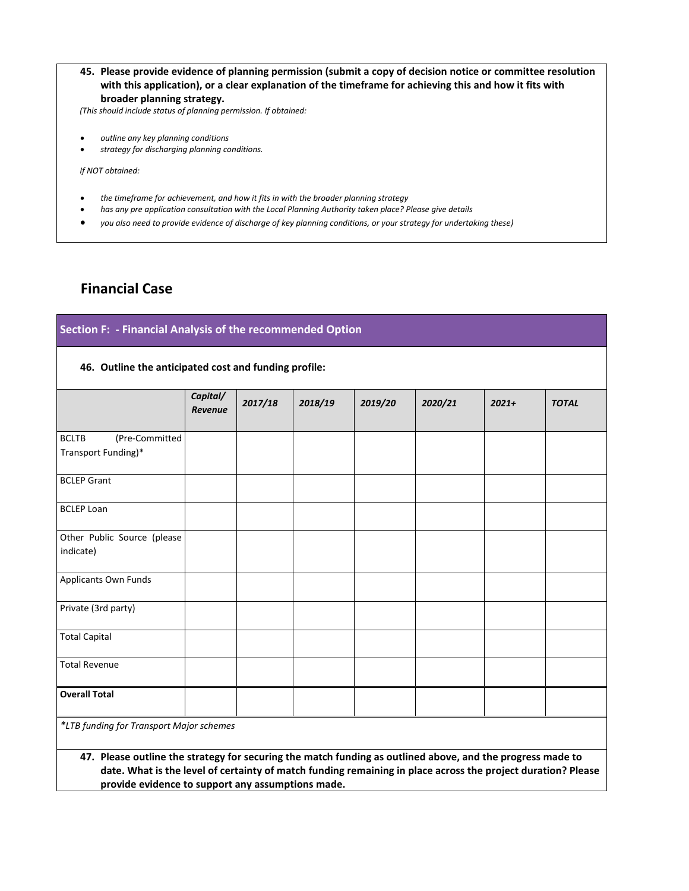### **45. Please provide evidence of planning permission (submit a copy of decision notice or committee resolution with this application), or a clear explanation of the timeframe for achieving this and how it fits with broader planning strategy.**

*(This should include status of planning permission. If obtained:*

- *outline any key planning conditions*
- *strategy for discharging planning conditions.*

*If NOT obtained:*

- *the timeframe for achievement, and how it fits in with the broader planning strategy*
- *has any pre application consultation with the Local Planning Authority taken place? Please give details*
- *you also need to provide evidence of discharge of key planning conditions, or your strategy for undertaking these)*

## **Financial Case**

#### **Section F: - Financial Analysis of the recommended Option**

#### **46. Outline the anticipated cost and funding profile:**

|                                           | Capital/<br>Revenue | 2017/18 | 2018/19 | 2019/20 | 2020/21 | $2021+$ | <b>TOTAL</b> |
|-------------------------------------------|---------------------|---------|---------|---------|---------|---------|--------------|
| <b>BCLTB</b><br>(Pre-Committed            |                     |         |         |         |         |         |              |
| Transport Funding)*                       |                     |         |         |         |         |         |              |
| <b>BCLEP Grant</b>                        |                     |         |         |         |         |         |              |
| <b>BCLEP Loan</b>                         |                     |         |         |         |         |         |              |
| Other Public Source (please               |                     |         |         |         |         |         |              |
| indicate)                                 |                     |         |         |         |         |         |              |
| Applicants Own Funds                      |                     |         |         |         |         |         |              |
| Private (3rd party)                       |                     |         |         |         |         |         |              |
| <b>Total Capital</b>                      |                     |         |         |         |         |         |              |
| <b>Total Revenue</b>                      |                     |         |         |         |         |         |              |
| <b>Overall Total</b>                      |                     |         |         |         |         |         |              |
| *1 TD funding for Transport Maior schomes |                     |         |         |         |         |         |              |

*\*LTB funding for Transport Major schemes*

**47. Please outline the strategy for securing the match funding as outlined above, and the progress made to date. What is the level of certainty of match funding remaining in place across the project duration? Please provide evidence to support any assumptions made.**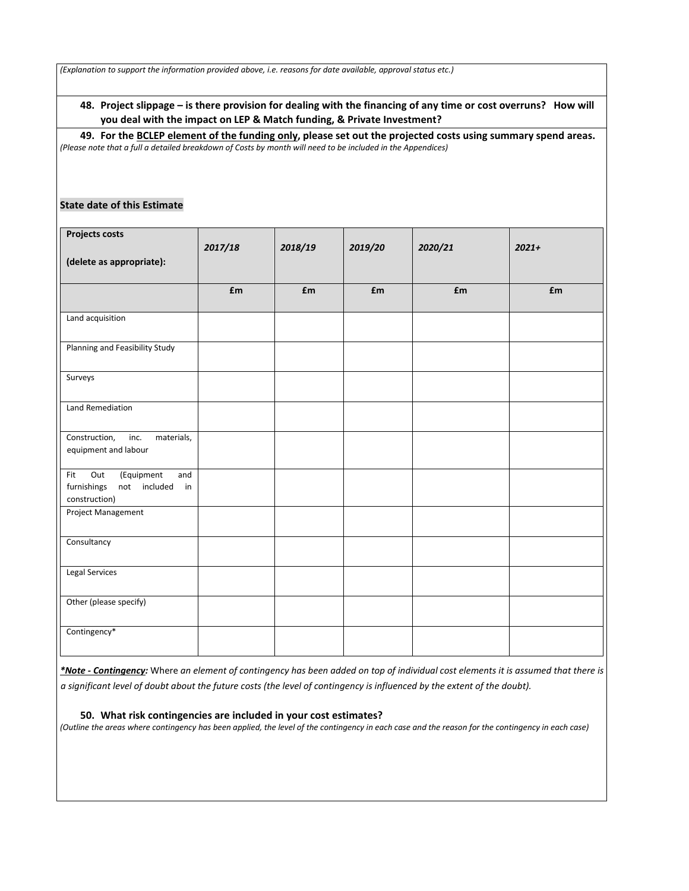*(Explanation to support the information provided above, i.e. reasons for date available, approval status etc.)*

### **48. Project slippage – is there provision for dealing with the financing of any time or cost overruns? How will you deal with the impact on LEP & Match funding, & Private Investment?**

**49. For the BCLEP element of the funding only, please set out the projected costs using summary spend areas.**  *(Please note that a full a detailed breakdown of Costs by month will need to be included in the Appendices)*

#### **State date of this Estimate**

| <b>Projects costs</b>                                                                 | 2017/18 | 2018/19 | 2019/20 | 2020/21 | $2021+$ |
|---------------------------------------------------------------------------------------|---------|---------|---------|---------|---------|
| (delete as appropriate):                                                              |         |         |         |         |         |
|                                                                                       | £m      | £m      | £m      | £m      | £m      |
| Land acquisition                                                                      |         |         |         |         |         |
| Planning and Feasibility Study                                                        |         |         |         |         |         |
| Surveys                                                                               |         |         |         |         |         |
| Land Remediation                                                                      |         |         |         |         |         |
| Construction,<br>materials,<br>inc.<br>equipment and labour                           |         |         |         |         |         |
| Out<br>(Equipment<br>Fit<br>and<br>furnishings<br>not included<br>in<br>construction) |         |         |         |         |         |
| Project Management                                                                    |         |         |         |         |         |
| Consultancy                                                                           |         |         |         |         |         |
| Legal Services                                                                        |         |         |         |         |         |
| Other (please specify)                                                                |         |         |         |         |         |
| Contingency*                                                                          |         |         |         |         |         |

*\*Note - Contingency:* Where *an element of contingency has been added on top of individual cost elements it is assumed that there is a significant level of doubt about the future costs (the level of contingency is influenced by the extent of the doubt).* 

#### **50. What risk contingencies are included in your cost estimates?**

*(Outline the areas where contingency has been applied, the level of the contingency in each case and the reason for the contingency in each case)*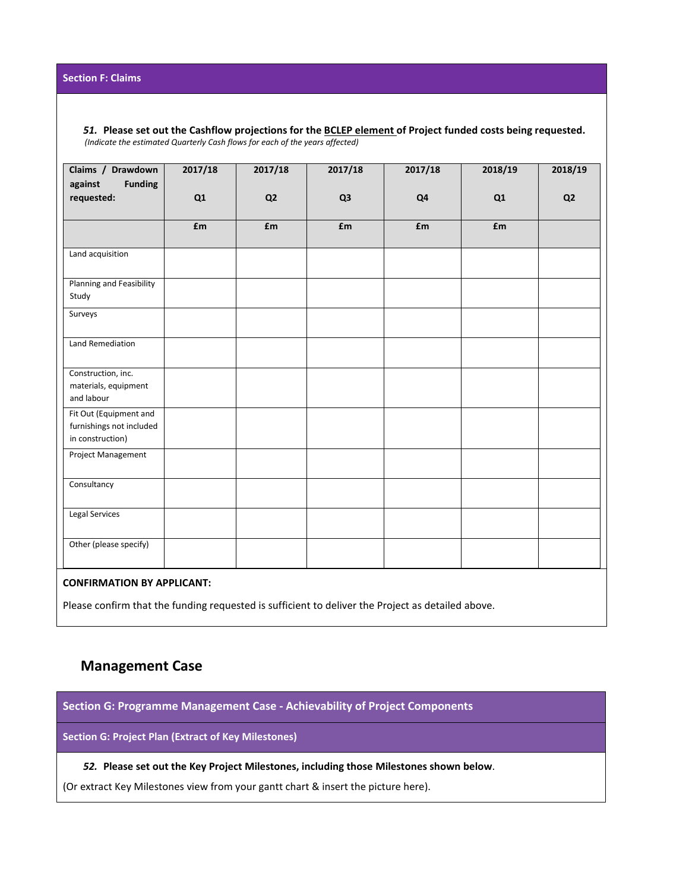*51.* **Please set out the Cashflow projections for the BCLEP element of Project funded costs being requested.** *(Indicate the estimated Quarterly Cash flows for each of the years affected)*

| Claims /<br><b>Drawdown</b>                  | 2017/18 | 2017/18 | 2017/18        | 2017/18        | 2018/19 | 2018/19        |
|----------------------------------------------|---------|---------|----------------|----------------|---------|----------------|
| against<br><b>Funding</b>                    |         |         |                |                |         |                |
| requested:                                   | Q1      | Q2      | Q <sub>3</sub> | Q <sub>4</sub> | Q1      | Q <sub>2</sub> |
|                                              | £m      | £m      | £m             | £m             | £m      |                |
| Land acquisition                             |         |         |                |                |         |                |
| Planning and Feasibility                     |         |         |                |                |         |                |
| Study                                        |         |         |                |                |         |                |
| Surveys                                      |         |         |                |                |         |                |
| Land Remediation                             |         |         |                |                |         |                |
| Construction, inc.                           |         |         |                |                |         |                |
| materials, equipment<br>and labour           |         |         |                |                |         |                |
| Fit Out (Equipment and                       |         |         |                |                |         |                |
| furnishings not included<br>in construction) |         |         |                |                |         |                |
| Project Management                           |         |         |                |                |         |                |
| Consultancy                                  |         |         |                |                |         |                |
| Legal Services                               |         |         |                |                |         |                |
| Other (please specify)                       |         |         |                |                |         |                |

### **CONFIRMATION BY APPLICANT:**

Please confirm that the funding requested is sufficient to deliver the Project as detailed above.

## **Management Case**

**Section G: Programme Management Case - Achievability of Project Components**

**Section G: Project Plan (Extract of Key Milestones)**

#### *52.* **Please set out the Key Project Milestones, including those Milestones shown below**.

(Or extract Key Milestones view from your gantt chart & insert the picture here).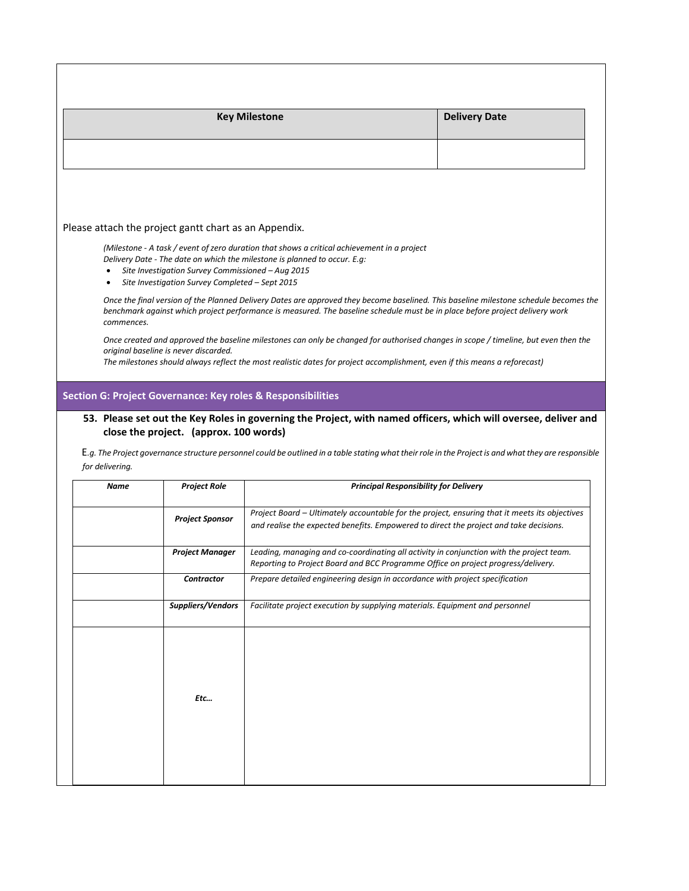| <b>Key Milestone</b> | <b>Delivery Date</b> |
|----------------------|----------------------|
|                      |                      |

#### Please attach the project gantt chart as an Appendix.

*(Milestone - A task / event of zero duration that shows a critical achievement in a project Delivery Date - The date on which the milestone is planned to occur. E.g:*

- *Site Investigation Survey Commissioned – Aug 2015*
- *Site Investigation Survey Completed – Sept 2015*

*Once the final version of the Planned Delivery Dates are approved they become baselined. This baseline milestone schedule becomes the benchmark against which project performance is measured. The baseline schedule must be in place before project delivery work commences.* 

*Once created and approved the baseline milestones can only be changed for authorised changes in scope / timeline, but even then the original baseline is never discarded.*

*The milestones should always reflect the most realistic dates for project accomplishment, even if this means a reforecast)* 

#### **Section G: Project Governance: Key roles & Responsibilities**

#### **53. Please set out the Key Roles in governing the Project, with named officers, which will oversee, deliver and close the project. (approx. 100 words)**

E*.g. The Project governance structure personnel could be outlined in a table stating what their role in the Project is and what they are responsible for delivering.*

| <b>Name</b> | <b>Project Role</b>    | <b>Principal Responsibility for Delivery</b>                                                                                                                                            |
|-------------|------------------------|-----------------------------------------------------------------------------------------------------------------------------------------------------------------------------------------|
|             | <b>Project Sponsor</b> | Project Board - Ultimately accountable for the project, ensuring that it meets its objectives<br>and realise the expected benefits. Empowered to direct the project and take decisions. |
|             | <b>Project Manager</b> | Leading, managing and co-coordinating all activity in conjunction with the project team.<br>Reporting to Project Board and BCC Programme Office on project progress/delivery.           |
|             | Contractor             | Prepare detailed engineering design in accordance with project specification                                                                                                            |
|             | Suppliers/Vendors      | Facilitate project execution by supplying materials. Equipment and personnel                                                                                                            |
|             |                        |                                                                                                                                                                                         |
|             |                        |                                                                                                                                                                                         |
|             | Etc                    |                                                                                                                                                                                         |
|             |                        |                                                                                                                                                                                         |
|             |                        |                                                                                                                                                                                         |
|             |                        |                                                                                                                                                                                         |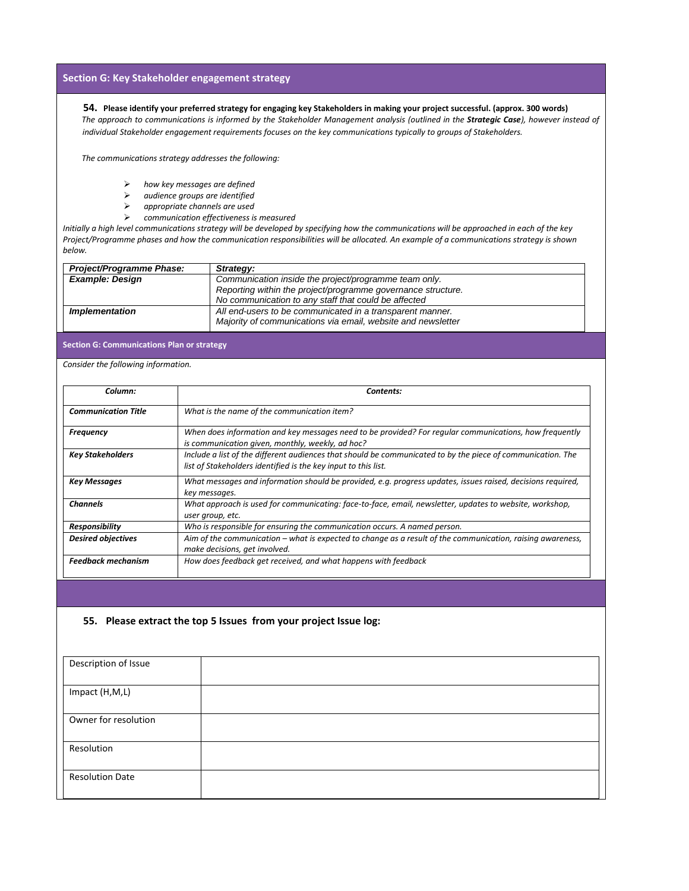#### **Section G: Key Stakeholder engagement strategy**

**54. Please identify your preferred strategy for engaging key Stakeholders in making your project successful. (approx. 300 words)** *The approach to communications is informed by the Stakeholder Management analysis (outlined in the Strategic Case), however instead of individual Stakeholder engagement requirements focuses on the key communications typically to groups of Stakeholders.* 

*The communications strategy addresses the following:*

- *how key messages are defined*
- *audience groups are identified*
- *appropriate channels are used*
- *communication effectiveness is measured*

*Initially a high level communications strategy will be developed by specifying how the communications will be approached in each of the key Project/Programme phases and how the communication responsibilities will be allocated. An example of a communications strategy is shown below.*

| <b>Project/Programme Phase:</b> | Strategy:                                                    |
|---------------------------------|--------------------------------------------------------------|
| <b>Example: Design</b>          | Communication inside the project/programme team only.        |
|                                 | Reporting within the project/programme governance structure. |
|                                 | No communication to any staff that could be affected         |
| <i><b>Implementation</b></i>    | All end-users to be communicated in a transparent manner.    |
|                                 | Majority of communications via email, website and newsletter |
|                                 |                                                              |

### **Section G: Communications Plan or strategy**

*Consider the following information.*

| Column:                    | Contents:                                                                                                                                                                     |  |  |  |  |
|----------------------------|-------------------------------------------------------------------------------------------------------------------------------------------------------------------------------|--|--|--|--|
| <b>Communication Title</b> | What is the name of the communication item?                                                                                                                                   |  |  |  |  |
| <b>Frequency</b>           | When does information and key messages need to be provided? For regular communications, how frequently<br>is communication given, monthly, weekly, ad hoc?                    |  |  |  |  |
| <b>Key Stakeholders</b>    | Include a list of the different audiences that should be communicated to by the piece of communication. The<br>list of Stakeholders identified is the key input to this list. |  |  |  |  |
| Key Messages               | What messages and information should be provided, e.g. progress updates, issues raised, decisions required,<br>key messages.                                                  |  |  |  |  |
| <b>Channels</b>            | What approach is used for communicating: face-to-face, email, newsletter, updates to website, workshop,<br>user group, etc.                                                   |  |  |  |  |
| <b>Responsibility</b>      | Who is responsible for ensuring the communication occurs. A named person.                                                                                                     |  |  |  |  |
| <b>Desired objectives</b>  | Aim of the communication – what is expected to change as a result of the communication, raising awareness,<br>make decisions, get involved.                                   |  |  |  |  |
| <b>Feedback mechanism</b>  | How does feedback get received, and what happens with feedback                                                                                                                |  |  |  |  |

#### **55. Please extract the top 5 Issues from your project Issue log:**

| Description of Issue   |  |
|------------------------|--|
| Impact (H,M,L)         |  |
| Owner for resolution   |  |
| Resolution             |  |
| <b>Resolution Date</b> |  |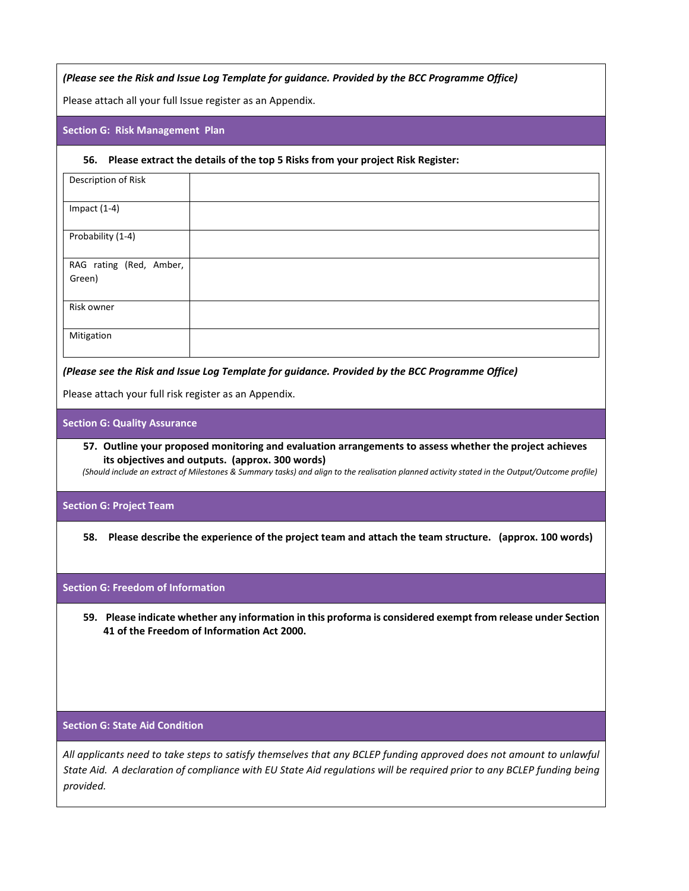#### *(Please see the Risk and Issue Log Template for guidance. Provided by the BCC Programme Office)*

Please attach all your full Issue register as an Appendix.

#### **Section G: Risk Management Plan**

#### **56. Please extract the details of the top 5 Risks from your project Risk Register:**

| Description of Risk               |  |
|-----------------------------------|--|
| Impact $(1-4)$                    |  |
| Probability (1-4)                 |  |
| RAG rating (Red, Amber,<br>Green) |  |
| Risk owner                        |  |
| Mitigation                        |  |

*(Please see the Risk and Issue Log Template for guidance. Provided by the BCC Programme Office)*

Please attach your full risk register as an Appendix.

#### **Section G: Quality Assurance**

**57. Outline your proposed monitoring and evaluation arrangements to assess whether the project achieves its objectives and outputs. (approx. 300 words)** 

*(Should include an extract of Milestones & Summary tasks) and align to the realisation planned activity stated in the Output/Outcome profile)*

#### **Section G: Project Team**

**58. Please describe the experience of the project team and attach the team structure. (approx. 100 words)**

#### **Section G: Freedom of Information**

**59. Please indicate whether any information in this proforma is considered exempt from release under Section 41 of the Freedom of Information Act 2000.** 

### **Section G: State Aid Condition**

*All applicants need to take steps to satisfy themselves that any BCLEP funding approved does not amount to unlawful State Aid. A declaration of compliance with EU State Aid regulations will be required prior to any BCLEP funding being provided.*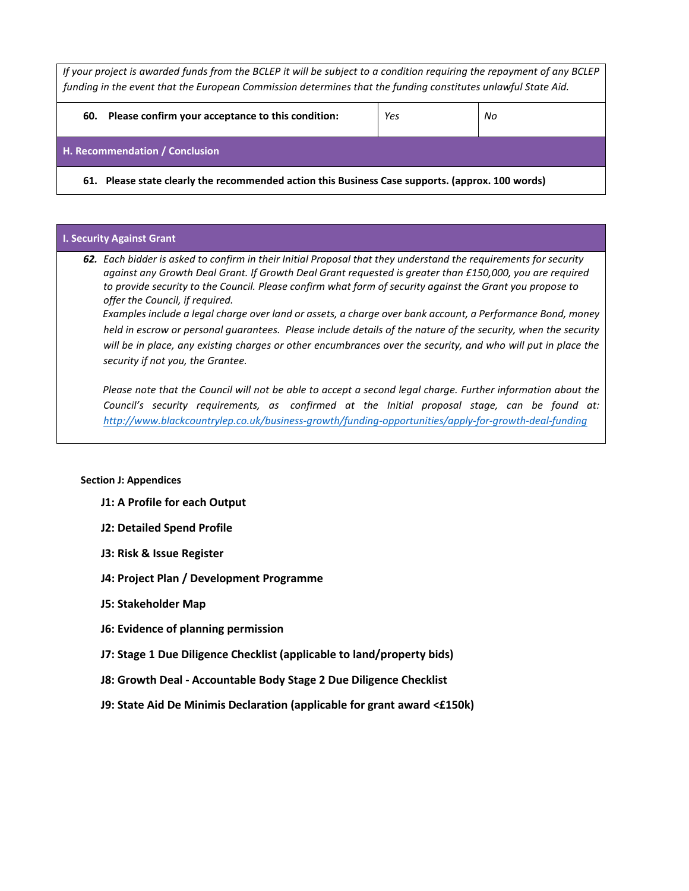*If your project is awarded funds from the BCLEP it will be subject to a condition requiring the repayment of any BCLEP funding in the event that the European Commission determines that the funding constitutes unlawful State Aid.*

| Please confirm your acceptance to this condition:<br>60.                                         | Yes | No |
|--------------------------------------------------------------------------------------------------|-----|----|
| H. Recommendation / Conclusion                                                                   |     |    |
| 61. Please state clearly the recommended action this Business Case supports. (approx. 100 words) |     |    |

#### **I. Security Against Grant**

*62. Each bidder is asked to confirm in their Initial Proposal that they understand the requirements for security against any Growth Deal Grant. If Growth Deal Grant requested is greater than £150,000, you are required to provide security to the Council. Please confirm what form of security against the Grant you propose to offer the Council, if required.*

*Examples include a legal charge over land or assets, a charge over bank account, a Performance Bond, money held in escrow or personal guarantees. Please include details of the nature of the security, when the security will be in place, any existing charges or other encumbrances over the security, and who will put in place the security if not you, the Grantee.*

*Please note that the Council will not be able to accept a second legal charge. Further information about the Council's security requirements, as confirmed at the Initial proposal stage, can be found at: <http://www.blackcountrylep.co.uk/business-growth/funding-opportunities/apply-for-growth-deal-funding>*

#### **Section J: Appendices**

- **J1: A Profile for each Output**
- **J2: Detailed Spend Profile**
- **J3: Risk & Issue Register**
- **J4: Project Plan / Development Programme**
- **J5: Stakeholder Map**
- **J6: Evidence of planning permission**
- **J7: Stage 1 Due Diligence Checklist (applicable to land/property bids)**
- **J8: Growth Deal - Accountable Body Stage 2 Due Diligence Checklist**
- **J9: State Aid De Minimis Declaration (applicable for grant award <£150k)**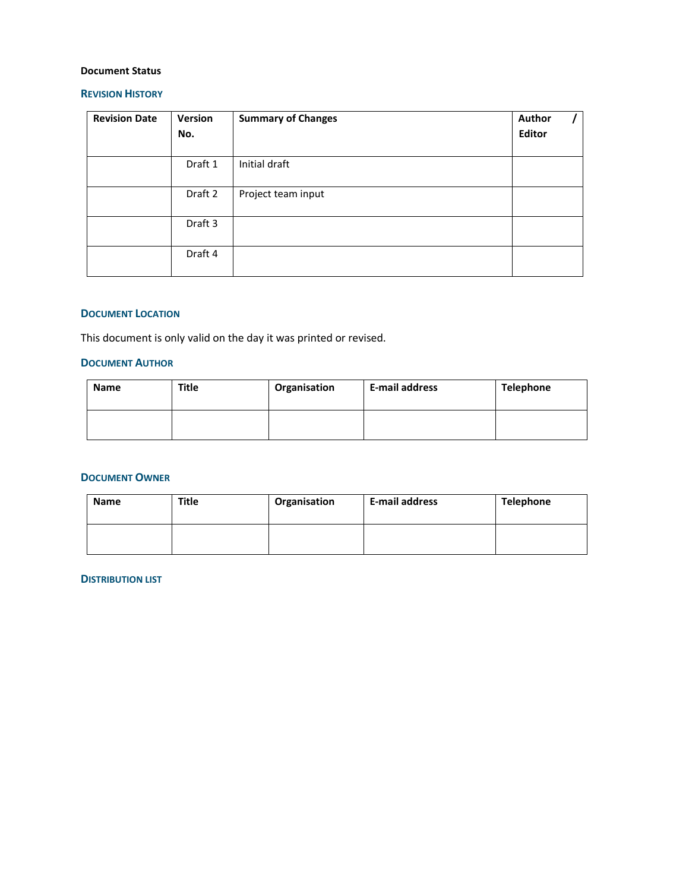#### **Document Status**

## **REVISION HISTORY**

| <b>Revision Date</b> | <b>Version</b><br>No. | <b>Summary of Changes</b> | <b>Author</b><br>Editor |  |
|----------------------|-----------------------|---------------------------|-------------------------|--|
|                      | Draft 1               | Initial draft             |                         |  |
|                      | Draft 2               | Project team input        |                         |  |
|                      | Draft 3               |                           |                         |  |
|                      | Draft 4               |                           |                         |  |

### **DOCUMENT LOCATION**

This document is only valid on the day it was printed or revised.

### **DOCUMENT AUTHOR**

| <b>Name</b> | Title | Organisation | <b>E-mail address</b> | <b>Telephone</b> |
|-------------|-------|--------------|-----------------------|------------------|
|             |       |              |                       |                  |

## **DOCUMENT OWNER**

| <b>Name</b> | Title | Organisation | E-mail address | <b>Telephone</b> |
|-------------|-------|--------------|----------------|------------------|
|             |       |              |                |                  |

#### **DISTRIBUTION LIST**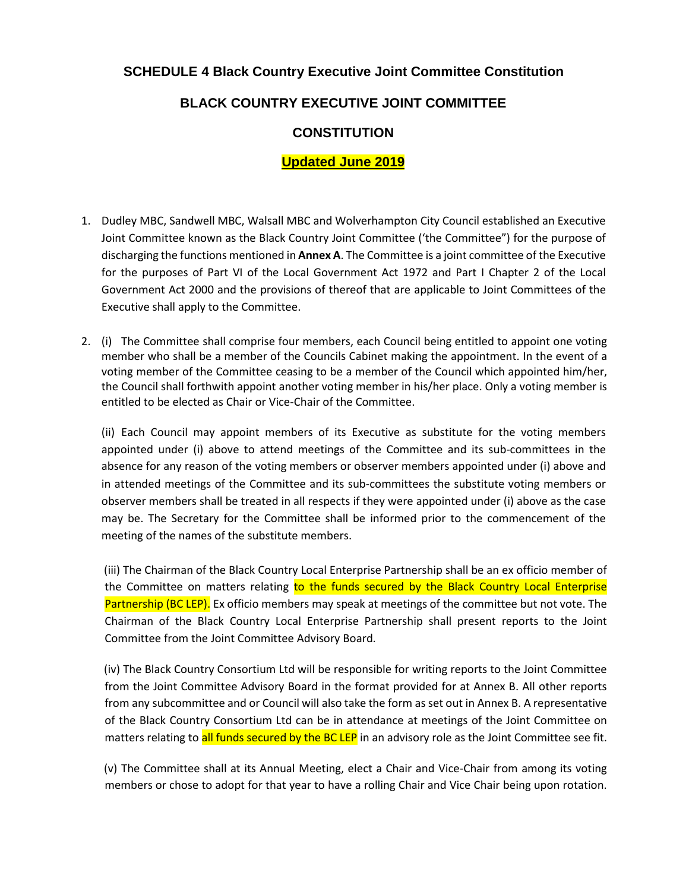## <span id="page-48-0"></span>**SCHEDULE 4 Black Country Executive Joint Committee Constitution**

## **BLACK COUNTRY EXECUTIVE JOINT COMMITTEE**

## **CONSTITUTION**

## **Updated June 2019**

- 1. Dudley MBC, Sandwell MBC, Walsall MBC and Wolverhampton City Council established an Executive Joint Committee known as the Black Country Joint Committee ('the Committee") for the purpose of discharging the functions mentioned in **Annex A**. The Committee is a joint committee of the Executive for the purposes of Part VI of the Local Government Act 1972 and Part I Chapter 2 of the Local Government Act 2000 and the provisions of thereof that are applicable to Joint Committees of the Executive shall apply to the Committee.
- 2. (i) The Committee shall comprise four members, each Council being entitled to appoint one voting member who shall be a member of the Councils Cabinet making the appointment. In the event of a voting member of the Committee ceasing to be a member of the Council which appointed him/her, the Council shall forthwith appoint another voting member in his/her place. Only a voting member is entitled to be elected as Chair or Vice-Chair of the Committee.

(ii) Each Council may appoint members of its Executive as substitute for the voting members appointed under (i) above to attend meetings of the Committee and its sub-committees in the absence for any reason of the voting members or observer members appointed under (i) above and in attended meetings of the Committee and its sub-committees the substitute voting members or observer members shall be treated in all respects if they were appointed under (i) above as the case may be. The Secretary for the Committee shall be informed prior to the commencement of the meeting of the names of the substitute members.

(iii) The Chairman of the Black Country Local Enterprise Partnership shall be an ex officio member of the Committee on matters relating to the funds secured by the Black Country Local Enterprise Partnership (BC LEP). Ex officio members may speak at meetings of the committee but not vote. The Chairman of the Black Country Local Enterprise Partnership shall present reports to the Joint Committee from the Joint Committee Advisory Board.

(iv) The Black Country Consortium Ltd will be responsible for writing reports to the Joint Committee from the Joint Committee Advisory Board in the format provided for at Annex B. All other reports from any subcommittee and or Council will also take the form as set out in Annex B. A representative of the Black Country Consortium Ltd can be in attendance at meetings of the Joint Committee on matters relating to all funds secured by the BC LEP in an advisory role as the Joint Committee see fit.

(v) The Committee shall at its Annual Meeting, elect a Chair and Vice-Chair from among its voting members or chose to adopt for that year to have a rolling Chair and Vice Chair being upon rotation.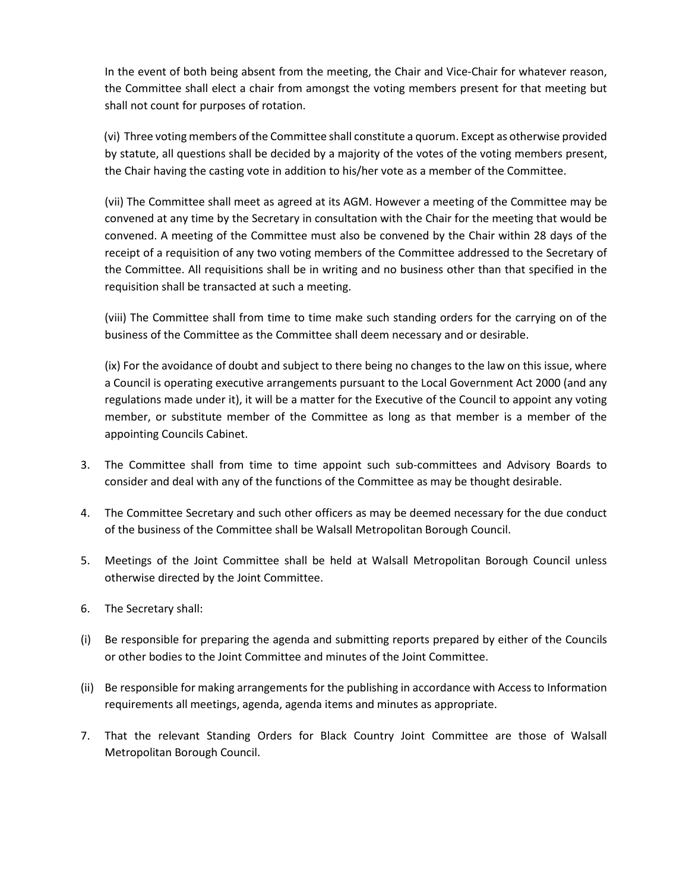In the event of both being absent from the meeting, the Chair and Vice-Chair for whatever reason, the Committee shall elect a chair from amongst the voting members present for that meeting but shall not count for purposes of rotation.

(vi) Three voting members of the Committee shall constitute a quorum. Except as otherwise provided by statute, all questions shall be decided by a majority of the votes of the voting members present, the Chair having the casting vote in addition to his/her vote as a member of the Committee.

(vii) The Committee shall meet as agreed at its AGM. However a meeting of the Committee may be convened at any time by the Secretary in consultation with the Chair for the meeting that would be convened. A meeting of the Committee must also be convened by the Chair within 28 days of the receipt of a requisition of any two voting members of the Committee addressed to the Secretary of the Committee. All requisitions shall be in writing and no business other than that specified in the requisition shall be transacted at such a meeting.

(viii) The Committee shall from time to time make such standing orders for the carrying on of the business of the Committee as the Committee shall deem necessary and or desirable.

(ix) For the avoidance of doubt and subject to there being no changes to the law on this issue, where a Council is operating executive arrangements pursuant to the Local Government Act 2000 (and any regulations made under it), it will be a matter for the Executive of the Council to appoint any voting member, or substitute member of the Committee as long as that member is a member of the appointing Councils Cabinet.

- 3. The Committee shall from time to time appoint such sub-committees and Advisory Boards to consider and deal with any of the functions of the Committee as may be thought desirable.
- 4. The Committee Secretary and such other officers as may be deemed necessary for the due conduct of the business of the Committee shall be Walsall Metropolitan Borough Council.
- 5. Meetings of the Joint Committee shall be held at Walsall Metropolitan Borough Council unless otherwise directed by the Joint Committee.
- 6. The Secretary shall:
- (i) Be responsible for preparing the agenda and submitting reports prepared by either of the Councils or other bodies to the Joint Committee and minutes of the Joint Committee.
- (ii) Be responsible for making arrangements for the publishing in accordance with Access to Information requirements all meetings, agenda, agenda items and minutes as appropriate.
- 7. That the relevant Standing Orders for Black Country Joint Committee are those of Walsall Metropolitan Borough Council.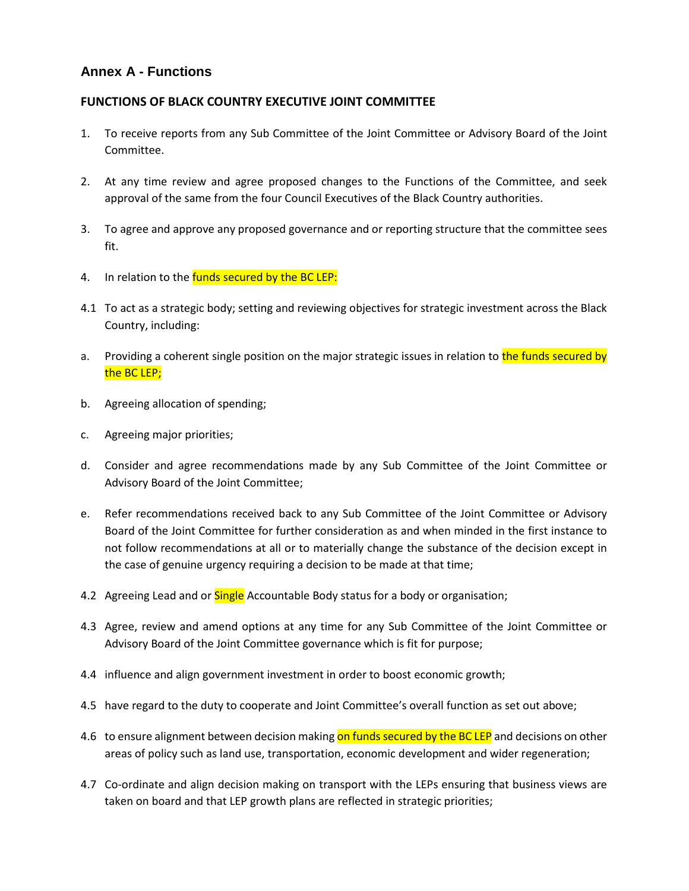## **Annex A - Functions**

## **FUNCTIONS OF BLACK COUNTRY EXECUTIVE JOINT COMMITTEE**

- 1. To receive reports from any Sub Committee of the Joint Committee or Advisory Board of the Joint Committee.
- 2. At any time review and agree proposed changes to the Functions of the Committee, and seek approval of the same from the four Council Executives of the Black Country authorities.
- 3. To agree and approve any proposed governance and or reporting structure that the committee sees fit.
- 4. In relation to the funds secured by the BC LEP:
- 4.1 To act as a strategic body; setting and reviewing objectives for strategic investment across the Black Country, including:
- a. Providing a coherent single position on the major strategic issues in relation to the funds secured by the BC LEP;
- b. Agreeing allocation of spending;
- c. Agreeing major priorities;
- d. Consider and agree recommendations made by any Sub Committee of the Joint Committee or Advisory Board of the Joint Committee;
- e. Refer recommendations received back to any Sub Committee of the Joint Committee or Advisory Board of the Joint Committee for further consideration as and when minded in the first instance to not follow recommendations at all or to materially change the substance of the decision except in the case of genuine urgency requiring a decision to be made at that time;
- 4.2 Agreeing Lead and or **Single** Accountable Body status for a body or organisation;
- 4.3 Agree, review and amend options at any time for any Sub Committee of the Joint Committee or Advisory Board of the Joint Committee governance which is fit for purpose;
- 4.4 influence and align government investment in order to boost economic growth;
- 4.5 have regard to the duty to cooperate and Joint Committee's overall function as set out above;
- 4.6 to ensure alignment between decision making on funds secured by the BC LEP and decisions on other areas of policy such as land use, transportation, economic development and wider regeneration;
- 4.7 Co-ordinate and align decision making on transport with the LEPs ensuring that business views are taken on board and that LEP growth plans are reflected in strategic priorities;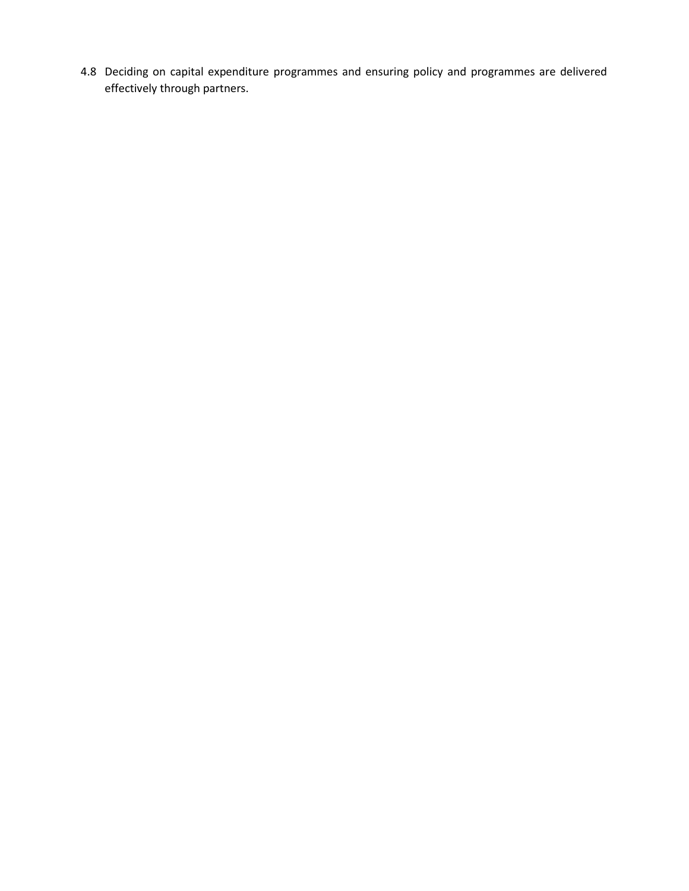4.8 Deciding on capital expenditure programmes and ensuring policy and programmes are delivered effectively through partners.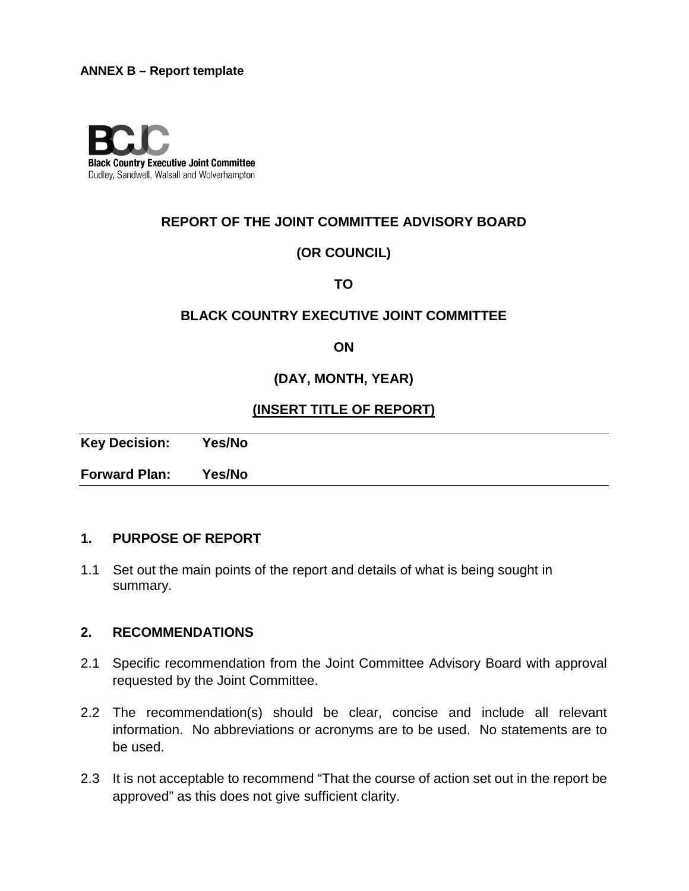## **ANNEX B – Report template**



## **REPORT OF THE JOINT COMMITTEE ADVISORY BOARD**

## **(OR COUNCIL)**

**TO**

## **BLACK COUNTRY EXECUTIVE JOINT COMMITTEE**

**ON**

## **(DAY, MONTH, YEAR)**

## **(INSERT TITLE OF REPORT)**

| <b>Key Decision:</b> | Yes/No        |
|----------------------|---------------|
| <b>Forward Plan:</b> | <b>Yes/No</b> |

## **1. PURPOSE OF REPORT**

1.1 Set out the main points of the report and details of what is being sought in summary.

## **2. RECOMMENDATIONS**

- 2.1 Specific recommendation from the Joint Committee Advisory Board with approval requested by the Joint Committee.
- 2.2 The recommendation(s) should be clear, concise and include all relevant information. No abbreviations or acronyms are to be used. No statements are to be used.
- 2.3 It is not acceptable to recommend "That the course of action set out in the report be approved" as this does not give sufficient clarity.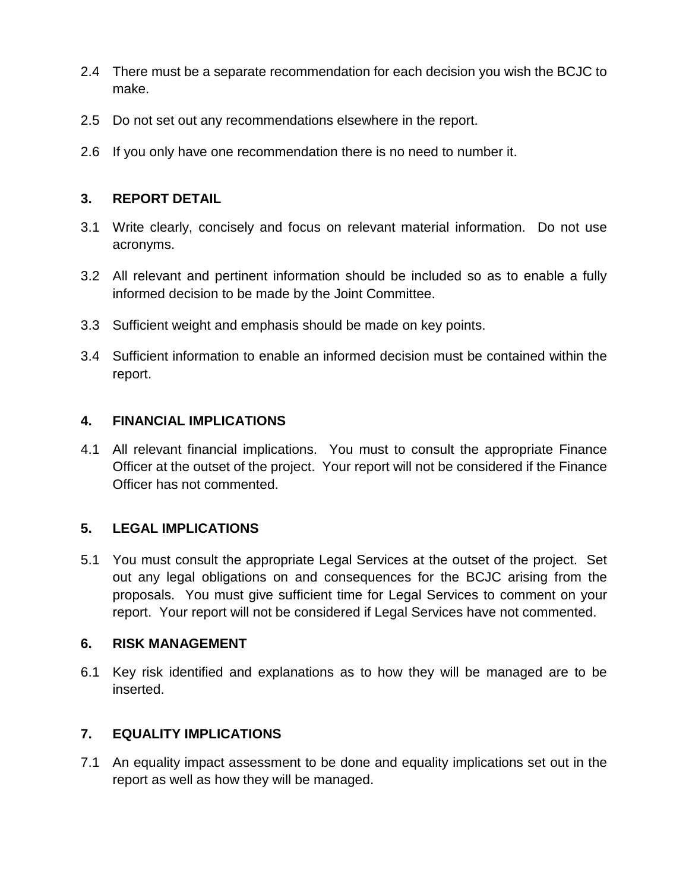- 2.4 There must be a separate recommendation for each decision you wish the BCJC to make.
- 2.5 Do not set out any recommendations elsewhere in the report.
- 2.6 If you only have one recommendation there is no need to number it.

## **3. REPORT DETAIL**

- 3.1 Write clearly, concisely and focus on relevant material information. Do not use acronyms.
- 3.2 All relevant and pertinent information should be included so as to enable a fully informed decision to be made by the Joint Committee.
- 3.3 Sufficient weight and emphasis should be made on key points.
- 3.4 Sufficient information to enable an informed decision must be contained within the report.

## **4. FINANCIAL IMPLICATIONS**

4.1 All relevant financial implications. You must to consult the appropriate Finance Officer at the outset of the project. Your report will not be considered if the Finance Officer has not commented.

## **5. LEGAL IMPLICATIONS**

5.1 You must consult the appropriate Legal Services at the outset of the project. Set out any legal obligations on and consequences for the BCJC arising from the proposals. You must give sufficient time for Legal Services to comment on your report. Your report will not be considered if Legal Services have not commented.

## **6. RISK MANAGEMENT**

6.1 Key risk identified and explanations as to how they will be managed are to be inserted.

## **7. EQUALITY IMPLICATIONS**

7.1 An equality impact assessment to be done and equality implications set out in the report as well as how they will be managed.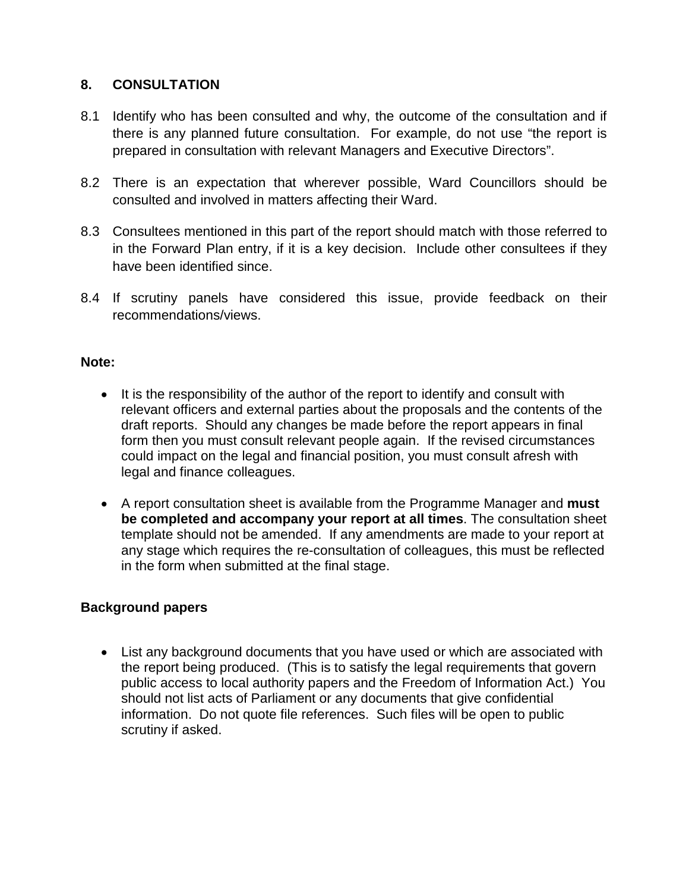## **8. CONSULTATION**

- 8.1 Identify who has been consulted and why, the outcome of the consultation and if there is any planned future consultation. For example, do not use "the report is prepared in consultation with relevant Managers and Executive Directors".
- 8.2 There is an expectation that wherever possible, Ward Councillors should be consulted and involved in matters affecting their Ward.
- 8.3 Consultees mentioned in this part of the report should match with those referred to in the Forward Plan entry, if it is a key decision. Include other consultees if they have been identified since.
- 8.4 If scrutiny panels have considered this issue, provide feedback on their recommendations/views.

## **Note:**

- It is the responsibility of the author of the report to identify and consult with relevant officers and external parties about the proposals and the contents of the draft reports. Should any changes be made before the report appears in final form then you must consult relevant people again. If the revised circumstances could impact on the legal and financial position, you must consult afresh with legal and finance colleagues.
- A report consultation sheet is available from the Programme Manager and **must be completed and accompany your report at all times**. The consultation sheet template should not be amended. If any amendments are made to your report at any stage which requires the re-consultation of colleagues, this must be reflected in the form when submitted at the final stage.

## **Background papers**

• List any background documents that you have used or which are associated with the report being produced. (This is to satisfy the legal requirements that govern public access to local authority papers and the Freedom of Information Act.) You should not list acts of Parliament or any documents that give confidential information. Do not quote file references. Such files will be open to public scrutiny if asked.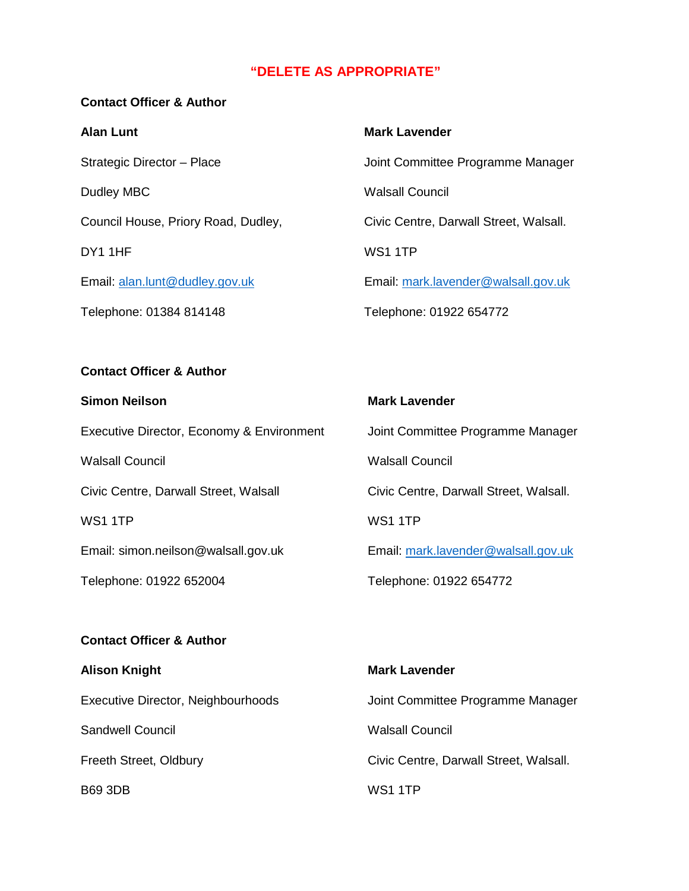## **"DELETE AS APPROPRIATE"**

## **Contact Officer & Author**

| <b>Alan Lunt</b>                    | <b>Mark Lavender</b>                   |
|-------------------------------------|----------------------------------------|
| Strategic Director - Place          | Joint Committee Programme Manager      |
| Dudley MBC                          | <b>Walsall Council</b>                 |
| Council House, Priory Road, Dudley, | Civic Centre, Darwall Street, Walsall. |
| DY1 1HF                             | <b>WS1 1TP</b>                         |
| Email: alan.lunt@dudley.gov.uk      | Email: mark.lavender@walsall.gov.uk    |
| Telephone: 01384 814148             | Telephone: 01922 654772                |

## **Contact Officer & Author**

| <b>Simon Neilson</b>                      | <b>Mark Lavender</b>                   |
|-------------------------------------------|----------------------------------------|
| Executive Director, Economy & Environment | Joint Committee Programme Manager      |
| Walsall Council                           | Walsall Council                        |
| Civic Centre, Darwall Street, Walsall     | Civic Centre, Darwall Street, Walsall. |
| <b>WS1 1TP</b>                            | <b>WS1 1TP</b>                         |
| Email: simon.neilson@walsall.gov.uk       | Email: mark.lavender@walsall.gov.uk    |
| Telephone: 01922 652004                   | Telephone: 01922 654772                |

## **Contact Officer & Author**

| <b>Alison Knight</b>               | <b>Mark Lavender</b>                   |
|------------------------------------|----------------------------------------|
| Executive Director, Neighbourhoods | Joint Committee Programme Manager      |
| <b>Sandwell Council</b>            | <b>Walsall Council</b>                 |
| Freeth Street, Oldbury             | Civic Centre, Darwall Street, Walsall. |
| <b>B69 3DB</b>                     | WS1 1TP                                |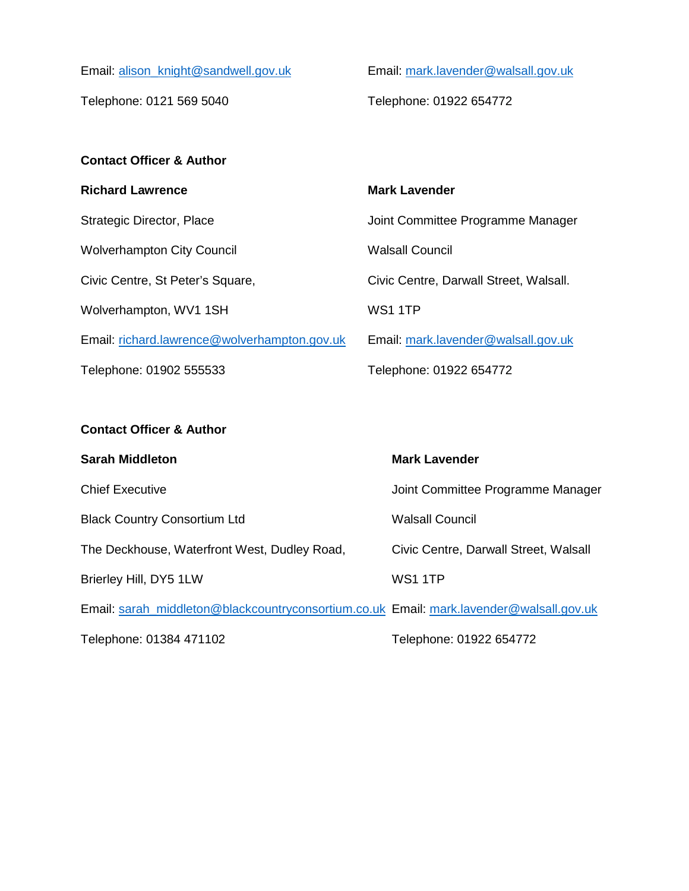Email: [alison\\_knight@sandwell.gov.uk](mailto:alison_knight@sandwell.gov.uk) Email: [mark.lavender@walsall.gov.uk](mailto:mark.lavender@walsall.gov.uk)

Telephone: 0121 569 5040 Telephone: 01922 654772

## **Contact Officer & Author**

## **Richard Lawrence Mark Lavender**

Wolverhampton City Council Walsall Council

Wolverhampton, WV1 1SH WS1 1TP

Email: [richard.lawrence@wolverhampton.gov.uk](mailto:richard.lawrence@wolverhampton.gov.uk) Email: [mark.lavender@walsall.gov.uk](mailto:mark.lavender@walsall.gov.uk)

Telephone: 01902 555533 Telephone: 01922 654772

Strategic Director, Place **Joint Committee Programme Manager** 

Civic Centre, St Peter's Square, Civic Centre, Darwall Street, Walsall.

## **Contact Officer & Author**

| <b>Sarah Middleton</b>                                                                  | <b>Mark Lavender</b>                  |
|-----------------------------------------------------------------------------------------|---------------------------------------|
| <b>Chief Executive</b>                                                                  | Joint Committee Programme Manager     |
| <b>Black Country Consortium Ltd</b>                                                     | <b>Walsall Council</b>                |
| The Deckhouse, Waterfront West, Dudley Road,                                            | Civic Centre, Darwall Street, Walsall |
| Brierley Hill, DY5 1LW                                                                  | <b>WS1 1TP</b>                        |
| Email: sarah_middleton@blackcountryconsortium.co.uk Email: mark.lavender@walsall.gov.uk |                                       |
| Telephone: 01384 471102                                                                 | Telephone: 01922 654772               |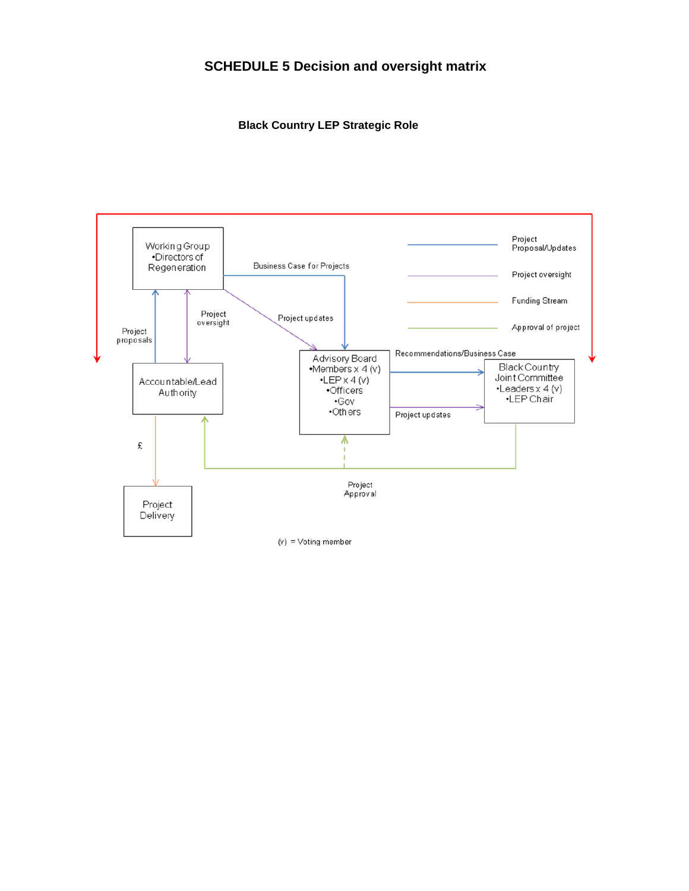## <span id="page-57-0"></span>**SCHEDULE 5 Decision and oversight matrix**

**Black Country LEP Strategic Role** 

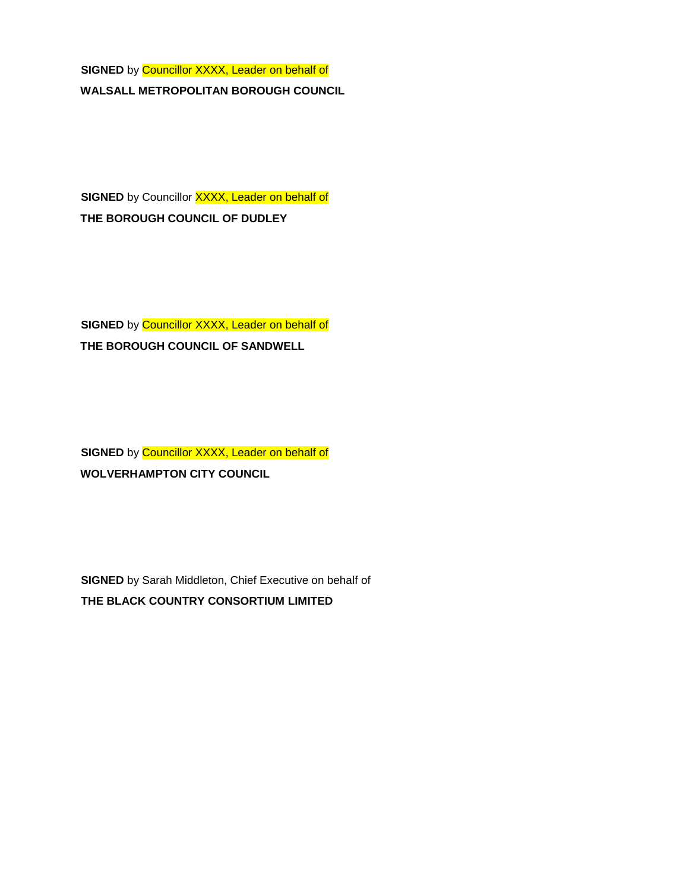**SIGNED** by **Councillor XXXX, Leader on behalf of WALSALL METROPOLITAN BOROUGH COUNCIL** 

**SIGNED** by Councillor **XXXX**, Leader on behalf of **THE BOROUGH COUNCIL OF DUDLEY**

**SIGNED** by **Councillor XXXX, Leader on behalf of THE BOROUGH COUNCIL OF SANDWELL**

**SIGNED** by **Councillor XXXX, Leader on behalf of WOLVERHAMPTON CITY COUNCIL** 

**SIGNED** by Sarah Middleton, Chief Executive on behalf of **THE BLACK COUNTRY CONSORTIUM LIMITED**